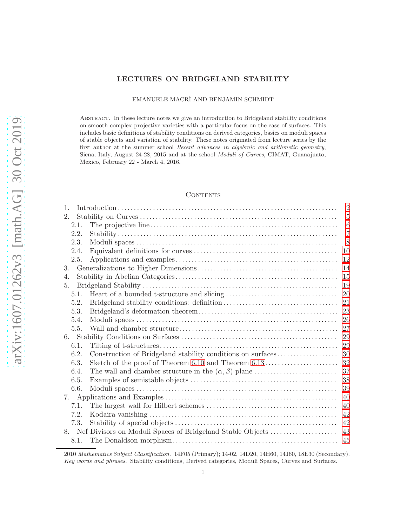### LECTURES ON BRIDGELAND STABILITY

EMANUELE MACRÌ AND BENJAMIN SCHMIDT

Abstract. In these lecture notes we give an introduction to Bridgeland stability conditions on smooth complex projective varieties with a particular focus on the case of surfaces. This includes basic definitions of stability conditions on derived categories, basics on moduli spaces of stable objects and variation of stability. These notes originated from lecture series by the first author at the summer school Recent advances in algebraic and arithmetic geometry, Siena, Italy, August 24-28, 2015 and at the school Moduli of Curves, CIMAT, Guanajuato, Mexico, February 22 - March 4, 2016.

### **CONTENTS**

| $\mathbb{1}$ . |                                                               | $\overline{2}$ |
|----------------|---------------------------------------------------------------|----------------|
| 2.             |                                                               | $\overline{5}$ |
| 2.1.           |                                                               | 6              |
| 2.2.           |                                                               | 7              |
| 2.3.           |                                                               | 8              |
| 2.4.           |                                                               | 10             |
| 2.5.           |                                                               | 12             |
| 3.             |                                                               | 14             |
| 4.             |                                                               | 15             |
| 5.             |                                                               | 19             |
| 5.1.           |                                                               | <b>20</b>      |
| 5.2.           |                                                               | 21             |
| 5.3.           |                                                               |                |
| 5.4.           |                                                               | 26             |
| 5.5.           |                                                               | 27             |
|                |                                                               | 29             |
| 6.1.           |                                                               |                |
| 6.2.           | Construction of Bridgeland stability conditions on surfaces   | 30             |
| 6.3.           |                                                               |                |
| 6.4.           |                                                               | 37             |
| 6.5.           |                                                               | 38             |
| 6.6.           |                                                               | 39             |
|                |                                                               | 40             |
| 7.1.           |                                                               | 40             |
| 7.2.           |                                                               | 42             |
| 7.3.           |                                                               | 42             |
|                | 8. Nef Divisors on Moduli Spaces of Bridgeland Stable Objects | 43             |
| 8.1.           |                                                               | 45             |

<sup>2010</sup> Mathematics Subject Classification. 14F05 (Primary); 14-02, 14D20, 14H60, 14J60, 18E30 (Secondary). Key words and phrases. Stability conditions, Derived categories, Moduli Spaces, Curves and Surfaces.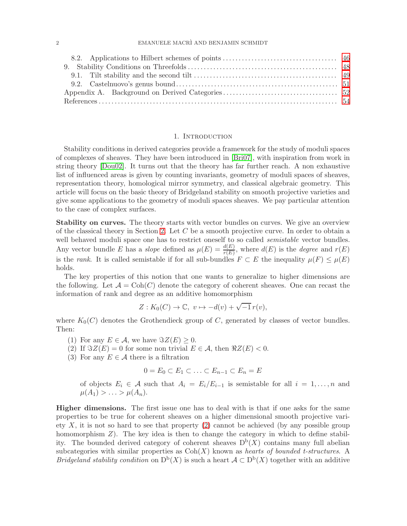#### 1. INTRODUCTION

<span id="page-1-0"></span>Stability conditions in derived categories provide a framework for the study of moduli spaces of complexes of sheaves. They have been introduced in [\[Bri07\]](#page-54-0), with inspiration from work in string theory [\[Dou02\]](#page-55-0). It turns out that the theory has far further reach. A non exhaustive list of influenced areas is given by counting invariants, geometry of moduli spaces of sheaves, representation theory, homological mirror symmetry, and classical algebraic geometry. This article will focus on the basic theory of Bridgeland stability on smooth projective varieties and give some applications to the geometry of moduli spaces sheaves. We pay particular attention to the case of complex surfaces.

Stability on curves. The theory starts with vector bundles on curves. We give an overview of the classical theory in Section [2.](#page-4-0) Let  $C$  be a smooth projective curve. In order to obtain a well behaved moduli space one has to restrict oneself to so called *semistable* vector bundles. Any vector bundle E has a *slope* defined as  $\mu(E) = \frac{d(E)}{r(E)}$ , where  $d(E)$  is the *degree* and  $r(E)$ is the *rank*. It is called semistable if for all sub-bundles  $F \subset E$  the inequality  $\mu(F) \leq \mu(E)$ holds.

The key properties of this notion that one wants to generalize to higher dimensions are the following. Let  $\mathcal{A} = \text{Coh}(C)$  denote the category of coherent sheaves. One can recast the information of rank and degree as an additive homomorphism

$$
Z: K_0(C) \to \mathbb{C}, \ v \mapsto -d(v) + \sqrt{-1} \, r(v),
$$

where  $K_0(C)$  denotes the Grothendieck group of C, generated by classes of vector bundles. Then:

- <span id="page-1-1"></span>(1) For any  $E \in \mathcal{A}$ , we have  $\Im Z(E) \geq 0$ .
- (2) If  $\Im Z(E) = 0$  for some non trivial  $E \in \mathcal{A}$ , then  $\Re Z(E) < 0$ .
- (3) For any  $E \in \mathcal{A}$  there is a filtration

$$
0 = E_0 \subset E_1 \subset \ldots \subset E_{n-1} \subset E_n = E
$$

of objects  $E_i \in \mathcal{A}$  such that  $A_i = E_i/E_{i-1}$  is semistable for all  $i = 1, \ldots, n$  and  $\mu(A_1) > \ldots > \mu(A_n).$ 

Higher dimensions. The first issue one has to deal with is that if one asks for the same properties to be true for coherent sheaves on a higher dimensional smooth projective variety X, it is not so hard to see that property  $(2)$  cannot be achieved (by any possible group homomorphism  $Z$ ). The key idea is then to change the category in which to define stability. The bounded derived category of coherent sheaves  $D^{b}(X)$  contains many full abelian subcategories with similar properties as  $\text{Coh}(X)$  known as hearts of bounded t-structures. A *Bridgeland stability condition* on  $D^b(X)$  is such a heart  $A \subset D^b(X)$  together with an additive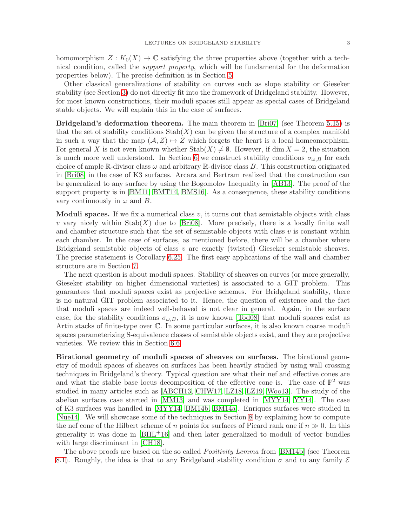homomorphism  $Z: K_0(X) \to \mathbb{C}$  satisfying the three properties above (together with a technical condition, called the support property, which will be fundamental for the deformation properties below). The precise definition is in Section [5.](#page-18-0)

Other classical generalizations of stability on curves such as slope stability or Gieseker stability (see Section [3\)](#page-13-0) do not directly fit into the framework of Bridgeland stability. However, for most known constructions, their moduli spaces still appear as special cases of Bridgeland stable objects. We will explain this in the case of surfaces.

Bridgeland's deformation theorem. The main theorem in [\[Bri07\]](#page-54-0) (see Theorem [5.15\)](#page-23-0) is that the set of stability conditions  $\text{Stab}(X)$  can be given the structure of a complex manifold in such a way that the map  $(A, Z) \mapsto Z$  which forgets the heart is a local homeomorphism. For general X is not even known whether  $\text{Stab}(X) \neq \emptyset$ . However, if dim  $X = 2$ , the situation is much more well understood. In Section [6](#page-28-0) we construct stability conditions  $\sigma_{\omega,B}$  for each choice of ample R-divisor class  $\omega$  and arbitrary R-divisor class B. This construction originated in [\[Bri08\]](#page-54-1) in the case of K3 surfaces. Arcara and Bertram realized that the construction can be generalized to any surface by using the Bogomolov Inequality in [\[AB13\]](#page-53-1). The proof of the support property is in [\[BM11,](#page-54-2) [BMT14,](#page-54-3) [BMS16\]](#page-54-4). As a consequence, these stability conditions vary continuously in  $\omega$  and B.

**Moduli spaces.** If we fix a numerical class  $v$ , it turns out that semistable objects with class v vary nicely within  $\text{Stab}(X)$  due to [\[Bri08\]](#page-54-1). More precisely, there is a locally finite wall and chamber structure such that the set of semistable objects with class  $v$  is constant within each chamber. In the case of surfaces, as mentioned before, there will be a chamber where Bridgeland semistable objects of class v are exactly (twisted) Gieseker semistable sheaves. The precise statement is Corollary [6.25.](#page-37-1) The first easy applications of the wall and chamber structure are in Section [7.](#page-39-0)

The next question is about moduli spaces. Stability of sheaves on curves (or more generally, Gieseker stability on higher dimensional varieties) is associated to a GIT problem. This guarantees that moduli spaces exist as projective schemes. For Bridgeland stability, there is no natural GIT problem associated to it. Hence, the question of existence and the fact that moduli spaces are indeed well-behaved is not clear in general. Again, in the surface case, for the stability conditions  $\sigma_{\omega,B}$ , it is now known [\[Tod08\]](#page-57-0) that moduli spaces exist as Artin stacks of finite-type over C. In some particular surfaces, it is also known coarse moduli spaces parameterizing S-equivalence classes of semistable objects exist, and they are projective varieties. We review this in Section [6.6.](#page-38-0)

Birational geometry of moduli spaces of sheaves on surfaces. The birational geometry of moduli spaces of sheaves on surfaces has been heavily studied by using wall crossing techniques in Bridgeland's theory. Typical question are what their nef and effective cones are and what the stable base locus decomposition of the effective cone is. The case of  $\mathbb{P}^2$  was studied in many articles such as [\[ABCH13,](#page-53-2) [CHW17,](#page-54-5) [LZ18,](#page-56-0) [LZ19,](#page-56-1) [Woo13\]](#page-57-1). The study of the abelian surfaces case started in [\[MM13\]](#page-56-2) and was completed in [\[MYY14,](#page-56-3) [YY14\]](#page-57-2). The case of K3 surfaces was handled in [\[MYY14,](#page-56-3) [BM14b,](#page-54-6) [BM14a\]](#page-54-7). Enriques surfaces were studied in [\[Nue14\]](#page-56-4). We will showcase some of the techniques in Section [8](#page-42-0) by explaining how to compute the nef cone of the Hilbert scheme of n points for surfaces of Picard rank one if  $n \gg 0$ . In this generality it was done in  $[BHL^+16]$  and then later generalized to moduli of vector bundles with large discriminant in [\[CH18\]](#page-54-9).

The above proofs are based on the so called *Positivity Lemma* from [\[BM14b\]](#page-54-6) (see Theorem 8.1). Roughly, the idea is that to any Bridgeland stability condition  $\sigma$  and to any family  $\mathcal E$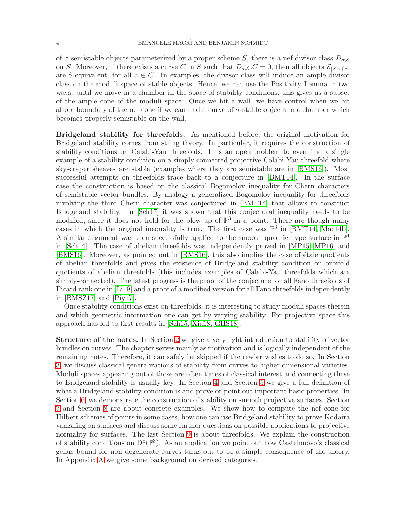of  $\sigma$ -semistable objects parameterized by a proper scheme S, there is a nef divisor class  $D_{\sigma,\mathcal{E}}$ on S. Moreover, if there exists a curve C in S such that  $D_{\sigma,\mathcal{E}}$   $C = 0$ , then all objects  $\mathcal{E}_{|X \times \{c\}}$ are S-equivalent, for all  $c \in C$ . In examples, the divisor class will induce an ample divisor class on the moduli space of stable objects. Hence, we can use the Positivity Lemma in two ways: until we move in a chamber in the space of stability conditions, this gives us a subset of the ample cone of the moduli space. Once we hit a wall, we have control when we hit also a boundary of the nef cone if we can find a curve of  $\sigma$ -stable objects in a chamber which becomes properly semistable on the wall.

Bridgeland stability for threefolds. As mentioned before, the original motivation for Bridgeland stability comes from string theory. In particular, it requires the construction of stability conditions on Calabi-Yau threefolds. It is an open problem to even find a single example of a stability condition on a simply connected projective Calabi-Yau threefold where skyscraper sheaves are stable (examples where they are semistable are in [\[BMS16\]](#page-54-4)). Most successful attempts on threefolds trace back to a conjecture in [\[BMT14\]](#page-54-3). In the surface case the construction is based on the classical Bogomolov inequality for Chern characters of semistable vector bundles. By analogy a generalized Bogomolov inequality for threefolds involving the third Chern character was conjectured in [\[BMT14\]](#page-54-3) that allows to construct Bridgeland stability. In [\[Sch17\]](#page-57-3) it was shown that this conjectural inequality needs to be modified, since it does not hold for the blow up of  $\mathbb{P}^3$  in a point. There are though many cases in which the original inequality is true. The first case was  $\mathbb{P}^3$  in [\[BMT14,](#page-54-3) [Mac14b\]](#page-56-5). A similar argument was then successfully applied to the smooth quadric hypersurface in  $\mathbb{P}^4$ in [\[Sch14\]](#page-57-4). The case of abelian threefolds was independently proved in [\[MP15,](#page-56-6) [MP16\]](#page-56-7) and [\[BMS16\]](#page-54-4). Moreover, as pointed out in [\[BMS16\]](#page-54-4), this also implies the case of étale quotients of abelian threefolds and gives the existence of Bridgeland stability condition on orbifold quotients of abelian threefolds (this includes examples of Calabi-Yau threefolds which are simply-connected). The latest progress is the proof of the conjecture for all Fano threefolds of Picard rank one in [\[Li19\]](#page-56-8) and a proof of a modified version for all Fano threefolds independently in [\[BMSZ17\]](#page-54-10) and [\[Piy17\]](#page-56-9).

Once stability conditions exist on threefolds, it is interesting to study moduli spaces therein and which geometric information one can get by varying stability. For projective space this approach has led to first results in [\[Sch15,](#page-57-5) [Xia18,](#page-57-6) [GHS18\]](#page-55-1).

Structure of the notes. In Section [2](#page-4-0) we give a very light introduction to stability of vector bundles on curves. The chapter serves mainly as motivation and is logically independent of the remaining notes. Therefore, it can safely be skipped if the reader wishes to do so. In Section [3,](#page-13-0) we discuss classical generalizations of stability from curves to higher dimensional varieties. Moduli spaces appearing out of those are often times of classical interest and connecting these to Bridgeland stability is usually key. In Section [4](#page-14-0) and Section [5](#page-18-0) we give a full definition of what a Bridgeland stability condition is and prove or point out important basic properties. In Section [6,](#page-28-0) we demonstrate the construction of stability on smooth projective surfaces. Section [7](#page-39-0) and Section [8](#page-42-0) are about concrete examples. We show how to compute the nef cone for Hilbert schemes of points in some cases, how one can use Bridgeland stability to prove Kodaira vanishing on surfaces and discuss some further questions on possible applications to projective normality for surfaces. The last Section [9](#page-47-0) is about threefolds. We explain the construction of stability conditions on  $D^b(\mathbb{P}^3)$ . As an application we point out how Castelnuovo's classical genus bound for non degenerate curves turns out to be a simple consequence of the theory. In Appendix [A](#page-51-0) we give some background on derived categories.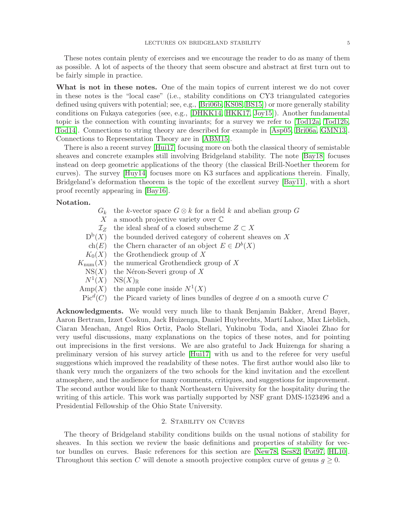These notes contain plenty of exercises and we encourage the reader to do as many of them as possible. A lot of aspects of the theory that seem obscure and abstract at first turn out to be fairly simple in practice.

What is not in these notes. One of the main topics of current interest we do not cover in these notes is the "local case" (i.e., stability conditions on CY3 triangulated categories defined using quivers with potential; see, e.g., [\[Bri06b,](#page-54-11) [KS08,](#page-56-10) [BS15\]](#page-54-12)) or more generally stability conditions on Fukaya categories (see, e.g., [\[DHKK14,](#page-54-13) [HKK17,](#page-55-2) [Joy15\]](#page-55-3)). Another fundamental topic is the connection with counting invariants; for a survey we refer to [\[Tod12a,](#page-57-7) [Tod12b,](#page-57-8) [Tod14\]](#page-57-9). Connections to string theory are described for example in [\[Asp05,](#page-53-3) [Bri06a,](#page-54-14) [GMN13\]](#page-55-4). Connections to Representation Theory are in [\[ABM15\]](#page-53-4).

There is also a recent survey [\[Hui17\]](#page-55-5) focusing more on both the classical theory of semistable sheaves and concrete examples still involving Bridgeland stability. The note [\[Bay18\]](#page-54-15) focuses instead on deep geometric applications of the theory (the classical Brill-Noether theorem for curves). The survey [\[Huy14\]](#page-55-6) focuses more on K3 surfaces and applications therein. Finally, Bridgeland's deformation theorem is the topic of the excellent survey [\[Bay11\]](#page-53-5), with a short proof recently appearing in [\[Bay16\]](#page-53-6).

## Notation.

| $G_k$ the k-vector space $G \otimes k$ for a field k and abelian group G |  |  |  |  |
|--------------------------------------------------------------------------|--|--|--|--|
|                                                                          |  |  |  |  |

- $X$  a smooth projective variety over  $\mathbb C$
- $\mathcal{I}_Z$  the ideal sheaf of a closed subscheme  $Z \subset X$
- $D^b(X)$ the bounded derived category of coherent sheaves on  $X$
- ch(E) the Chern character of an object  $E \in D^b(X)$
- $K_0(X)$  the Grothendieck group of X
- $K_{\text{num}}(X)$  the numerical Grothendieck group of X
	- $NS(X)$  the Néron-Severi group of X
	- $N^1(X)$  $NS(X)_{\mathbb{R}}$
- Amp(X) the ample cone inside  $N^1(X)$
- $Pic^d(C)$ the Picard variety of lines bundles of degree  $d$  on a smooth curve  $C$

Acknowledgments. We would very much like to thank Benjamin Bakker, Arend Bayer, Aaron Bertram, Izzet Coskun, Jack Huizenga, Daniel Huybrechts, Martí Lahoz, Max Lieblich, Ciaran Meachan, Angel Rios Ortiz, Paolo Stellari, Yukinobu Toda, and Xiaolei Zhao for very useful discussions, many explanations on the topics of these notes, and for pointing out imprecisions in the first versions. We are also grateful to Jack Huizenga for sharing a preliminary version of his survey article [\[Hui17\]](#page-55-5) with us and to the referee for very useful suggestions which improved the readability of these notes. The first author would also like to thank very much the organizers of the two schools for the kind invitation and the excellent atmosphere, and the audience for many comments, critiques, and suggestions for improvement. The second author would like to thank Northeastern University for the hospitality during the writing of this article. This work was partially supported by NSF grant DMS-1523496 and a Presidential Fellowship of the Ohio State University.

# 2. Stability on Curves

<span id="page-4-0"></span>The theory of Bridgeland stability conditions builds on the usual notions of stability for sheaves. In this section we review the basic definitions and properties of stability for vector bundles on curves. Basic references for this section are [\[New78,](#page-56-11) [Ses82,](#page-57-10) [Pot97,](#page-56-12) [HL10\]](#page-55-7). Throughout this section C will denote a smooth projective complex curve of genus  $g \geq 0$ .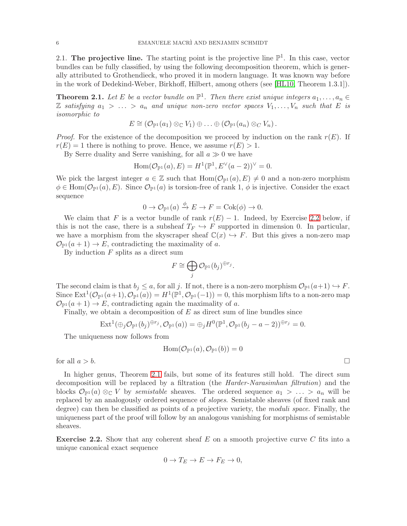<span id="page-5-0"></span>2.1. The projective line. The starting point is the projective line  $\mathbb{P}^1$ . In this case, vector bundles can be fully classified, by using the following decomposition theorem, which is generally attributed to Grothendieck, who proved it in modern language. It was known way before in the work of Dedekind-Weber, Birkhoff, Hilbert, among others (see [\[HL10,](#page-55-7) Theorem 1.3.1]).

<span id="page-5-2"></span>**Theorem 2.1.** Let E be a vector bundle on  $\mathbb{P}^1$ . Then there exist unique integers  $a_1, \ldots, a_n \in \mathbb{R}$ Z satisfying  $a_1 > \ldots > a_n$  and unique non-zero vector spaces  $V_1, \ldots, V_n$  such that E is isomorphic to

$$
E \cong (\mathcal{O}_{\mathbb{P}^1}(a_1) \otimes_{\mathbb{C}} V_1) \oplus \ldots \oplus (\mathcal{O}_{\mathbb{P}^1}(a_n) \otimes_{\mathbb{C}} V_n).
$$

*Proof.* For the existence of the decomposition we proceed by induction on the rank  $r(E)$ . If  $r(E) = 1$  there is nothing to prove. Hence, we assume  $r(E) > 1$ .

By Serre duality and Serre vanishing, for all  $a \gg 0$  we have

$$
\operatorname{Hom}(\mathcal{O}_{\mathbb{P}^1}(a), E) = H^1(\mathbb{P}^1, E^{\vee}(a-2))^{\vee} = 0.
$$

We pick the largest integer  $a \in \mathbb{Z}$  such that  $\text{Hom}(\mathcal{O}_{\mathbb{P}^1}(a), E) \neq 0$  and a non-zero morphism  $\phi \in \text{Hom}(\mathcal{O}_{\mathbb{P}^1}(a), E)$ . Since  $\mathcal{O}_{\mathbb{P}^1}(a)$  is torsion-free of rank 1,  $\phi$  is injective. Consider the exact sequence

$$
0 \to \mathcal{O}_{\mathbb{P}^1}(a) \xrightarrow{\phi} E \to F = \text{Cok}(\phi) \to 0.
$$

We claim that F is a vector bundle of rank  $r(E) - 1$ . Indeed, by Exercise [2.2](#page-5-1) below, if this is not the case, there is a subsheaf  $T_F \hookrightarrow F$  supported in dimension 0. In particular, we have a morphism from the skyscraper sheaf  $\mathbb{C}(x) \hookrightarrow F$ . But this gives a non-zero map  $\mathcal{O}_{\mathbb{P}^1}(a+1) \to E$ , contradicting the maximality of a.

By induction  $F$  splits as a direct sum

$$
F \cong \bigoplus_j {\mathcal O}_{{\mathbb P}^1}(b_j)^{\oplus r_j}.
$$

The second claim is that  $b_j \leq a$ , for all j. If not, there is a non-zero morphism  $\mathcal{O}_{\mathbb{P}^1}(a+1) \hookrightarrow F$ . Since  $\text{Ext}^1(\mathcal{O}_{\mathbb{P}^1}(a+1), \mathcal{O}_{\mathbb{P}^1}(a)) = H^1(\mathbb{P}^1, \mathcal{O}_{\mathbb{P}^1}(-1)) = 0$ , this morphism lifts to a non-zero map  $\mathcal{O}_{\mathbb{P}^1}(a+1) \to E$ , contradicting again the maximality of a.

Finally, we obtain a decomposition of  $E$  as direct sum of line bundles since

$$
\mathrm{Ext}^{1}(\oplus_{j}\mathcal{O}_{\mathbb{P}^{1}}(b_{j})^{\oplus r_{j}},\mathcal{O}_{\mathbb{P}^{1}}(a))=\oplus_{j}H^{0}(\mathbb{P}^{1},\mathcal{O}_{\mathbb{P}^{1}}(b_{j}-a-2))^{\oplus r_{j}}=0.
$$

The uniqueness now follows from

$$
\mathrm{Hom}(\mathcal{O}_{\mathbb{P}^1}(a),\mathcal{O}_{\mathbb{P}^1}(b))=0
$$

for all  $a > b$ .

In higher genus, Theorem [2.1](#page-5-2) fails, but some of its features still hold. The direct sum decomposition will be replaced by a filtration (the Harder-Narasimhan filtration) and the blocks  $\mathcal{O}_{\mathbb{P}^1}(a) \otimes_{\mathbb{C}} V$  by *semistable* sheaves. The ordered sequence  $a_1 > \ldots > a_n$  will be replaced by an analogously ordered sequence of slopes. Semistable sheaves (of fixed rank and degree) can then be classified as points of a projective variety, the moduli space. Finally, the uniqueness part of the proof will follow by an analogous vanishing for morphisms of semistable sheaves.

<span id="page-5-1"></span>**Exercise 2.2.** Show that any coherent sheaf E on a smooth projective curve C fits into a unique canonical exact sequence

$$
0 \to T_E \to E \to F_E \to 0,
$$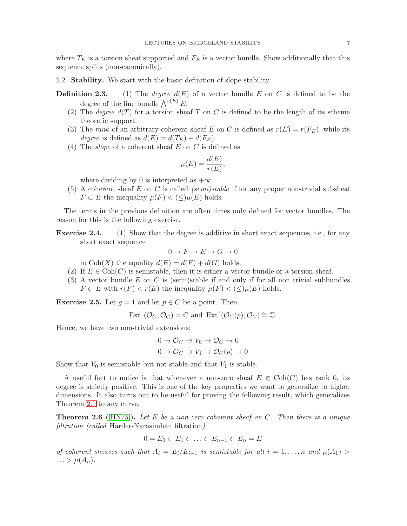where  $T_E$  is a torsion sheaf supported and  $F_E$  is a vector bundle. Show additionally that this sequence splits (non-canonically).

<span id="page-6-0"></span>2.2. Stability. We start with the basic definition of slope stability.

- **Definition 2.3.** (1) The *degree*  $d(E)$  of a vector bundle E on C is defined to be the degree of the line bundle  $\Lambda^{r(E)} E$ .
	- (2) The degree  $d(T)$  for a torsion sheaf T on C is defined to be the length of its scheme theoretic support.
	- (3) The rank of an arbitrary coherent sheaf E on C is defined as  $r(E) = r(F_E)$ , while its degree is defined as  $d(E) = d(T_E) + d(F_E)$ .
	- (4) The *slope* of a coherent sheaf E on C is defined as

$$
\mu(E) = \frac{d(E)}{r(E)},
$$

where dividing by 0 is interpreted as  $+\infty$ .

(5) A coherent sheaf E on C is called *(semi)stable* if for any proper non-trivial subsheaf  $F \subset E$  the inequality  $\mu(F) < (\leq) \mu(E)$  holds.

The terms in the previous definition are often times only defined for vector bundles. The reason for this is the following exercise.

Exercise 2.4. (1) Show that the degree is additive in short exact sequences, i.e., for any short exact sequence

$$
0 \to F \to E \to G \to 0
$$

in Coh(X) the equality  $d(E) = d(F) + d(G)$  holds.

- (2) If  $E \in \text{Coh}(C)$  is semistable, then it is either a vector bundle or a torsion sheaf.
- (3) A vector bundle E on C is (semi)stable if and only if for all non trivial subbundles  $F \subset E$  with  $r(F) < r(E)$  the inequality  $\mu(F) < (\leq) \mu(E)$  holds.

<span id="page-6-1"></span>**Exercise 2.5.** Let  $q = 1$  and let  $p \in C$  be a point. Then

$$
Ext1(\mathcal{O}_C, \mathcal{O}_C) = \mathbb{C} \text{ and } Ext1(\mathcal{O}_C(p), \mathcal{O}_C) \cong \mathbb{C}.
$$

Hence, we have two non-trivial extensions:

$$
0 \to \mathcal{O}_C \to V_0 \to \mathcal{O}_C \to 0
$$
  

$$
0 \to \mathcal{O}_C \to V_1 \to \mathcal{O}_C(p) \to 0
$$

Show that  $V_0$  is semistable but not stable and that  $V_1$  is stable.

A useful fact to notice is that whenever a non-zero sheaf  $E \in \mathrm{Coh}(C)$  has rank 0, its degree is strictly positive. This is one of the key properties we want to generalize to higher dimensions. It also turns out to be useful for proving the following result, which generalizes Theorem [2.1](#page-5-2) to any curve.

<span id="page-6-2"></span>**Theorem 2.6** ( $[HN75]$ ). Let E be a non-zero coherent sheaf on C. Then there is a unique filtration (called Harder-Narasimhan filtration)

$$
0 = E_0 \subset E_1 \subset \ldots \subset E_{n-1} \subset E_n = E
$$

of coherent sheaves such that  $A_i = E_i/E_{i-1}$  is semistable for all  $i = 1, ..., n$  and  $\mu(A_1) >$  $\ldots > \mu(A_n).$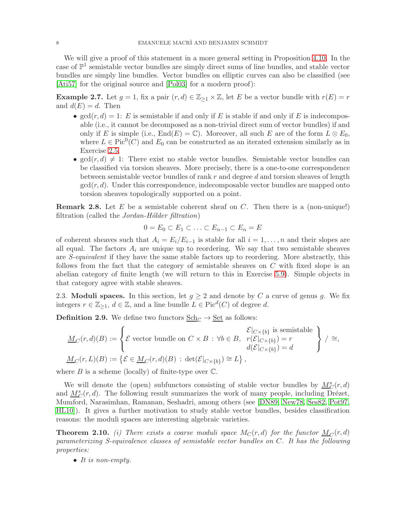We will give a proof of this statement in a more general setting in Proposition [4.10.](#page-16-0) In the case of P 1 semistable vector bundles are simply direct sums of line bundles, and stable vector bundles are simply line bundles. Vector bundles on elliptic curves can also be classified (see [\[Ati57\]](#page-53-7) for the original source and [\[Pol03\]](#page-56-13) for a modern proof):

**Example 2.7.** Let  $g = 1$ , fix a pair  $(r, d) \in \mathbb{Z}_{\geq 1} \times \mathbb{Z}$ , let E be a vector bundle with  $r(E) = r$ and  $d(E) = d$ . Then

- gcd $(r, d) = 1$ : E is semistable if and only if E is stable if and only if E is indecomposable (i.e., it cannot be decomposed as a non-trivial direct sum of vector bundles) if and only if E is simple (i.e.,  $End(E) = \mathbb{C}$ ). Moreover, all such E are of the form  $L \otimes E_0$ , where  $L \in Pic^0(C)$  and  $E_0$  can be constructed as an iterated extension similarly as in Exercise [2.5.](#page-6-1)
- gcd $(r, d) \neq 1$ : There exist no stable vector bundles. Semistable vector bundles can be classified via torsion sheaves. More precisely, there is a one-to-one correspondence between semistable vector bundles of rank r and degree d and torsion sheaves of length  $gcd(r, d)$ . Under this correspondence, indecomposable vector bundles are mapped onto torsion sheaves topologically supported on a point.

<span id="page-7-2"></span>**Remark 2.8.** Let  $E$  be a semistable coherent sheaf on  $C$ . Then there is a (non-unique!) filtration (called the *Jordan-Hölder filtration*)

$$
0 = E_0 \subset E_1 \subset \ldots \subset E_{n-1} \subset E_n = E
$$

of coherent sheaves such that  $A_i = E_i/E_{i-1}$  is stable for all  $i = 1, ..., n$  and their slopes are all equal. The factors  $A_i$  are unique up to reordering. We say that two semistable sheaves are *S*-equivalent if they have the same stable factors up to reordering. More abstractly, this follows from the fact that the category of semistable sheaves on  $C$  with fixed slope is an abelian category of finite length (we will return to this in Exercise [5.9\)](#page-21-0). Simple objects in that category agree with stable sheaves.

<span id="page-7-0"></span>2.3. **Moduli spaces.** In this section, let  $g \geq 2$  and denote by C a curve of genus g. We fix integers  $r \in \mathbb{Z}_{\geq 1}$ ,  $d \in \mathbb{Z}$ , and a line bundle  $L \in Pic^d(C)$  of degree d.

**Definition 2.9.** We define two functors  $\text{Sch}_{\mathbb{C}} \to \text{Set}$  as follows:

$$
\label{eq:2.1} \begin{aligned} \underline{M}_C(r,d)(B):= \left\{ \mathcal{E} \text{ vector bundle on } C\times B \, : \, \forall b\in B, \begin{array}{l} \mathcal{E}|_{C\times \{b\}} \text{ is semistable} \\ r(\mathcal{E}|_{C\times \{b\}})=r \\ d(\mathcal{E}|_{C\times \{b\}})=d \end{array} \right\} \, / \, \cong, \\ \underline{M}_C(r,L)(B):= \left\{ \mathcal{E}\in \underline{M}_C(r,d)(B) \, : \, \det(\mathcal{E}|_{C\times \{b\}})\cong L \right\}, \end{aligned}
$$

where  $B$  is a scheme (locally) of finite-type over  $\mathbb C$ .

We will denote the (open) subfunctors consisting of stable vector bundles by  $\underline{M}_{C}^{s}(r,d)$ and  $\underline{M}_{\mathcal{C}}^s(r,d)$ . The following result summarizes the work of many people, including Drézet, Mumford, Narasimhan, Ramanan, Seshadri, among others (see [\[DN89,](#page-55-9) [New78,](#page-56-11) [Ses82,](#page-57-10) [Pot97,](#page-56-12) [HL10\]](#page-55-7)). It gives a further motivation to study stable vector bundles, besides classification reasons: the moduli spaces are interesting algebraic varieties.

<span id="page-7-1"></span>**Theorem 2.10.** (i) There exists a coarse moduli space  $M_C(r,d)$  for the functor  $M_C(r,d)$ parameterizing S-equivalence classes of semistable vector bundles on C. It has the following properties:

 $\bullet$  It is non-empty.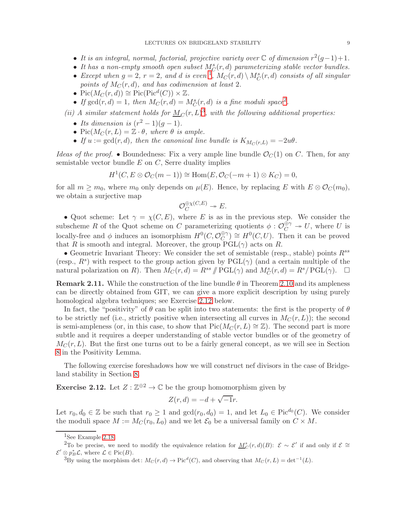- It is an integral, normal, factorial, projective variety over  $\mathbb C$  of dimension  $r^2(g-1)+1$ .
- It has a non-empty smooth open subset  $M_C^s(r,d)$  parameterizing stable vector bundles.
- It has a non-empty smooth open sabset  $M_C(r, a)$  parameterizing static vector banalistics.<br>• Except when  $g = 2$ ,  $r = 2$ , and d is even <sup>[1](#page-8-0)</sup>,  $M_C(r, d) \setminus M_C^s(r, d)$  consists of all singular points of  $M<sub>C</sub>(r, d)$ , and has codimension at least 2.
- Pic $(M_C(r, d)) \cong Pic(Pic^d(C)) \times \mathbb{Z}$ .
- If  $gcd(r, d) = 1$ , then  $M_C(r, d) = M_C^s(r, d)$  is a fine moduli space<sup>[2](#page-8-1)</sup>.

(ii) A similar statement holds for  $\underline{M}_C(r,L)^3$  $\underline{M}_C(r,L)^3$ , with the following additional properties:

- Its dimension is  $(r^2-1)(g-1)$ .
- Pic( $M_C(r, L) = \mathbb{Z} \cdot \theta$ , where  $\theta$  is ample.
- If  $u := \gcd(r, d)$ , then the canonical line bundle is  $K_{M_C(r, L)} = -2u\theta$ .

*Ideas of the proof.* • Boundedness: Fix a very ample line bundle  $\mathcal{O}_C(1)$  on C. Then, for any semistable vector bundle  $E$  on  $C$ , Serre duality implies

$$
H^1(C, E \otimes \mathcal{O}_C(m-1)) \cong \text{Hom}(E, \mathcal{O}_C(-m+1) \otimes K_C) = 0,
$$

for all  $m \ge m_0$ , where  $m_0$  only depends on  $\mu(E)$ . Hence, by replacing E with  $E \otimes \mathcal{O}_C(m_0)$ , we obtain a surjective map

$$
\mathcal{O}_C^{\oplus \chi(C,E)} \twoheadrightarrow E.
$$

• Quot scheme: Let  $\gamma = \chi(C, E)$ , where E is as in the previous step. We consider the subscheme R of the Quot scheme on C parameterizing quotients  $\phi: \mathcal{O}_C^{\oplus \gamma} \to U$ , where U is locally-free and  $\phi$  induces an isomorphism  $H^0(C, \mathcal{O}_C^{\oplus \gamma}) \cong H^0(C, U)$ . Then it can be proved that R is smooth and integral. Moreover, the group  $PGL(\gamma)$  acts on R.

• Geometric Invariant Theory: We consider the set of semistable (resp., stable) points  $R^{ss}$ (resp.,  $R^s$ ) with respect to the group action given by PGL( $\gamma$ ) (and a certain multiple of the natural polarization on R). Then  $M_C(r, d) = R^{ss} / \operatorname{PGL}(\gamma)$  and  $M_C^s(r, d) = R^s / \operatorname{PGL}(\gamma)$ .  $\Box$ 

**Remark 2.11.** While the construction of the line bundle  $\theta$  in Theorem [2.10](#page-7-1) and its ampleness can be directly obtained from GIT, we can give a more explicit description by using purely homological algebra techniques; see Exercise [2.12](#page-8-3) below.

In fact, the "positivity" of  $\theta$  can be split into two statements: the first is the property of  $\theta$ to be strictly nef (i.e., strictly positive when intersecting all curves in  $M_C(r, L)$ ); the second is semi-ampleness (or, in this case, to show that Pic $(M_C(r, L) \cong \mathbb{Z})$ ). The second part is more subtle and it requires a deeper understanding of stable vector bundles or of the geometry of  $M<sub>C</sub>(r, L)$ . But the first one turns out to be a fairly general concept, as we will see in Section [8](#page-42-0) in the Positivity Lemma.

The following exercise foreshadows how we will construct nef divisors in the case of Bridgeland stability in Section [8.](#page-42-0)

<span id="page-8-3"></span>**Exercise 2.12.** Let  $Z : \mathbb{Z}^{\oplus 2} \to \mathbb{C}$  be the group homomorphism given by

$$
Z(r,d) = -d + \sqrt{-1}r.
$$

Let  $r_0, d_0 \in \mathbb{Z}$  be such that  $r_0 \geq 1$  and  $gcd(r_0, d_0) = 1$ , and let  $L_0 \in Pic^{d_0}(C)$ . We consider the moduli space  $M := M_C(r_0, L_0)$  and we let  $\mathcal{E}_0$  be a universal family on  $C \times M$ .

<span id="page-8-0"></span> $1$ See Example [2.18.](#page-11-1)

<sup>&</sup>lt;sup>2</sup>To be precise, we need to modify the equivalence relation for  $\underline{M}_{C}^{s}(r,d)(B)$ :  $\mathcal{E} \sim \mathcal{E}'$  if and only if  $\mathcal{E} \cong$  $\mathcal{E}' \otimes p_B^* \mathcal{L}$ , where  $\mathcal{L} \in Pic(B)$ .

<span id="page-8-2"></span><span id="page-8-1"></span><sup>&</sup>lt;sup>3</sup>By using the morphism det:  $M_C(r,d) \to \text{Pic}^d(C)$ , and observing that  $M_C(r,L) = \det^{-1}(L)$ .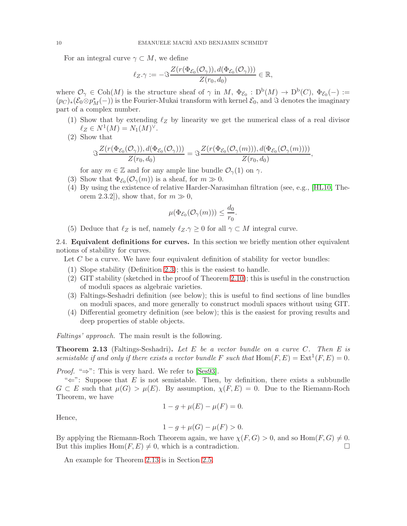For an integral curve  $\gamma \subset M$ , we define

$$
\ell_Z.\gamma := -\Im \frac{Z(r(\Phi_{\mathcal{E}_0}(\mathcal{O}_\gamma)), d(\Phi_{\mathcal{E}_0}(\mathcal{O}_\gamma)))}{Z(r_0, d_0)} \in \mathbb{R},
$$

where  $\mathcal{O}_{\gamma} \in \text{Coh}(M)$  is the structure sheaf of  $\gamma$  in  $M$ ,  $\Phi_{\mathcal{E}_0} : D^b(M) \to D^b(C)$ ,  $\Phi_{\mathcal{E}_0}(-) :=$  $(p_C)_*(\mathcal{E}_0 \otimes p_M^*(-))$  is the Fourier-Mukai transform with kernel  $\mathcal{E}_0$ , and  $\Im$  denotes the imaginary part of a complex number.

- (1) Show that by extending  $\ell_Z$  by linearity we get the numerical class of a real divisor  $\ell_Z \in N^1(M) = N_1(M)^{\vee}.$
- (2) Show that

$$
\Im \frac{Z(r(\Phi_{\mathcal{E}_0}(\mathcal{O}_\gamma)), d(\Phi_{\mathcal{E}_0}(\mathcal{O}_\gamma)))}{Z(r_0, d_0)} = \Im \frac{Z(r(\Phi_{\mathcal{E}_0}(\mathcal{O}_\gamma(m))), d(\Phi_{\mathcal{E}_0}(\mathcal{O}_\gamma(m))))}{Z(r_0, d_0)},
$$

for any  $m \in \mathbb{Z}$  and for any ample line bundle  $\mathcal{O}_{\gamma}(1)$  on  $\gamma$ .

- (3) Show that  $\Phi_{\mathcal{E}_0}(\mathcal{O}_{\gamma}(m))$  is a sheaf, for  $m \gg 0$ .
- (4) By using the existence of relative Harder-Narasimhan filtration (see, e.g., [\[HL10,](#page-55-7) Theorem 2.3.2]), show that, for  $m \gg 0$ ,

$$
\mu(\Phi_{\mathcal{E}_0}(\mathcal{O}_\gamma(m))) \leq \frac{d_0}{r_0}.
$$

(5) Deduce that  $\ell_Z$  is nef, namely  $\ell_Z.\gamma \geq 0$  for all  $\gamma \subset M$  integral curve.

<span id="page-9-0"></span>2.4. Equivalent definitions for curves. In this section we briefly mention other equivalent notions of stability for curves.

Let  $C$  be a curve. We have four equivalent definition of stability for vector bundles:

- (1) Slope stability (Definition 2.3); this is the easiest to handle.
- (2) GIT stability (sketched in the proof of Theorem [2.10\)](#page-7-1); this is useful in the construction of moduli spaces as algebraic varieties.
- (3) Faltings-Seshadri definition (see below); this is useful to find sections of line bundles on moduli spaces, and more generally to construct moduli spaces without using GIT.
- (4) Differential geometry definition (see below); this is the easiest for proving results and deep properties of stable objects.

Faltings' approach. The main result is the following.

<span id="page-9-1"></span>**Theorem 2.13** (Faltings-Seshadri). Let E be a vector bundle on a curve C. Then E is semistable if and only if there exists a vector bundle F such that  $\text{Hom}(F, E) = \text{Ext}^1(F, E) = 0$ .

*Proof.* " $\Rightarrow$ ": This is very hard. We refer to [\[Ses93\]](#page-57-11).

" $\Leftarrow$ ": Suppose that E is not semistable. Then, by definition, there exists a subbundle  $G \subset E$  such that  $\mu(G) > \mu(E)$ . By assumption,  $\chi(F, E) = 0$ . Due to the Riemann-Roch Theorem, we have

$$
1 - g + \mu(E) - \mu(F) = 0.
$$

Hence,

$$
1 - g + \mu(G) - \mu(F) > 0.
$$

By applying the Riemann-Roch Theorem again, we have  $\chi(F, G) > 0$ , and so  $\text{Hom}(F, G) \neq 0$ .<br>But this implies  $\text{Hom}(F, E) \neq 0$ , which is a contradiction. But this implies  $Hom(F, E) \neq 0$ , which is a contradiction.

An example for Theorem [2.13](#page-9-1) is in Section [2.5.](#page-11-0)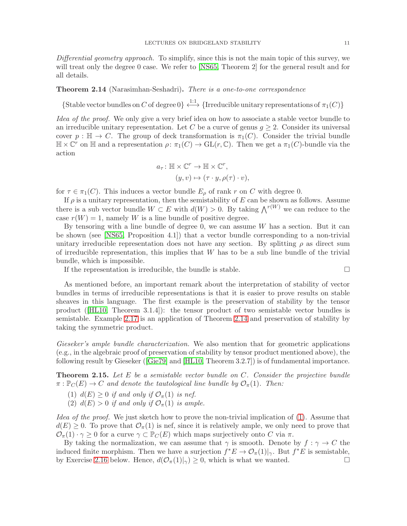Differential geometry approach. To simplify, since this is not the main topic of this survey, we will treat only the degree 0 case. We refer to [\[NS65,](#page-56-14) Theorem 2] for the general result and for all details.

#### <span id="page-10-0"></span>Theorem 2.14 (Narasimhan-Seshadri). There is a one-to-one correspondence

{Stable vector bundles on C of degree 0}  $\xleftrightarrow{\text{1:1}}$  {Irreducible unitary representations of  $\pi_1(C)$ }

Idea of the proof. We only give a very brief idea on how to associate a stable vector bundle to an irreducible unitary representation. Let C be a curve of genus  $g \geq 2$ . Consider its universal cover  $p : \mathbb{H} \to C$ . The group of deck transformation is  $\pi_1(C)$ . Consider the trivial bundle  $\mathbb{H} \times \mathbb{C}^r$  on  $\mathbb{H}$  and a representation  $\rho \colon \pi_1(C) \to \text{GL}(r, \mathbb{C})$ . Then we get a  $\pi_1(C)$ -bundle via the action

$$
a_{\tau} \colon \mathbb{H} \times \mathbb{C}^r \to \mathbb{H} \times \mathbb{C}^r,
$$
  

$$
(y, v) \mapsto (\tau \cdot y, \rho(\tau) \cdot v),
$$

for  $\tau \in \pi_1(C)$ . This induces a vector bundle  $E_\rho$  of rank r on C with degree 0.

If  $\rho$  is a unitary representation, then the semistability of E can be shown as follows. Assume there is a sub vector bundle  $W \subset E$  with  $d(W) > 0$ . By taking  $\bigwedge^{r(W)}$  we can reduce to the case  $r(W) = 1$ , namely W is a line bundle of positive degree.

By tensoring with a line bundle of degree  $0$ , we can assume  $W$  has a section. But it can be shown (see [\[NS65,](#page-56-14) Proposition 4.1]) that a vector bundle corresponding to a non-trivial unitary irreducible representation does not have any section. By splitting  $\rho$  as direct sum of irreducible representation, this implies that  $W$  has to be a sub line bundle of the trivial bundle, which is impossible.

If the representation is irreducible, the bundle is stable.  $\Box$ 

As mentioned before, an important remark about the interpretation of stability of vector bundles in terms of irreducible representations is that it is easier to prove results on stable sheaves in this language. The first example is the preservation of stability by the tensor product([\[HL10,](#page-55-7) Theorem 3.1.4]): the tensor product of two semistable vector bundles is semistable. Example [2.17](#page-11-2) is an application of Theorem [2.14](#page-10-0) and preservation of stability by taking the symmetric product.

Gieseker's ample bundle characterization. We also mention that for geometric applications (e.g., in the algebraic proof of preservation of stability by tensor product mentioned above), the following result by Gieseker([\[Gie79\]](#page-55-10) and [\[HL10,](#page-55-7) Theorem 3.2.7]) is of fundamental importance.

<span id="page-10-2"></span><span id="page-10-1"></span>**Theorem 2.15.** Let  $E$  be a semistable vector bundle on  $C$ . Consider the projective bundle  $\pi: \mathbb{P}_C(E) \to C$  and denote the tautological line bundle by  $\mathcal{O}_{\pi}(1)$ . Then:

- (1)  $d(E) \geq 0$  if and only if  $\mathcal{O}_{\pi}(1)$  is nef.
- (2)  $d(E) > 0$  if and only if  $\mathcal{O}_{\pi}(1)$  is ample.

Idea of the proof. We just sketch how to prove the non-trivial implication of [\(1\)](#page-10-1). Assume that  $d(E) \geq 0$ . To prove that  $\mathcal{O}_{\pi}(1)$  is nef, since it is relatively ample, we only need to prove that  $\mathcal{O}_{\pi}(1) \cdot \gamma \geq 0$  for a curve  $\gamma \subset \mathbb{P}_{C}(E)$  which maps surjectively onto C via  $\pi$ .

By taking the normalization, we can assume that  $\gamma$  is smooth. Denote by  $f : \gamma \to C$  the induced finite morphism. Then we have a surjection  $f^*E \to \mathcal{O}_\pi(1)|_\gamma$ . But  $f^*E$  is semistable, by Exercise [2.16](#page-11-3) below. Hence,  $d(\mathcal{O}_{\pi}(1)|_{\gamma}) \geq 0$ , which is what we wanted.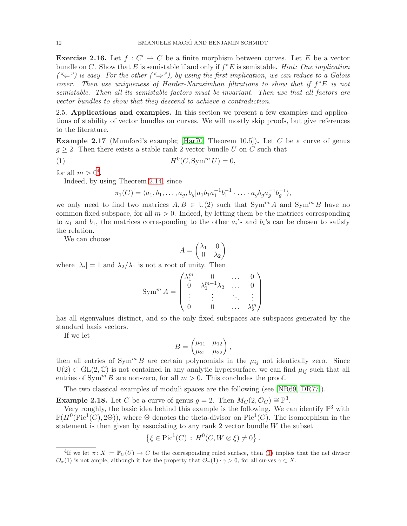<span id="page-11-3"></span>**Exercise 2.16.** Let  $f: C' \to C$  be a finite morphism between curves. Let E be a vector bundle on C. Show that E is semistable if and only if  $f^*E$  is semistable. *Hint: One implication* (" $\Leftarrow$ ") is easy. For the other (" $\Rightarrow$ "), by using the first implication, we can reduce to a Galois cover. Then use uniqueness of Harder-Narasimhan filtrations to show that if  $f^*E$  is not semistable. Then all its semistable factors must be invariant. Then use that all factors are vector bundles to show that they descend to achieve a contradiction.

<span id="page-11-0"></span>2.5. Applications and examples. In this section we present a few examples and applications of stability of vector bundles on curves. We will mostly skip proofs, but give references to the literature.

<span id="page-11-2"></span>**Example 2.17** (Mumford's example; [\[Har70,](#page-55-11) Theorem 10.5]). Let C be a curve of genus  $g \geq 2$ . Then there exists a stable rank 2 vector bundle U on C such that

$$
(1) \tH0(C, \operatorname{Sym}^{m} U) = 0,
$$

for all  $m > 0<sup>4</sup>$  $m > 0<sup>4</sup>$  $m > 0<sup>4</sup>$ .

Indeed, by using Theorem [2.14,](#page-10-0) since

<span id="page-11-5"></span>
$$
\pi_1(C) = \langle a_1, b_1, \dots, a_g, b_g | a_1 b_1 a_1^{-1} b_1^{-1} \cdot \dots \cdot a_g b_g a_g^{-1} b_g^{-1} \rangle,
$$

we only need to find two matrices  $A, B \in U(2)$  such that  $Sym^m A$  and  $Sym^m B$  have no common fixed subspace, for all  $m > 0$ . Indeed, by letting them be the matrices corresponding to  $a_1$  and  $b_1$ , the matrices corresponding to the other  $a_i$ 's and  $b_i$ 's can be chosen to satisfy the relation.

We can choose

$$
A = \begin{pmatrix} \lambda_1 & 0 \\ 0 & \lambda_2 \end{pmatrix}
$$

where  $|\lambda_i| = 1$  and  $\lambda_2/\lambda_1$  is not a root of unity. Then

$$
\text{Sym}^m A = \begin{pmatrix} \lambda_1^m & 0 & \cdots & 0 \\ 0 & \lambda_1^{m-1} \lambda_2 & \cdots & 0 \\ \vdots & \vdots & \ddots & \vdots \\ 0 & 0 & \cdots & \lambda_2^m \end{pmatrix}
$$

has all eigenvalues distinct, and so the only fixed subspaces are subspaces generated by the standard basis vectors.

If we let

$$
B = \begin{pmatrix} \mu_{11} & \mu_{12} \\ \mu_{21} & \mu_{22} \end{pmatrix},
$$

then all entries of  $Sym^m B$  are certain polynomials in the  $\mu_{ij}$  not identically zero. Since  $U(2) \subset GL(2,\mathbb{C})$  is not contained in any analytic hypersurface, we can find  $\mu_{ij}$  such that all entries of  $Sym^m B$  are non-zero, for all  $m > 0$ . This concludes the proof.

The two classical examples of moduli spaces are the following (see [\[NR69,](#page-56-15) [DR77\]](#page-55-12)).

<span id="page-11-1"></span>**Example 2.18.** Let C be a curve of genus  $g = 2$ . Then  $M_C(2, \mathcal{O}_C) \cong \mathbb{P}^3$ .

Very roughly, the basic idea behind this example is the following. We can identify  $\mathbb{P}^3$  with  $\mathbb{P}(H^0(\text{Pic}^1(C), 2\Theta))$ , where  $\Theta$  denotes the theta-divisor on Pic<sup>1</sup>(C). The isomorphism in the statement is then given by associating to any rank 2 vector bundle W the subset

$$
\{\xi \in Pic^1(C) : H^0(C, W \otimes \xi) \neq 0\}.
$$

<span id="page-11-4"></span><sup>&</sup>lt;sup>4</sup>If we let  $\pi: X := \mathbb{P}_C(U) \to C$  be the corresponding ruled surface, then [\(1\)](#page-11-5) implies that the nef divisor  $\mathcal{O}_{\pi}(1)$  is not ample, although it has the property that  $\mathcal{O}_{\pi}(1) \cdot \gamma > 0$ , for all curves  $\gamma \subset X$ .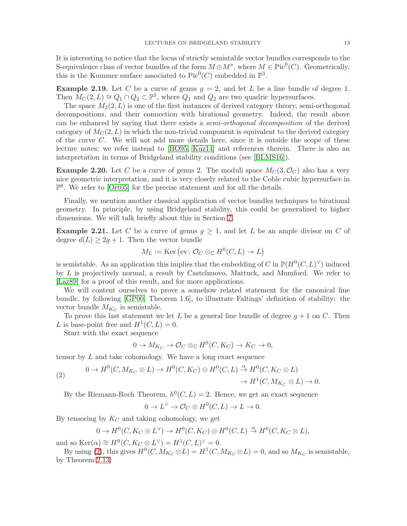It is interesting to notice that the locus of strictly semistable vector bundles corresponds to the S-equivalence class of vector bundles of the form  $M \oplus M^*$ , where  $M \in Pic^0(C)$ . Geometrically, this is the Kummer surface associated to  $Pic^0(C)$  embedded in  $\mathbb{P}^3$ .

**Example 2.19.** Let C be a curve of genus  $q = 2$ , and let L be a line bundle of degree 1. Then  $M_C(2, L) \cong Q_1 \cap Q_2 \subset \mathbb{P}^5$ , where  $Q_1$  and  $Q_2$  are two quadric hypersurfaces.

The space  $M_2(2, L)$  is one of the first instances of derived category theory, semi-orthogonal decompositions, and their connection with birational geometry. Indeed, the result above can be enhanced by saying that there exists a semi-orthogonal decomposition of the derived category of  $M_C(2, L)$  in which the non-trivial component is equivalent to the derived category of the curve  $C$ . We will not add more details here, since it is outside the scope of these lecture notes; we refer instead to [\[BO95,](#page-54-16) [Kuz14\]](#page-56-16) and references therein. There is also an interpretation in terms of Bridgeland stability conditions (see [\[BLMS16\]](#page-54-17)).

**Example 2.20.** Let C be a curve of genus 2. The moduli space  $M_C(3, \mathcal{O}_C)$  also has a very nice geometric interpretation, and it is very closely related to the Coble cubic hypersurface in  $\mathbb{P}^8$ . We refer to [\[Ort05\]](#page-56-17) for the precise statement and for all the details.

Finally, we mention another classical application of vector bundles techniques to birational geometry. In principle, by using Bridgeland stability, this could be generalized to higher dimensions. We will talk briefly about this in Section [7.](#page-39-0)

**Example 2.21.** Let C be a curve of genus  $q \geq 1$ , and let L be an ample divisor on C of degree  $d(L) \geq 2g + 1$ . Then the vector bundle

$$
M_L := \text{Ker}(\text{ev}: \mathcal{O}_C \otimes_{\mathbb{C}} H^0(C, L) \to L)
$$

is semistable. As an application this implies that the embedding of C in  $\mathbb{P}(H^0(C, L)^{\vee})$  induced by L is projectively normal, a result by Castelnuovo, Mattuck, and Mumford. We refer to [\[Laz89\]](#page-56-18) for a proof of this result, and for more applications.

We will content ourselves to prove a somehow related statement for the canonical line bundle, by following [\[GP00,](#page-55-13) Theorem 1.6], to illustrate Faltings' definition of stability: the vector bundle  $M_{K_C}$  is semistable.

To prove this last statement we let L be a general line bundle of degree  $g + 1$  on C. Then L is base-point free and  $H^1(C, L) = 0$ .

Start with the exact sequence

$$
0 \to M_{K_C} \to \mathcal{O}_C \otimes_{\mathbb{C}} H^0(C, K_C) \to K_C \to 0,
$$

tensor by L and take cohomology. We have a long exact sequence

<span id="page-12-0"></span>(2) 
$$
0 \to H^0(C, M_{K_C} \otimes L) \to H^0(C, K_C) \otimes H^0(C, L) \xrightarrow{\alpha} H^0(C, K_C \otimes L) \to H^1(C, M_{K_C} \otimes L) \to 0.
$$

By the Riemann-Roch Theorem,  $h^0(C, L) = 2$ . Hence, we get an exact sequence

$$
0 \to L^{\vee} \to \mathcal{O}_C \otimes H^0(C, L) \to L \to 0.
$$

By tensoring by  $K_C$  and taking cohomology, we get

$$
0 \to H^0(C, K_C \otimes L^{\vee}) \to H^0(C, K_C) \otimes H^0(C, L) \stackrel{\alpha}{\to} H^0(C, K_C \otimes L),
$$

and so  $\text{Ker}(\alpha) \cong H^0(C, K_C \otimes L^{\vee}) = H^1(C, L)^{\vee} = 0.$ 

By using [\(2\)](#page-12-0), this gives  $H^0(C, M_{K_C} \otimes L) = H^1(C, M_{K_C} \otimes L) = 0$ , and so  $M_{K_C}$  is semistable, by Theorem [2.13.](#page-9-1)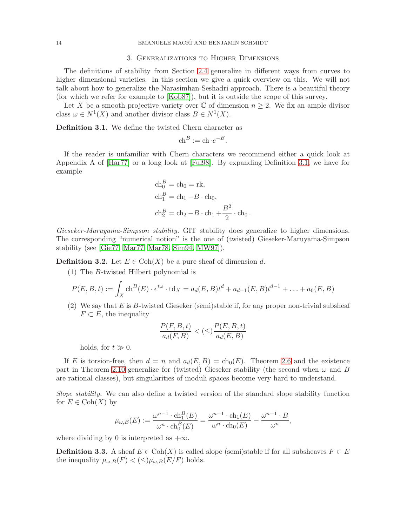### 3. Generalizations to Higher Dimensions

<span id="page-13-0"></span>The definitions of stability from Section [2.4](#page-9-0) generalize in different ways from curves to higher dimensional varieties. In this section we give a quick overview on this. We will not talk about how to generalize the Narasimhan-Seshadri approach. There is a beautiful theory (for which we refer for example to [\[Kob87\]](#page-56-19)), but it is outside the scope of this survey.

Let X be a smooth projective variety over  $\mathbb C$  of dimension  $n \geq 2$ . We fix an ample divisor class  $\omega \in N^1(X)$  and another divisor class  $B \in N^1(X)$ .

<span id="page-13-1"></span>Definition 3.1. We define the twisted Chern character as

$$
ch^B := ch \cdot e^{-B}.
$$

If the reader is unfamiliar with Chern characters we recommend either a quick look at Appendix A of [\[Har77\]](#page-55-14) or a long look at [\[Ful98\]](#page-55-15). By expanding Definition [3.1,](#page-13-1) we have for example

$$
ch_0^B = ch_0 = \text{rk},
$$
  
\n
$$
ch_1^B = ch_1 - B \cdot ch_0,
$$
  
\n
$$
ch_2^B = ch_2 - B \cdot ch_1 + \frac{B^2}{2} \cdot ch_0.
$$

Gieseker-Maruyama-Simpson stability. GIT stability does generalize to higher dimensions. The corresponding "numerical notion" is the one of (twisted) Gieseker-Maruyama-Simpson stability (see [\[Gie77,](#page-55-16) [Mar77,](#page-56-20) [Mar78,](#page-56-21) [Sim94,](#page-57-12) [MW97\]](#page-56-22)).

**Definition 3.2.** Let  $E \in \text{Coh}(X)$  be a pure sheaf of dimension d.

(1) The B-twisted Hilbert polynomial is

$$
P(E, B, t) := \int_X ch^B(E) \cdot e^{t\omega} \cdot td_X = a_d(E, B)t^d + a_{d-1}(E, B)t^{d-1} + \dots + a_0(E, B)
$$

(2) We say that  $E$  is  $B$ -twisted Gieseker (semi)stable if, for any proper non-trivial subsheaf  $F \subset E$ , the inequality

$$
\frac{P(F, B, t)}{a_d(F, B)} < (\leq) \frac{P(E, B, t)}{a_d(E, B)}
$$

holds, for  $t \gg 0$ .

If E is torsion-free, then  $d = n$  and  $a_d(E, B) = ch_0(E)$ . Theorem [2.6](#page-6-2) and the existence part in Theorem [2.10](#page-7-1) generalize for (twisted) Gieseker stability (the second when  $\omega$  and B are rational classes), but singularities of moduli spaces become very hard to understand.

Slope stability. We can also define a twisted version of the standard slope stability function for  $E \in \text{Coh}(X)$  by

$$
\mu_{\omega,B}(E) := \frac{\omega^{n-1} \cdot \mathrm{ch}_1^B(E)}{\omega^n \cdot \mathrm{ch}_0^B(E)} = \frac{\omega^{n-1} \cdot \mathrm{ch}_1(E)}{\omega^n \cdot \mathrm{ch}_0(E)} - \frac{\omega^{n-1} \cdot B}{\omega^n},
$$

where dividing by 0 is interpreted as  $+\infty$ .

<span id="page-13-2"></span>**Definition 3.3.** A sheaf  $E \in \text{Coh}(X)$  is called slope (semi)stable if for all subsheaves  $F \subset E$ the inequality  $\mu_{\omega,B}(F) < (\leq)\mu_{\omega,B}(E/F)$  holds.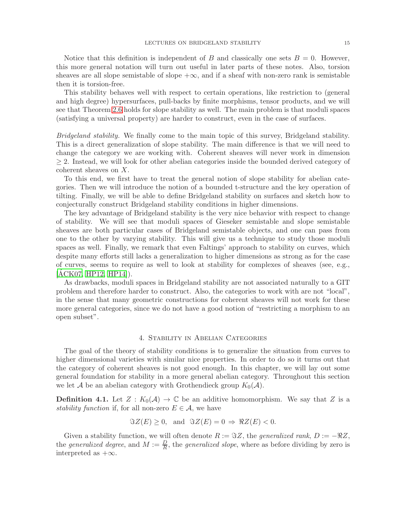Notice that this definition is independent of B and classically one sets  $B = 0$ . However, this more general notation will turn out useful in later parts of these notes. Also, torsion sheaves are all slope semistable of slope  $+\infty$ , and if a sheaf with non-zero rank is semistable then it is torsion-free.

This stability behaves well with respect to certain operations, like restriction to (general and high degree) hypersurfaces, pull-backs by finite morphisms, tensor products, and we will see that Theorem [2.6](#page-6-2) holds for slope stability as well. The main problem is that moduli spaces (satisfying a universal property) are harder to construct, even in the case of surfaces.

Bridgeland stability. We finally come to the main topic of this survey, Bridgeland stability. This is a direct generalization of slope stability. The main difference is that we will need to change the category we are working with. Coherent sheaves will never work in dimension ≥ 2. Instead, we will look for other abelian categories inside the bounded derived category of coherent sheaves on X.

To this end, we first have to treat the general notion of slope stability for abelian categories. Then we will introduce the notion of a bounded t-structure and the key operation of tilting. Finally, we will be able to define Bridgeland stability on surfaces and sketch how to conjecturally construct Bridgeland stability conditions in higher dimensions.

The key advantage of Bridgeland stability is the very nice behavior with respect to change of stability. We will see that moduli spaces of Gieseker semistable and slope semistable sheaves are both particular cases of Bridgeland semistable objects, and one can pass from one to the other by varying stability. This will give us a technique to study those moduli spaces as well. Finally, we remark that even Faltings' approach to stability on curves, which despite many efforts still lacks a generalization to higher dimensions as strong as for the case of curves, seems to require as well to look at stability for complexes of sheaves (see, e.g.,  $[ACK07, HP12, HP14]$  $[ACK07, HP12, HP14]$  $[ACK07, HP12, HP14]$ .

As drawbacks, moduli spaces in Bridgeland stability are not associated naturally to a GIT problem and therefore harder to construct. Also, the categories to work with are not "local", in the sense that many geometric constructions for coherent sheaves will not work for these more general categories, since we do not have a good notion of "restricting a morphism to an open subset".

### 4. Stability in Abelian Categories

<span id="page-14-0"></span>The goal of the theory of stability conditions is to generalize the situation from curves to higher dimensional varieties with similar nice properties. In order to do so it turns out that the category of coherent sheaves is not good enough. In this chapter, we will lay out some general foundation for stability in a more general abelian category. Throughout this section we let A be an abelian category with Grothendieck group  $K_0(\mathcal{A})$ .

**Definition 4.1.** Let  $Z : K_0(\mathcal{A}) \to \mathbb{C}$  be an additive homomorphism. We say that Z is a stability function if, for all non-zero  $E \in \mathcal{A}$ , we have

$$
\Im Z(E) \ge 0, \text{ and } \Im Z(E) = 0 \Rightarrow \Re Z(E) < 0.
$$

Given a stability function, we will often denote  $R := \Im Z$ , the generalized rank,  $D := -\Re Z$ , the *generalized degree*, and  $M := \frac{D}{R}$ , the *generalized slope*, where as before dividing by zero is interpreted as  $+\infty$ .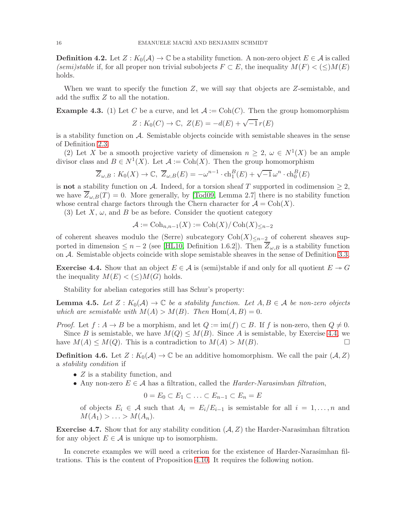**Definition 4.2.** Let  $Z : K_0(\mathcal{A}) \to \mathbb{C}$  be a stability function. A non-zero object  $E \in \mathcal{A}$  is called (semi)stable if, for all proper non trivial subobjects  $F \subset E$ , the inequality  $M(F) < (\leq)M(E)$ holds.

When we want to specify the function  $Z$ , we will say that objects are  $Z$ -semistable, and add the suffix Z to all the notation.

<span id="page-15-1"></span>**Example 4.3.** (1) Let C be a curve, and let  $\mathcal{A} := \text{Coh}(C)$ . Then the group homomorphism

$$
Z: K_0(C) \to \mathbb{C}, Z(E) = -d(E) + \sqrt{-1}r(E)
$$

is a stability function on A. Semistable objects coincide with semistable sheaves in the sense of Definition 2.3.

(2) Let X be a smooth projective variety of dimension  $n \geq 2$ ,  $\omega \in N^1(X)$  be an ample divisor class and  $B \in N^1(X)$ . Let  $\mathcal{A} := \text{Coh}(X)$ . Then the group homomorphism

$$
\overline{Z}_{\omega,B}: K_0(X) \to \mathbb{C}, \ \overline{Z}_{\omega,B}(E) = -\omega^{n-1} \cdot \mathrm{ch}_1^B(E) + \sqrt{-1} \omega^n \cdot \mathrm{ch}_0^B(E)
$$

is **not** a stability function on A. Indeed, for a torsion sheaf T supported in codimension  $\geq 2$ , we have  $\overline{Z}_{\omega,B}(T) = 0$ . More generally, by [\[Tod09,](#page-57-13) Lemma 2.7] there is no stability function whose central charge factors through the Chern character for  $\mathcal{A} = \text{Coh}(X)$ .

(3) Let X,  $\omega$ , and B be as before. Consider the quotient category

$$
\mathcal{A} := \mathrm{Coh}_{n,n-1}(X) := \mathrm{Coh}(X) / \mathrm{Coh}(X) \leq_{n-2}
$$

of coherent sheaves modulo the (Serre) subcategory  $\text{Coh}(X)_{\leq n-2}$  of coherent sheaves supported in dimension  $\leq n-2$  (see [\[HL10,](#page-55-7) Definition 1.6.2]). Then  $Z_{\omega,B}$  is a stability function on A. Semistable objects coincide with slope semistable sheaves in the sense of Definition [3.3.](#page-13-2)

<span id="page-15-0"></span>**Exercise 4.4.** Show that an object  $E \in \mathcal{A}$  is (semi)stable if and only for all quotient  $E \rightarrow G$ the inequality  $M(E) < (\leq) M(G)$  holds.

Stability for abelian categories still has Schur's property:

<span id="page-15-4"></span>**Lemma 4.5.** Let  $Z: K_0(\mathcal{A}) \to \mathbb{C}$  be a stability function. Let  $A, B \in \mathcal{A}$  be non-zero objects which are semistable with  $M(A) > M(B)$ . Then  $\text{Hom}(A, B) = 0$ .

*Proof.* Let  $f : A \to B$  be a morphism, and let  $Q := \text{im}(f) \subset B$ . If f is non-zero, then  $Q \neq 0$ .

Since B is semistable, we have  $M(Q) \leq M(B)$ . Since A is semistable, by Exercise [4.4,](#page-15-0) we  $M(A) \leq M(Q)$ . This is a contradiction to  $M(A) \geq M(B)$ . have  $M(A) \leq M(Q)$ . This is a contradiction to  $M(A) > M(B)$ .

<span id="page-15-3"></span>**Definition 4.6.** Let  $Z : K_0(\mathcal{A}) \to \mathbb{C}$  be an additive homomorphism. We call the pair  $(\mathcal{A}, Z)$ a stability condition if

- $Z$  is a stability function, and
- Any non-zero  $E \in \mathcal{A}$  has a filtration, called the *Harder-Narasimhan filtration*,

$$
0 = E_0 \subset E_1 \subset \ldots \subset E_{n-1} \subset E_n = E
$$

of objects  $E_i \in \mathcal{A}$  such that  $A_i = E_i/E_{i-1}$  is semistable for all  $i = 1, \ldots, n$  and  $M(A_1) > ... > M(A_n).$ 

<span id="page-15-2"></span>**Exercise 4.7.** Show that for any stability condition  $(A, Z)$  the Harder-Narasimhan filtration for any object  $E \in \mathcal{A}$  is unique up to isomorphism.

In concrete examples we will need a criterion for the existence of Harder-Narasimhan filtrations. This is the content of Proposition [4.10.](#page-16-0) It requires the following notion.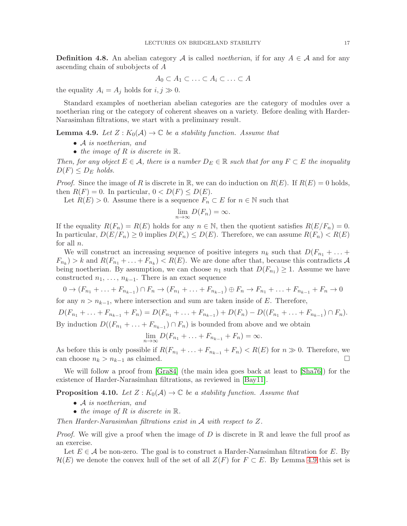**Definition 4.8.** An abelian category A is called *noetherian*, if for any  $A \in \mathcal{A}$  and for any ascending chain of subobjects of A

$$
A_0 \subset A_1 \subset \ldots \subset A_i \subset \ldots \subset A
$$

the equality  $A_i = A_j$  holds for  $i, j \gg 0$ .

Standard examples of noetherian abelian categories are the category of modules over a noetherian ring or the category of coherent sheaves on a variety. Before dealing with Harder-Narasimhan filtrations, we start with a preliminary result.

<span id="page-16-1"></span>**Lemma 4.9.** Let  $Z: K_0(\mathcal{A}) \to \mathbb{C}$  be a stability function. Assume that

- A is noetherian, and
- the image of R is discrete in  $\mathbb R$ .

Then, for any object  $E \in \mathcal{A}$ , there is a number  $D_E \in \mathbb{R}$  such that for any  $F \subset E$  the inequality  $D(F) \leq D_E$  holds.

*Proof.* Since the image of R is discrete in  $\mathbb{R}$ , we can do induction on  $R(E)$ . If  $R(E) = 0$  holds, then  $R(F) = 0$ . In particular,  $0 < D(F) \leq D(E)$ .

Let  $R(E) > 0$ . Assume there is a sequence  $F_n \subset E$  for  $n \in \mathbb{N}$  such that

$$
\lim_{n \to \infty} D(F_n) = \infty.
$$

If the equality  $R(F_n) = R(E)$  holds for any  $n \in \mathbb{N}$ , then the quotient satisfies  $R(E/F_n) = 0$ . In particular,  $D(E/F_n) \ge 0$  implies  $D(F_n) \le D(E)$ . Therefore, we can assume  $R(F_n) < R(E)$ for all  $n$ .

We will construct an increasing sequence of positive integers  $n_k$  such that  $D(F_{n_1} + ... +$  $(F_{n_k}) > k$  and  $R(F_{n_1} + \ldots + F_{n_k}) < R(E)$ . We are done after that, because this contradicts A being noetherian. By assumption, we can choose  $n_1$  such that  $D(F_{n_1}) \geq 1$ . Assume we have constructed  $n_1, \ldots, n_{k-1}$ . There is an exact sequence

$$
0 \to (F_{n_1} + \ldots + F_{n_{k-1}}) \cap F_n \to (F_{n_1} + \ldots + F_{n_{k-1}}) \oplus F_n \to F_{n_1} + \ldots + F_{n_{k-1}} + F_n \to 0
$$

for any  $n > n_{k-1}$ , where intersection and sum are taken inside of E. Therefore,

$$
D(F_{n_1} + \ldots + F_{n_{k-1}} + F_n) = D(F_{n_1} + \ldots + F_{n_{k-1}}) + D(F_n) - D((F_{n_1} + \ldots + F_{n_{k-1}}) \cap F_n).
$$

By induction  $D((F_{n_1} + ... + F_{n_{k-1}}) \cap F_n)$  is bounded from above and we obtain

$$
\lim_{n\to\infty} D(F_{n_1}+\ldots+F_{n_{k-1}}+F_n)=\infty.
$$

As before this is only possible if  $R(F_{n_1} + \ldots + F_{n_{k-1}} + F_n) < R(E)$  for  $n \gg 0$ . Therefore, we can choose  $n_k > n_{k-1}$  as claimed. can choose  $n_k > n_{k-1}$  as claimed.

We will follow a proof from [\[Gra84\]](#page-55-19) (the main idea goes back at least to [\[Sha76\]](#page-57-14)) for the existence of Harder-Narasimhan filtrations, as reviewed in [\[Bay11\]](#page-53-5).

<span id="page-16-0"></span>**Proposition 4.10.** Let  $Z: K_0(\mathcal{A}) \to \mathbb{C}$  be a stability function. Assume that

- A is noetherian, and
- the image of R is discrete in  $\mathbb{R}$ .

Then Harder-Narasimhan filtrations exist in A with respect to Z.

*Proof.* We will give a proof when the image of D is discrete in  $\mathbb R$  and leave the full proof as an exercise.

Let  $E \in \mathcal{A}$  be non-zero. The goal is to construct a Harder-Narasimhan filtration for E. By  $\mathcal{H}(E)$  we denote the convex hull of the set of all  $Z(F)$  for  $F \subset E$ . By Lemma [4.9](#page-16-1) this set is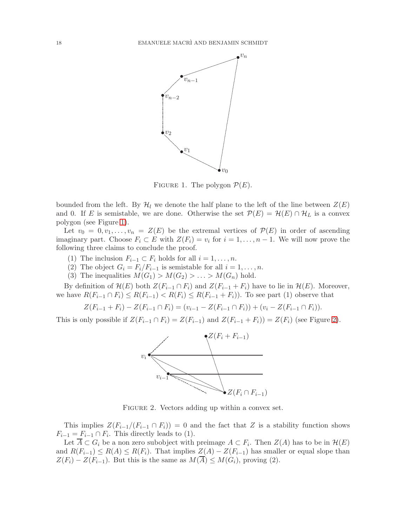

<span id="page-17-0"></span>FIGURE 1. The polygon  $\mathcal{P}(E)$ .

bounded from the left. By  $\mathcal{H}_l$  we denote the half plane to the left of the line between  $Z(E)$ and 0. If E is semistable, we are done. Otherwise the set  $\mathcal{P}(E) = \mathcal{H}(E) \cap \mathcal{H}_L$  is a convex polygon (see Figure [1\)](#page-17-0).

Let  $v_0 = 0, v_1, \ldots, v_n = Z(E)$  be the extremal vertices of  $\mathcal{P}(E)$  in order of ascending imaginary part. Choose  $F_i \subset E$  with  $Z(F_i) = v_i$  for  $i = 1, ..., n-1$ . We will now prove the following three claims to conclude the proof.

- (1) The inclusion  $F_{i-1} \subset F_i$  holds for all  $i = 1, \ldots, n$ .
- (2) The object  $G_i = F_i/F_{i-1}$  is semistable for all  $i = 1, \ldots, n$ .
- (3) The inequalities  $M(G_1) > M(G_2) > \ldots > M(G_n)$  hold.

By definition of  $\mathcal{H}(E)$  both  $Z(F_{i-1} \cap F_i)$  and  $Z(F_{i-1} + F_i)$  have to lie in  $\mathcal{H}(E)$ . Moreover, we have  $R(F_{i-1} \cap F_i) \leq R(F_{i-1}) < R(F_i) \leq R(F_{i-1} + F_i)$ . To see part (1) observe that

$$
Z(F_{i-1} + F_i) - Z(F_{i-1} \cap F_i) = (v_{i-1} - Z(F_{i-1} \cap F_i)) + (v_i - Z(F_{i-1} \cap F_i)).
$$

This is only possible if  $Z(F_{i-1} \cap F_i) = Z(F_{i-1})$  and  $Z(F_{i-1} + F_i) = Z(F_i)$  (see Figure [2\)](#page-17-1).



<span id="page-17-1"></span>FIGURE 2. Vectors adding up within a convex set.

This implies  $Z(F_{i-1}/(F_{i-1}\cap F_i))=0$  and the fact that Z is a stability function shows  $F_{i-1} = F_{i-1} \cap F_i$ . This directly leads to (1).

Let  $A \subset G_i$  be a non zero subobject with preimage  $A \subset F_i$ . Then  $Z(A)$  has to be in  $\mathcal{H}(E)$ and  $R(F_{i-1}) \leq R(A) \leq R(F_i)$ . That implies  $Z(A) - Z(F_{i-1})$  has smaller or equal slope than  $Z(F_i) - Z(F_{i-1})$ . But this is the same as  $M(\overline{A}) \leq M(G_i)$ , proving (2).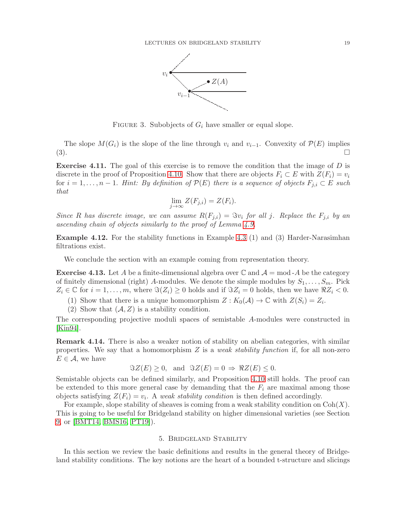

FIGURE 3. Subobjects of  $G_i$  have smaller or equal slope.

The slope  $M(G_i)$  is the slope of the line through  $v_i$  and  $v_{i-1}$ . Convexity of  $\mathcal{P}(E)$  implies (3). (3).

**Exercise 4.11.** The goal of this exercise is to remove the condition that the image of  $D$  is discrete in the proof of Proposition [4.10.](#page-16-0) Show that there are objects  $F_i \subset E$  with  $Z(F_i) = v_i$ for  $i = 1, \ldots, n - 1$ . Hint: By definition of  $\mathcal{P}(E)$  there is a sequence of objects  $F_{j,i} \subset E$  such that

$$
\lim_{j \to \infty} Z(F_{j,i}) = Z(F_i).
$$

Since R has discrete image, we can assume  $R(F_{j,i}) = \Im v_i$  for all j. Replace the  $F_{j,i}$  by an ascending chain of objects similarly to the proof of Lemma [4.9.](#page-16-1)

<span id="page-18-2"></span>Example 4.12. For the stability functions in Example [4.3](#page-15-1) (1) and (3) Harder-Narasimhan filtrations exist.

We conclude the section with an example coming from representation theory.

<span id="page-18-1"></span>**Exercise 4.13.** Let A be a finite-dimensional algebra over  $\mathbb{C}$  and  $\mathcal{A} = \text{mod } A$  be the category of finitely dimensional (right) A-modules. We denote the simple modules by  $S_1, \ldots, S_m$ . Pick  $Z_i \in \mathbb{C}$  for  $i = 1, \ldots, m$ , where  $\Im(Z_i) \geq 0$  holds and if  $\Im Z_i = 0$  holds, then we have  $\Re Z_i < 0$ .

- (1) Show that there is a unique homomorphism  $Z: K_0(\mathcal{A}) \to \mathbb{C}$  with  $Z(S_i) = Z_i$ .
- (2) Show that  $(A, Z)$  is a stability condition.

The corresponding projective moduli spaces of semistable A-modules were constructed in [\[Kin94\]](#page-55-20).

Remark 4.14. There is also a weaker notion of stability on abelian categories, with similar properties. We say that a homomorphism  $Z$  is a *weak stability function* if, for all non-zero  $E \in \mathcal{A}$ , we have

$$
\Im Z(E) \ge 0, \text{ and } \Im Z(E) = 0 \Rightarrow \Re Z(E) \le 0.
$$

Semistable objects can be defined similarly, and Proposition [4.10](#page-16-0) still holds. The proof can be extended to this more general case by demanding that the  $F_i$  are maximal among those objects satisfying  $Z(F_i) = v_i$ . A weak stability condition is then defined accordingly.

For example, slope stability of sheaves is coming from a weak stability condition on  $\text{Coh}(X)$ . This is going to be useful for Bridgeland stability on higher dimensional varieties (see Section [9,](#page-47-0) or [\[BMT14,](#page-54-3) [BMS16,](#page-54-4) [PT19\]](#page-57-15)).

### 5. Bridgeland Stability

<span id="page-18-0"></span>In this section we review the basic definitions and results in the general theory of Bridgeland stability conditions. The key notions are the heart of a bounded t-structure and slicings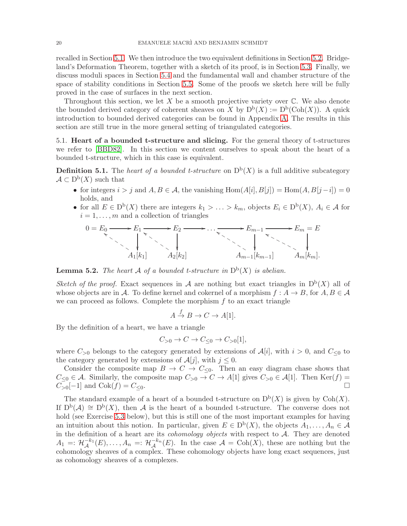recalled in Section [5.1.](#page-19-0) We then introduce the two equivalent definitions in Section [5.2.](#page-20-0) Bridgeland's Deformation Theorem, together with a sketch of its proof, is in Section [5.3.](#page-22-0) Finally, we discuss moduli spaces in Section [5.4](#page-25-0) and the fundamental wall and chamber structure of the space of stability conditions in Section [5.5.](#page-26-0) Some of the proofs we sketch here will be fully proved in the case of surfaces in the next section.

Throughout this section, we let X be a smooth projective variety over  $\mathbb C$ . We also denote the bounded derived category of coherent sheaves on X by  $D^b(X) := D^b(\text{Coh}(X))$ . A quick introduction to bounded derived categories can be found in Appendix [A.](#page-51-0) The results in this section are still true in the more general setting of triangulated categories.

<span id="page-19-0"></span>5.1. Heart of a bounded t-structure and slicing. For the general theory of t-structures we refer to [\[BBD82\]](#page-54-18). In this section we content ourselves to speak about the heart of a bounded t-structure, which in this case is equivalent.

<span id="page-19-1"></span>**Definition 5.1.** The *heart of a bounded t-structure* on  $D^b(X)$  is a full additive subcategory  $A \subset D^b(X)$  such that

- for integers  $i > j$  and  $A, B \in \mathcal{A}$ , the vanishing  $Hom(A[i], B[j]) = Hom(A, B[j-i]) = 0$ holds, and
- for all  $E \in D^b(X)$  there are integers  $k_1 > \ldots > k_m$ , objects  $E_i \in D^b(X)$ ,  $A_i \in \mathcal{A}$  for  $i = 1, \ldots, m$  and a collection of triangles



**Lemma 5.2.** The heart A of a bounded t-structure in  $D^b(X)$  is abelian.

Sketch of the proof. Exact sequences in A are nothing but exact triangles in  $D^b(X)$  all of whose objects are in A. To define kernel and cokernel of a morphism  $f : A \to B$ , for  $A, B \in A$ we can proceed as follows. Complete the morphism  $f$  to an exact triangle

$$
A \xrightarrow{f} B \to C \to A[1].
$$

By the definition of a heart, we have a triangle

$$
C_{>0} \to C \to C_{\leq 0} \to C_{>0}[1],
$$

where  $C_{>0}$  belongs to the category generated by extensions of  $\mathcal{A}[i]$ , with  $i > 0$ , and  $C_{\leq 0}$  to the category generated by extensions of  $\mathcal{A}[j]$ , with  $j \leq 0$ .

Consider the composite map  $B \to C \to C_{\leq 0}$ . Then an easy diagram chase shows that  $C_{\leq 0} \in \mathcal{A}$ . Similarly, the composite map  $C_{>0} \to C \to A[1]$  gives  $C_{>0} \in \mathcal{A}[1]$ . Then Ker(f) =  $C_{>0}$ .  $C_{>0}[-1]$  and  $Cok(f) = C_{\leq 0}$ .

The standard example of a heart of a bounded t-structure on  $D^b(X)$  is given by  $Coh(X)$ . If  $D^b(\mathcal{A}) \cong D^b(X)$ , then  $\mathcal A$  is the heart of a bounded t-structure. The converse does not hold (see Exercise [5.3](#page-20-1) below), but this is still one of the most important examples for having an intuition about this notion. In particular, given  $E \in D^b(X)$ , the objects  $A_1, \ldots, A_n \in \mathcal{A}$ in the definition of a heart are its *cohomology objects* with respect to  $A$ . They are denoted  $A_1 =: \mathcal{H}^{-k_1}_\mathcal{A}$  $\mathcal{A}^{-k_1}(E),\ldots, A_n =: \mathcal{H}^{-k_n}_{\mathcal{A}}$  $\mathcal{A}^{k_n}(E)$ . In the case  $\mathcal{A} = \text{Coh}(X)$ , these are nothing but the cohomology sheaves of a complex. These cohomology objects have long exact sequences, just as cohomology sheaves of a complexes.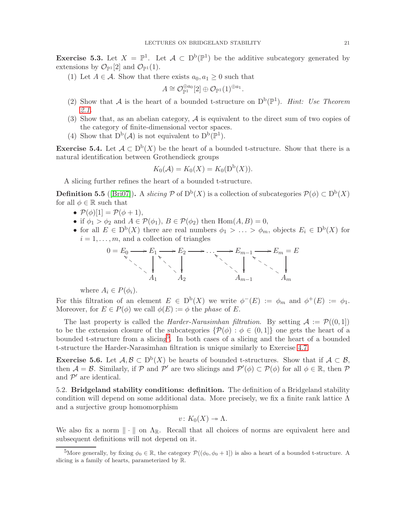<span id="page-20-1"></span>**Exercise 5.3.** Let  $X = \mathbb{P}^1$ . Let  $\mathcal{A} \subset D^b(\mathbb{P}^1)$  be the additive subcategory generated by extensions by  $\mathcal{O}_{\mathbb{P}^1}[2]$  and  $\mathcal{O}_{\mathbb{P}^1}(1)$ .

(1) Let  $A \in \mathcal{A}$ . Show that there exists  $a_0, a_1 \geq 0$  such that

$$
A \cong \mathcal{O}_{\mathbb{P}^1}^{\oplus a_0}[2] \oplus \mathcal{O}_{\mathbb{P}^1}(1)^{\oplus a_1}.
$$

- (2) Show that A is the heart of a bounded t-structure on  $D^b(\mathbb{P}^1)$ . *Hint: Use Theorem* [2.1.](#page-5-2)
- (3) Show that, as an abelian category, A is equivalent to the direct sum of two copies of the category of finite-dimensional vector spaces.
- (4) Show that  $D^b(\mathcal{A})$  is not equivalent to  $D^b(\mathbb{P}^1)$ .

**Exercise 5.4.** Let  $A \subset D^{b}(X)$  be the heart of a bounded t-structure. Show that there is a natural identification between Grothendieck groups

$$
K_0(\mathcal{A}) = K_0(X) = K_0(\mathcal{D}^{\mathbf{b}}(X)).
$$

A slicing further refines the heart of a bounded t-structure.

**Definition 5.5** ([\[Bri07\]](#page-54-0)). A slicing  $P$  of  $D^b(X)$  is a collection of subcategories  $P(\phi) \subset D^b(X)$ for all  $\phi \in \mathbb{R}$  such that

- $\mathcal{P}(\phi)[1] = \mathcal{P}(\phi + 1),$
- if  $\phi_1 > \phi_2$  and  $A \in \mathcal{P}(\phi_1)$ ,  $B \in \mathcal{P}(\phi_2)$  then  $\text{Hom}(A, B) = 0$ ,
- for all  $E \in D^b(X)$  there are real numbers  $\phi_1 > \ldots > \phi_m$ , objects  $E_i \in D^b(X)$  for  $i = 1, \ldots, m$ , and a collection of triangles



where  $A_i \in P(\phi_i)$ .

For this filtration of an element  $E \in D^b(X)$  we write  $\phi^-(E) := \phi_m$  and  $\phi^+(E) := \phi_1$ . Moreover, for  $E \in P(\phi)$  we call  $\phi(E) := \phi$  the phase of E.

The last property is called the *Harder-Narasimhan filtration*. By setting  $A := \mathcal{P}((0, 1])$ to be the extension closure of the subcategories  $\{\mathcal{P}(\phi): \phi \in (0,1]\}$  one gets the heart of a bounded t-structure from a slicing<sup>[5](#page-20-2)</sup>. In both cases of a slicing and the heart of a bounded t-structure the Harder-Narasimhan filtration is unique similarly to Exercise [4.7.](#page-15-2)

Exercise 5.6. Let  $A, B \subset D^{b}(X)$  be hearts of bounded t-structures. Show that if  $A \subset B$ , then  $\mathcal{A} = \mathcal{B}$ . Similarly, if  $\mathcal{P}$  and  $\mathcal{P}'$  are two slicings and  $\mathcal{P}'(\phi) \subset \mathcal{P}(\phi)$  for all  $\phi \in \mathbb{R}$ , then  $\mathcal{P}$ and  $\mathcal{P}'$  are identical.

<span id="page-20-0"></span>5.2. Bridgeland stability conditions: definition. The definition of a Bridgeland stability condition will depend on some additional data. More precisely, we fix a finite rank lattice  $\Lambda$ and a surjective group homomorphism

$$
v\colon K_0(X)\twoheadrightarrow \Lambda.
$$

We also fix a norm  $\|\cdot\|$  on  $\Lambda_{\mathbb{R}}$ . Recall that all choices of norms are equivalent here and subsequent definitions will not depend on it.

<span id="page-20-2"></span><sup>&</sup>lt;sup>5</sup>More generally, by fixing  $\phi_0 \in \mathbb{R}$ , the category  $\mathcal{P}((\phi_0, \phi_0 + 1])$  is also a heart of a bounded t-structure. A slicing is a family of hearts, parameterized by R.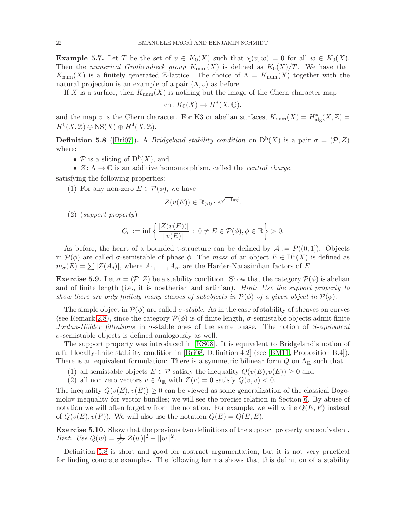<span id="page-21-2"></span>**Example 5.7.** Let T be the set of  $v \in K_0(X)$  such that  $\chi(v, w) = 0$  for all  $w \in K_0(X)$ . Then the numerical Grothendieck group  $K_{\text{num}}(X)$  is defined as  $K_0(X)/T$ . We have that  $K_{\text{num}}(X)$  is a finitely generated Z-lattice. The choice of  $\Lambda = K_{\text{num}}(X)$  together with the natural projection is an example of a pair  $(\Lambda, v)$  as before.

If X is a surface, then  $K_{\text{num}}(X)$  is nothing but the image of the Chern character map

$$
\text{ch} \colon K_0(X) \to H^*(X, \mathbb{Q}),
$$

and the map v is the Chern character. For K3 or abelian surfaces,  $K_{\text{num}}(X) = H_{\text{alg}}^*(X, \mathbb{Z}) =$  $H^0(X,\mathbb{Z})\oplus \mathrm{NS}(X)\oplus H^4(X,\mathbb{Z}).$ 

<span id="page-21-1"></span>**Definition 5.8** ([\[Bri07\]](#page-54-0)). A *Bridgeland stability condition* on  $D^b(X)$  is a pair  $\sigma = (\mathcal{P}, Z)$ where:

- $P$  is a slicing of  $D^b(X)$ , and
- $Z: \Lambda \to \mathbb{C}$  is an additive homomorphism, called the *central charge*,

satisfying the following properties:

(1) For any non-zero  $E \in \mathcal{P}(\phi)$ , we have

$$
Z(v(E)) \in \mathbb{R}_{>0} \cdot e^{\sqrt{-1}\pi \phi}.
$$

(2) (support property)

$$
C_{\sigma} := \inf \left\{ \frac{|Z(v(E))|}{\|v(E)\|} \, : \, 0 \neq E \in \mathcal{P}(\phi), \phi \in \mathbb{R} \right\} > 0.
$$

As before, the heart of a bounded t-structure can be defined by  $A := P((0,1])$ . Objects in  $\mathcal{P}(\phi)$  are called  $\sigma$ -semistable of phase  $\phi$ . The mass of an object  $E \in D^{b}(X)$  is defined as  $m_{\sigma}(E) = \sum |Z(A_i)|$ , where  $A_1, \ldots, A_m$  are the Harder-Narasimhan factors of E.

<span id="page-21-0"></span>**Exercise 5.9.** Let  $\sigma = (\mathcal{P}, Z)$  be a stability condition. Show that the category  $\mathcal{P}(\phi)$  is abelian and of finite length (i.e., it is noetherian and artinian). *Hint: Use the support property to* show there are only finitely many classes of subobjects in  $\mathcal{P}(\phi)$  of a given object in  $\mathcal{P}(\phi)$ .

The simple object in  $\mathcal{P}(\phi)$  are called  $\sigma$ -stable. As in the case of stability of sheaves on curves (see Remark [2.8\)](#page-7-2), since the category  $\mathcal{P}(\phi)$  is of finite length,  $\sigma$ -semistable objects admit finite Jordan-Hölder filtrations in  $\sigma$ -stable ones of the same phase. The notion of S-equivalent  $\sigma$ -semistable objects is defined analogously as well.

The support property was introduced in [\[KS08\]](#page-56-10). It is equivalent to Bridgeland's notion of a full locally-finite stability condition in [\[Bri08,](#page-54-1) Definition 4.2] (see [\[BM11,](#page-54-2) Proposition B.4]). There is an equivalent formulation: There is a symmetric bilinear form Q on  $\Lambda_{\mathbb{R}}$  such that

- (1) all semistable objects  $E \in \mathcal{P}$  satisfy the inequality  $Q(v(E), v(E)) \geq 0$  and
- (2) all non zero vectors  $v \in \Lambda_{\mathbb{R}}$  with  $Z(v) = 0$  satisfy  $Q(v, v) < 0$ .

The inequality  $Q(v(E), v(E)) \geq 0$  can be viewed as some generalization of the classical Bogomolov inequality for vector bundles; we will see the precise relation in Section [6.](#page-28-0) By abuse of notation we will often forget v from the notation. For example, we will write  $Q(E, F)$  instead of  $Q(v(E), v(F))$ . We will also use the notation  $Q(E) = Q(E, E)$ .

Exercise 5.10. Show that the previous two definitions of the support property are equivalent. *Hint:* Use  $Q(w) = \frac{1}{C^2} |Z(w)|^2 - ||w||^2$ .

Definition [5.8](#page-21-1) is short and good for abstract argumentation, but it is not very practical for finding concrete examples. The following lemma shows that this definition of a stability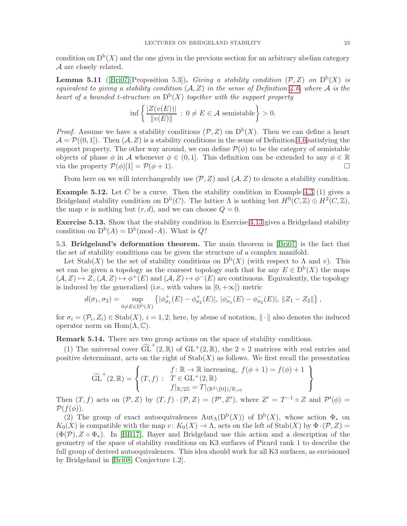**Lemma 5.11** ([\[Bri07\]](#page-54-0)[Proposition 5.3]). Giving a stability condition  $(\mathcal{P}, Z)$  on  $D^b(X)$  is equivalent to giving a stability condition  $(A, Z)$  in the sense of Definition [4.6,](#page-15-3) where A is the heart of a bounded t-structure on  $D^{b}(X)$  together with the support property

$$
\inf \left\{ \frac{|Z(v(E))|}{\|v(E)\|} \, : \, 0 \neq E \in \mathcal{A} \text{ semistable} \right\} > 0.
$$

*Proof.* Assume we have a stability conditions  $(\mathcal{P}, Z)$  on  $D^b(X)$ . Then we can define a heart  $\mathcal{A} = \mathcal{P}((0,1])$ . Then  $(\mathcal{A}, Z)$  is a stability conditions in the sense of Definition [4.6](#page-15-3) satisfying the support property. The other way around, we can define  $\mathcal{P}(\phi)$  to be the category of semistable objects of phase  $\phi$  in A whenever  $\phi \in (0, 1]$ . This definition can be extended to any  $\phi \in \mathbb{R}$  via the property  $\mathcal{P}(\phi)[1] = \mathcal{P}(\phi + 1)$ . via the property  $\mathcal{P}(\phi)[1] = \mathcal{P}(\phi + 1)$ .

From here on we will interchangeably use  $(\mathcal{P}, Z)$  and  $(\mathcal{A}, Z)$  to denote a stability condition.

<span id="page-22-2"></span>**Example 5.12.** Let C be a curve. Then the stability condition in Example [4.3](#page-15-1) (1) gives a Bridgeland stability condition on  $D^b(C)$ . The lattice  $\Lambda$  is nothing but  $H^0(C, \mathbb{Z}) \oplus H^2(C, \mathbb{Z})$ , the map v is nothing but  $(r, d)$ , and we can choose  $Q = 0$ .

Exercise 5.13. Show that the stability condition in Exercise [4.13](#page-18-1) gives a Bridgeland stability condition on  $D^b(A) = D^b(\text{mod } A)$ . What is Q?

<span id="page-22-0"></span>5.3. Bridgeland's deformation theorem. The main theorem in [\[Bri07\]](#page-54-0) is the fact that the set of stability conditions can be given the structure of a complex manifold.

Let Stab(X) be the set of stability conditions on  $D^b(X)$  (with respect to  $\Lambda$  and v). This set can be given a topology as the coarsest topology such that for any  $E \in D^{b}(X)$  the maps  $(\mathcal{A}, Z) \mapsto Z$ ,  $(\mathcal{A}, Z) \mapsto \phi^+(E)$  and  $(\mathcal{A}, Z) \mapsto \phi^-(E)$  are continuous. Equivalently, the topology is induced by the generalized (i.e., with values in  $[0, +\infty]$ ) metric

$$
d(\sigma_1, \sigma_2) = \sup_{0 \neq E \in D^b(X)} \left\{ |\phi_{\sigma_1}^+(E) - \phi_{\sigma_2}^+(E)|, |\phi_{\sigma_1}^-(E) - \phi_{\sigma_2}^-(E)|, ||Z_1 - Z_2|| \right\},\,
$$

for  $\sigma_i = (\mathcal{P}_i, Z_i) \in \text{Stab}(X), i = 1, 2$ ; here, by abuse of notation,  $\|\cdot\|$  also denotes the induced operator norm on Hom $(\Lambda, \mathbb{C})$ .

<span id="page-22-1"></span>Remark 5.14. There are two group actions on the space of stability conditions.

(1) The universal cover  $\widetilde{GL}^+(2,\mathbb{R})$  of  $GL^+(2,\mathbb{R})$ , the  $2\times 2$  matrices with real entries and positive determinant, acts on the right of  $\text{Stab}(X)$  as follows. We first recall the presentation

$$
\widetilde{\mathrm{GL}}^{+}(2,\mathbb{R}) = \left\{ (T,f) : \begin{array}{l} f \colon \mathbb{R} \to \mathbb{R} \text{ increasing, } f(\phi+1) = f(\phi) + 1 \\ T \in \mathrm{GL}^{+}(2,\mathbb{R}) \\ f|_{\mathbb{R}/2\mathbb{Z}} = T|_{(\mathbb{R}^{2}\setminus\{0\})/\mathbb{R}_{>0}} \end{array} \right\}
$$

Then  $(T, f)$  acts on  $(\mathcal{P}, Z)$  by  $(T, f) \cdot (\mathcal{P}, Z) = (\mathcal{P}', Z')$ , where  $Z' = T^{-1} \circ Z$  and  $\mathcal{P}'(\phi) =$  $\mathcal{P}(f(\phi)).$ 

(2) The group of exact autoequivalences  $\text{Aut}_{\Lambda}(\mathcal{D}^{\rm b}(X))$  of  $\mathcal{D}^{\rm b}(X)$ , whose action  $\Phi_*$  on  $K_0(X)$  is compatible with the map  $v: K_0(X) \to \Lambda$ , acts on the left of Stab $(X)$  by  $\Phi \cdot (\mathcal{P}, Z) =$  $(\Phi(\mathcal{P}), Z \circ \Phi_*)$ . In [\[BB17\]](#page-54-19), Bayer and Bridgeland use this action and a description of the geometry of the space of stability conditions on K3 surfaces of Picard rank 1 to describe the full group of derived autoequivalences. This idea should work for all K3 surfaces, as envisioned by Bridgeland in [\[Bri08,](#page-54-1) Conjecture 1.2].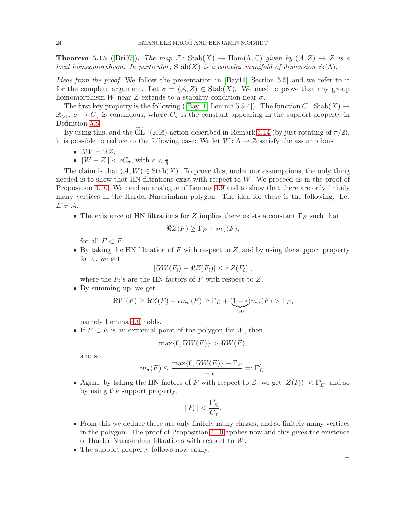<span id="page-23-0"></span>**Theorem 5.15** ([\[Bri07\]](#page-54-0)). The map  $\mathcal{Z}$ : Stab(X)  $\rightarrow$  Hom( $\Lambda$ , C) given by  $(\mathcal{A}, Z) \rightarrow Z$  is a local homeomorphism. In particular,  $\text{Stab}(X)$  is a complex manifold of dimension  $\text{rk}(\Lambda)$ .

Ideas from the proof. We follow the presentation in [\[Bay11,](#page-53-5) Section 5.5] and we refer to it for the complete argument. Let  $\sigma = (\mathcal{A}, Z) \in \text{Stab}(X)$ . We need to prove that any group homomorphism W near Z extends to a stability condition near  $\sigma$ .

Thefirst key property is the following ([\[Bay11,](#page-53-5) Lemma 5.5.4]): The function  $C : \text{Stab}(X) \to$  $\mathbb{R}_{>0}$ ,  $\sigma \mapsto C_{\sigma}$  is continuous, where  $C_{\sigma}$  is the constant appearing in the support property in Definition [5.8.](#page-21-1)

By using this, and the  $\widetilde{GL}^+(2,\mathbb{R})$ -action described in Remark [5.14](#page-22-1) (by just rotating of  $\pi/2$ ), it is possible to reduce to the following case: We let  $W: \Lambda \to \mathbb{Z}$  satisfy the assumptions

- $\Im W = \Im Z;$
- $\|W Z\| < \epsilon C_{\sigma}$ , with  $\epsilon < \frac{1}{8}$ .

The claim is that  $(A, W) \in \text{Stab}(X)$ . To prove this, under our assumptions, the only thing needed is to show that HN filtrations exist with respect to W. We proceed as in the proof of Proposition [4.10.](#page-16-0) We need an analogue of Lemma [4.9](#page-16-1) and to show that there are only finitely many vertices in the Harder-Narasimhan polygon. The idea for these is the following. Let  $E \in \mathcal{A}$ .

• The existence of HN filtrations for Z implies there exists a constant  $\Gamma_E$  such that

$$
\Re Z(F) \geq \Gamma_E + m_{\sigma}(F),
$$

for all  $F \subset E$ .

• By taking the HN filtration of F with respect to Z, and by using the support property for  $\sigma$ , we get

$$
|\Re W(F_i) - \Re Z(F_i)| \le \epsilon |Z(F_i)|,
$$

where the  $F_i$ 's are the HN factors of F with respect to Z.

• By summing up, we get

$$
\Re W(F) \geq \Re Z(F) - \epsilon m_{\sigma}(F) \geq \Gamma_E + (\underbrace{1-\epsilon}_{>0}) m_{\sigma}(F) > \Gamma_E,
$$

namely Lemma [4.9](#page-16-1) holds.

• If  $F \subset E$  is an extremal point of the polygon for W, then

$$
\max\{0, \Re W(E)\} > \Re W(F),
$$

and so

$$
m_{\sigma}(F) \le \frac{\max\{0, \Re W(E)\} - \Gamma_E}{1 - \epsilon} =: \Gamma'_E.
$$

• Again, by taking the HN factors of F with respect to Z, we get  $|Z(F_i)| < \Gamma'_E$ , and so by using the support property,

$$
||F_i|| < \frac{\Gamma'_E}{C_{\sigma}}.
$$

- From this we deduce there are only finitely many classes, and so finitely many vertices in the polygon. The proof of Proposition [4.10](#page-16-0) applies now and this gives the existence of Harder-Narasimhan filtrations with respect to W.
- The support property follows now easily.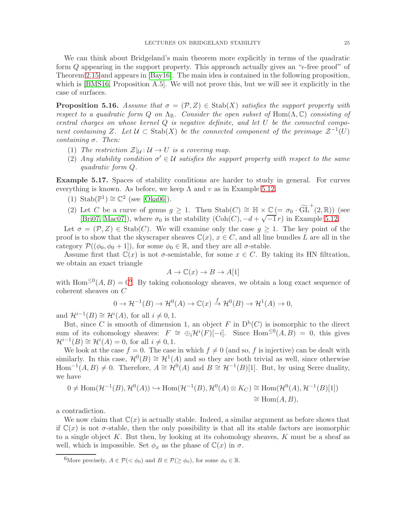We can think about Bridgeland's main theorem more explicitly in terms of the quadratic form  $Q$  appearing in the support property. This approach actually gives an " $\epsilon$ -free proof" of Theorem [2.15](#page-10-2) and appears in [\[Bay16\]](#page-53-6). The main idea is contained in the following proposition, which is [\[BMS16,](#page-54-4) Proposition A.5]. We will not prove this, but we will see it explicitly in the case of surfaces.

<span id="page-24-1"></span>**Proposition 5.16.** Assume that  $\sigma = (\mathcal{P}, Z) \in \text{Stab}(X)$  satisfies the support property with respect to a quadratic form Q on  $\Lambda_{\mathbb{R}}$ . Consider the open subset of Hom( $\Lambda, \mathbb{C}$ ) consisting of central charges on whose kernel  $Q$  is negative definite, and let  $U$  be the connected component containing Z. Let  $U \subset$  Stab $(X)$  be the connected component of the preimage  $\mathcal{Z}^{-1}(U)$ containing  $\sigma$ . Then:

- (1) The restriction  $\mathcal{Z}|_{\mathcal{U}} : \mathcal{U} \to U$  is a covering map.
- (2) Any stability condition  $\sigma' \in \mathcal{U}$  satisfies the support property with respect to the same quadratic form Q.

Example 5.17. Spaces of stability conditions are harder to study in general. For curves everything is known. As before, we keep  $\Lambda$  and v as in Example [5.12.](#page-22-2)

- (1) Stab $(\mathbb{P}^1) \cong \mathbb{C}^2$  (see [\[Oka06\]](#page-56-23)).
- (2) Let C be a curve of genus  $g \geq 1$ . Then  $\text{Stab}(C) \cong \mathbb{H} \times \mathbb{C} = \sigma_0 \cdot \widetilde{\text{GL}}^+(2,\mathbb{R})$  (see [\[Bri07,](#page-54-0) [Mac07\]](#page-56-24)), where  $\sigma_0$  is the stability  $(\text{Coh}(C), -d + \sqrt{-1}r)$  in Example [5.12.](#page-22-2)

Let  $\sigma = (\mathcal{P}, Z) \in \text{Stab}(C)$ . We will examine only the case  $g \geq 1$ . The key point of the proof is to show that the skyscraper sheaves  $\mathbb{C}(x)$ ,  $x \in C$ , and all line bundles L are all in the category  $\mathcal{P}((\phi_0, \phi_0 + 1])$ , for some  $\phi_0 \in \mathbb{R}$ , and they are all  $\sigma$ -stable.

Assume first that  $\mathbb{C}(x)$  is not  $\sigma$ -semistable, for some  $x \in C$ . By taking its HN filtration, we obtain an exact triangle

$$
A \to \mathbb{C}(x) \to B \to A[1]
$$

with  $\text{Hom}^{\leq 0}(A, B) = 0^6$  $\text{Hom}^{\leq 0}(A, B) = 0^6$ . By taking cohomology sheaves, we obtain a long exact sequence of coherent sheaves on C

$$
0 \to \mathcal{H}^{-1}(B) \to \mathcal{H}^0(A) \to \mathbb{C}(x) \stackrel{f}{\to} \mathcal{H}^0(B) \to \mathcal{H}^1(A) \to 0,
$$

and  $\mathcal{H}^{i-1}(B) \cong \mathcal{H}^i(A)$ , for all  $i \neq 0, 1$ .

But, since C is smooth of dimension 1, an object F in  $D^b(C)$  is isomorphic to the direct sum of its cohomology sheaves:  $F \cong \bigoplus_i \mathcal{H}^i(F)[-i]$ . Since Hom<sup>≤0</sup> $(A, B) = 0$ , this gives  $\mathcal{H}^{i-1}(B) \cong \mathcal{H}^i(A) = 0$ , for all  $i \neq 0, 1$ .

We look at the case  $f = 0$ . The case in which  $f \neq 0$  (and so, f is injective) can be dealt with similarly. In this case,  $\mathcal{H}^0(B) \cong \mathcal{H}^1(A)$  and so they are both trivial as well, since otherwise Hom<sup>-1</sup> $(A, B) \neq 0$ . Therefore,  $A \cong \mathcal{H}^0(A)$  and  $B \cong \mathcal{H}^{-1}(B)[1]$ . But, by using Serre duality, we have

$$
0 \neq \text{Hom}(\mathcal{H}^{-1}(B), \mathcal{H}^{0}(A)) \hookrightarrow \text{Hom}(\mathcal{H}^{-1}(B), \mathcal{H}^{0}(A) \otimes K_C) \cong \text{Hom}(\mathcal{H}^{0}(A), \mathcal{H}^{-1}(B)[1])
$$
  

$$
\cong \text{Hom}(A, B),
$$

a contradiction.

We now claim that  $\mathbb{C}(x)$  is actually stable. Indeed, a similar argument as before shows that if  $\mathbb{C}(x)$  is not  $\sigma$ -stable, then the only possibility is that all its stable factors are isomorphic to a single object  $K$ . But then, by looking at its cohomology sheaves,  $K$  must be a sheaf as well, which is impossible. Set  $\phi_x$  as the phase of  $\mathbb{C}(x)$  in  $\sigma$ .

<span id="page-24-0"></span><sup>&</sup>lt;sup>6</sup>More precisely,  $A \in \mathcal{P}( $\phi_0$ ) and  $B \in \mathcal{P}(\geq \phi_0)$ , for some  $\phi_0 \in \mathbb{R}$ .$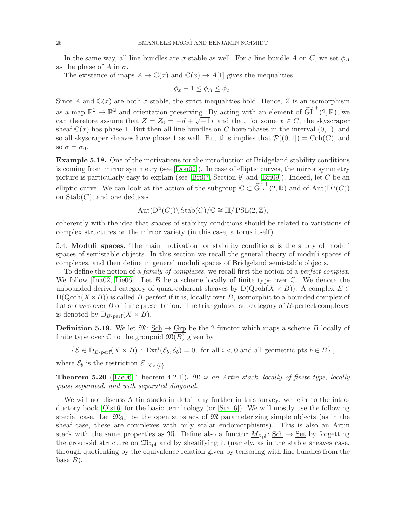In the same way, all line bundles are  $\sigma$ -stable as well. For a line bundle A on C, we set  $\phi_A$ as the phase of A in  $\sigma$ .

The existence of maps  $A \to \mathbb{C}(x)$  and  $\mathbb{C}(x) \to A[1]$  gives the inequalities

$$
\phi_x - 1 \le \phi_A \le \phi_x.
$$

Since A and  $\mathbb{C}(x)$  are both  $\sigma$ -stable, the strict inequalities hold. Hence, Z is an isomorphism as a map  $\mathbb{R}^2 \to \mathbb{R}^2$  and orientation-preserving. By acting with an element of  $\widetilde{GL}^+(2,\mathbb{R})$ , we can therefore assume that  $Z = Z_0 = -d + \sqrt{-1}r$  and that, for some  $x \in C$ , the skyscraper sheaf  $\mathbb{C}(x)$  has phase 1. But then all line bundles on C have phases in the interval  $(0, 1)$ , and so all skyscraper sheaves have phase 1 as well. But this implies that  $\mathcal{P}((0,1]) = \text{Coh}(C)$ , and so  $\sigma = \sigma_0$ .

Example 5.18. One of the motivations for the introduction of Bridgeland stability conditions is coming from mirror symmetry (see [\[Dou02\]](#page-55-0)). In case of elliptic curves, the mirror symmetry picture is particularly easy to explain (see [\[Bri07,](#page-54-0) Section 9] and [\[Bri09\]](#page-54-20)). Indeed, let C be an elliptic curve. We can look at the action of the subgroup  $\mathbb{C} \subset \widetilde{GL}^+(2,\mathbb{R})$  and of  $Aut(D^b(C))$ on  $\text{Stab}(C)$ , and one deduces

$$
Aut(D^{b}(C)) \setminus Stab(C)/\mathbb{C} \cong \mathbb{H}/PSL(2,\mathbb{Z}),
$$

coherently with the idea that spaces of stability conditions should be related to variations of complex structures on the mirror variety (in this case, a torus itself).

<span id="page-25-0"></span>5.4. Moduli spaces. The main motivation for stability conditions is the study of moduli spaces of semistable objects. In this section we recall the general theory of moduli spaces of complexes, and then define in general moduli spaces of Bridgeland semistable objects.

To define the notion of a *family of complexes*, we recall first the notion of a *perfect complex*. We follow  $\text{[Ina02, Lie06]}$  $\text{[Ina02, Lie06]}$  $\text{[Ina02, Lie06]}$ . Let B be a scheme locally of finite type over C. We denote the unbounded derived category of quasi-coherent sheaves by  $D(Qcoh(X \times B))$ . A complex  $E \in$  $D(Qcoh(X \times B))$  is called B-perfect if it is, locally over B, isomorphic to a bounded complex of flat sheaves over B of finite presentation. The triangulated subcategory of B-perfect complexes is denoted by  $D_{B\text{-perf}}(X \times B)$ .

**Definition 5.19.** We let  $\mathfrak{M}$ :  $\underline{\text{Sch}} \to \text{Grp}$  be the 2-functor which maps a scheme B locally of finite type over  $\mathbb C$  to the groupoid  $\mathfrak{M}(B)$  given by

$$
\left\{\mathcal{E} \in D_{B\text{-perf}}(X \times B) : \operatorname{Ext}^i(\mathcal{E}_b, \mathcal{E}_b) = 0, \text{ for all } i < 0 \text{ and all geometric pts } b \in B\right\},\
$$

where  $\mathcal{E}_b$  is the restriction  $\mathcal{E}|_{X\times \{b\}}$ 

<span id="page-25-1"></span>**Theorem 5.20** ([\[Lie06,](#page-56-25) Theorem 4.2.1]).  $\mathfrak{M}$  is an Artin stack, locally of finite type, locally quasi separated, and with separated diagonal.

We will not discuss Artin stacks in detail any further in this survey; we refer to the introductory book [\[Ols16\]](#page-56-26) for the basic terminology (or [\[Sta16\]](#page-57-16)). We will mostly use the following special case. Let  $\mathfrak{M}_{\text{Spl}}$  be the open substack of  $\mathfrak{M}$  parameterizing simple objects (as in the sheaf case, these are complexes with only scalar endomorphisms). This is also an Artin stack with the same properties as  $\mathfrak{M}$ . Define also a functor  $M_{\text{Spl}}$ :  $\underline{\text{Sch}} \to \underline{\text{Set}}$  by forgetting the groupoid structure on  $\mathfrak{M}_{\text{Spl}}$  and by sheafifying it (namely, as in the stable sheaves case, through quotienting by the equivalence relation given by tensoring with line bundles from the base  $B$ ).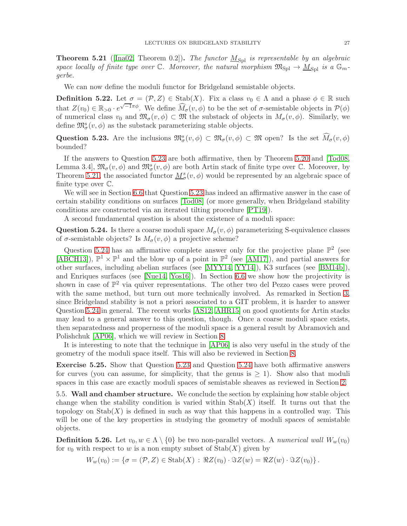<span id="page-26-2"></span>**Theorem 5.21** ([\[Ina02,](#page-55-21) Theorem 0.2]). The functor  $M_{\text{Sol}}$  is representable by an algebraic space locally of finite type over C. Moreover, the natural morphism  $\mathfrak{M}_{\text{Spl}} \to M_{\text{Spl}}$  is a  $\mathbb{G}_m$ gerbe.

We can now define the moduli functor for Bridgeland semistable objects.

**Definition 5.22.** Let  $\sigma = (\mathcal{P}, Z) \in \text{Stab}(X)$ . Fix a class  $v_0 \in \Lambda$  and a phase  $\phi \in \mathbb{R}$  such that  $Z(v_0) \in \mathbb{R}_{>0} \cdot e^{\sqrt{-1}\pi\phi}$ . We define  $\widehat{M}_{\sigma}(v,\phi)$  to be the set of  $\sigma$ -semistable objects in  $\mathcal{P}(\phi)$ of numerical class  $v_0$  and  $\mathfrak{M}_{\sigma}(v, \phi) \subset \mathfrak{M}$  the substack of objects in  $M_{\sigma}(v, \phi)$ . Similarly, we define  $\mathfrak{M}^s_\sigma(v,\phi)$  as the substack parameterizing stable objects.

<span id="page-26-1"></span>Question 5.23. Are the inclusions  $\mathfrak{M}_{\sigma}^s(v, \phi) \subset \mathfrak{M}_{\sigma}(v, \phi) \subset \mathfrak{M}$  open? Is the set  $\widehat{M}_{\sigma}(v, \phi)$ bounded?

If the answers to Question [5.23](#page-26-1) are both affirmative, then by Theorem [5.20](#page-25-1) and [\[Tod08,](#page-57-0) Lemma 3.4,  $\mathfrak{M}_{\sigma}(v, \phi)$  and  $\mathfrak{M}_{\sigma}^{s}(v, \phi)$  are both Artin stack of finite type over  $\mathbb{C}$ . Moreover, by Theorem [5.21,](#page-26-2) the associated functor  $\underline{M}^s_{\sigma}(v,\phi)$  would be represented by an algebraic space of finite type over C.

We will see in Section [6.6](#page-38-0) that Question [5.23](#page-26-1) has indeed an affirmative answer in the case of certain stability conditions on surfaces [\[Tod08\]](#page-57-0) (or more generally, when Bridgeland stability conditions are constructed via an iterated tilting procedure [\[PT19\]](#page-57-15)).

A second fundamental question is about the existence of a moduli space:

<span id="page-26-3"></span>**Question 5.24.** Is there a coarse moduli space  $M_{\sigma}(v, \phi)$  parameterizing S-equivalence classes of  $\sigma$ -semistable objects? Is  $M_{\sigma}(v, \phi)$  a projective scheme?

Question [5.24](#page-26-3) has an affirmative complete answer only for the projective plane  $\mathbb{P}^2$  (see [\[ABCH13\]](#page-53-2)),  $\mathbb{P}^1 \times \mathbb{P}^1$  and the blow up of a point in  $\mathbb{P}^2$  (see [\[AM17\]](#page-53-9)), and partial answers for other surfaces, including abelian surfaces (see [\[MYY14,](#page-56-3) [YY14\]](#page-57-2)), K3 surfaces (see [\[BM14b\]](#page-54-6)), and Enriques surfaces (see [\[Nue14,](#page-56-4) [Yos16\]](#page-57-17)). In Section [6.6](#page-38-0) we show how the projectivity is shown in case of  $\mathbb{P}^2$  via quiver representations. The other two del Pezzo cases were proved with the same method, but turn out more technically involved. As remarked in Section [3,](#page-13-0) since Bridgeland stability is not a priori associated to a GIT problem, it is harder to answer Question [5.24](#page-26-3) in general. The recent works [\[AS12,](#page-53-10) [AHR15\]](#page-53-11) on good quotients for Artin stacks may lead to a general answer to this question, though. Once a coarse moduli space exists, then separatedness and properness of the moduli space is a general result by Abramovich and Polishchuk [\[AP06\]](#page-53-12), which we will review in Section [8.](#page-42-0)

It is interesting to note that the technique in [\[AP06\]](#page-53-12) is also very useful in the study of the geometry of the moduli space itself. This will also be reviewed in Section [8.](#page-42-0)

Exercise 5.25. Show that Question [5.23](#page-26-1) and Question [5.24](#page-26-3) have both affirmative answers for curves (you can assume, for simplicity, that the genus is  $\geq 1$ ). Show also that moduli spaces in this case are exactly moduli spaces of semistable sheaves as reviewed in Section [2.](#page-4-0)

<span id="page-26-0"></span>5.5. Wall and chamber structure. We conclude the section by explaining how stable object change when the stability condition is varied within  $\text{Stab}(X)$  itself. It turns out that the topology on  $\text{Stab}(X)$  is defined in such as way that this happens in a controlled way. This will be one of the key properties in studying the geometry of moduli spaces of semistable objects.

**Definition 5.26.** Let  $v_0, w \in \Lambda \setminus \{0\}$  be two non-parallel vectors. A numerical wall  $W_w(v_0)$ for  $v_0$  with respect to w is a non empty subset of  $\text{Stab}(X)$  given by

 $W_w(v_0) := \{\sigma = (\mathcal{P}, Z) \in \text{Stab}(X) : \Re Z(v_0) \cdot \Im Z(w) = \Re Z(w) \cdot \Im Z(v_0) \}.$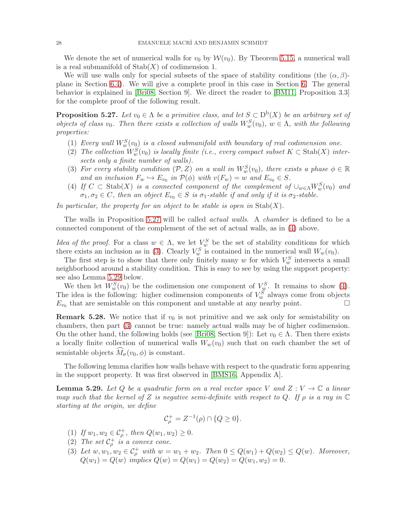We denote the set of numerical walls for  $v_0$  by  $W(v_0)$ . By Theorem [5.15,](#page-23-0) a numerical wall is a real submanifold of  $\text{Stab}(X)$  of codimension 1.

We will use walls only for special subsets of the space of stability conditions (the  $(\alpha, \beta)$ plane in Section [6.4\)](#page-36-0). We will give a complete proof in this case in Section [6.](#page-28-0) The general behavior is explained in [\[Bri08,](#page-54-1) Section 9]. We direct the reader to [\[BM11,](#page-54-2) Proposition 3.3] for the complete proof of the following result.

<span id="page-27-0"></span>**Proposition 5.27.** Let  $v_0 \in \Lambda$  be a primitive class, and let  $S \subset D^b(X)$  be an arbitrary set of objects of class  $v_0$ . Then there exists a collection of walls  $W_w^S(v_0)$ ,  $w \in \Lambda$ , with the following properties:

- (1) Every wall  $W_w^S(v_0)$  is a closed submanifold with boundary of real codimension one.
- (2) The collection  $W_w^S(v_0)$  is locally finite (i.e., every compact subset  $K \subset \text{Stab}(X)$  intersects only a finite number of walls).
- <span id="page-27-2"></span>(3) For every stability condition  $(\mathcal{P}, Z)$  on a wall in  $W_w^S(v_0)$ , there exists a phase  $\phi \in \mathbb{R}$ and an inclusion  $F_w \hookrightarrow E_{v_0}$  in  $\mathcal{P}(\phi)$  with  $v(F_w) = w$  and  $E_{v_0} \in S$ .
- <span id="page-27-1"></span>(4) If  $C \subset \text{Stab}(X)$  is a connected component of the complement of  $\cup_{w \in \Lambda} W_w^S(v_0)$  and  $\sigma_1, \sigma_2 \in C$ , then an object  $E_{v_0} \in S$  is  $\sigma_1$ -stable if and only if it is  $\sigma_2$ -stable.

In particular, the property for an object to be stable is open in  $\text{Stab}(X)$ .

The walls in Proposition [5.27](#page-27-0) will be called actual walls. A chamber is defined to be a connected component of the complement of the set of actual walls, as in [\(4\)](#page-27-1) above.

*Idea of the proof.* For a class  $w \in \Lambda$ , we let  $V_w^S$  be the set of stability conditions for which there exists an inclusion as in [\(3\)](#page-27-2). Clearly  $V_w^S$  is contained in the numerical wall  $W_w(v_0)$ .

The first step is to show that there only finitely many  $w$  for which  $V_w^S$  intersects a small neighborhood around a stability condition. This is easy to see by using the support property: see also Lemma [5.29](#page-27-3) below.

We then let  $W_w^S(v_0)$  be the codimension one component of  $V_w^S$ . It remains to show [\(4\)](#page-27-1). The idea is the following: higher codimension components of  $V_w^S$  always come from objects  $E_{v_0}$  that are semistable on this component and unstable at any nearby point.

<span id="page-27-4"></span>**Remark 5.28.** We notice that if  $v_0$  is not primitive and we ask only for semistability on chambers, then part [\(3\)](#page-27-2) cannot be true: namely actual walls may be of higher codimension. On the other hand, the following holds (see [\[Bri08,](#page-54-1) Section 9]): Let  $v_0 \in \Lambda$ . Then there exists a locally finite collection of numerical walls  $W_w(v_0)$  such that on each chamber the set of semistable objects  $\widehat{M}_{\sigma}(v_0, \phi)$  is constant.

The following lemma clarifies how walls behave with respect to the quadratic form appearing in the support property. It was first observed in [\[BMS16,](#page-54-4) Appendix A].

<span id="page-27-3"></span>**Lemma 5.29.** Let Q be a quadratic form on a real vector space V and  $Z: V \to \mathbb{C}$  a linear map such that the kernel of Z is negative semi-definite with respect to Q. If  $\rho$  is a ray in  $\mathbb C$ starting at the origin, we define

$$
\mathcal{C}_{\rho}^{+} = Z^{-1}(\rho) \cap \{Q \ge 0\}.
$$

- (1) If  $w_1, w_2 \in C^+_\rho$ , then  $Q(w_1, w_2) \geq 0$ .
- (2) The set  $C_{\rho}^+$  is a convex cone.
- (3) Let  $w, w_1, w_2 \in C_{\rho}^+$  with  $w = w_1 + w_2$ . Then  $0 \le Q(w_1) + Q(w_2) \le Q(w)$ . Moreover,  $Q(w_1) = Q(w)$  implies  $Q(w) = Q(w_1) = Q(w_2) = Q(w_1, w_2) = 0.$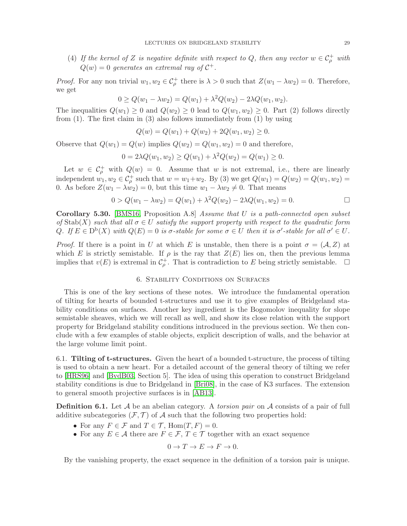(4) If the kernel of Z is negative definite with respect to Q, then any vector  $w \in C_{\rho}^+$  with  $Q(w) = 0$  generates an extremal ray of  $C^+$ .

*Proof.* For any non trivial  $w_1, w_2 \in C_\rho^+$  there is  $\lambda > 0$  such that  $Z(w_1 - \lambda w_2) = 0$ . Therefore, we get

$$
0 \ge Q(w_1 - \lambda w_2) = Q(w_1) + \lambda^2 Q(w_2) - 2\lambda Q(w_1, w_2).
$$

The inequalities  $Q(w_1) \geq 0$  and  $Q(w_2) \geq 0$  lead to  $Q(w_1, w_2) \geq 0$ . Part (2) follows directly from (1). The first claim in (3) also follows immediately from (1) by using

$$
Q(w) = Q(w_1) + Q(w_2) + 2Q(w_1, w_2) \ge 0.
$$

Observe that  $Q(w_1) = Q(w)$  implies  $Q(w_2) = Q(w_1, w_2) = 0$  and therefore,

$$
0 = 2\lambda Q(w_1, w_2) \ge Q(w_1) + \lambda^2 Q(w_2) = Q(w_1) \ge 0.
$$

Let  $w \in C_{\rho}^+$  with  $Q(w) = 0$ . Assume that w is not extremal, i.e., there are linearly independent  $w_1, w_2 \in C_{\rho}^+$  such that  $w = w_1 + w_2$ . By (3) we get  $Q(w_1) = Q(w_2) = Q(w_1, w_2) =$ 0. As before  $Z(w_1 - \lambda w_2) = 0$ , but this time  $w_1 - \lambda w_2 \neq 0$ . That means

$$
0 > Q(w_1 - \lambda w_2) = Q(w_1) + \lambda^2 Q(w_2) - 2\lambda Q(w_1, w_2) = 0.
$$

<span id="page-28-2"></span>**Corollary 5.30.** [\[BMS16,](#page-54-4) Proposition A.8] Assume that U is a path-connected open subset of Stab(X) such that all  $\sigma \in U$  satisfy the support property with respect to the quadratic form Q. If  $E \in D^b(X)$  with  $Q(E) = 0$  is  $\sigma$ -stable for some  $\sigma \in U$  then it is  $\sigma'$ -stable for all  $\sigma' \in U$ .

*Proof.* If there is a point in U at which E is unstable, then there is a point  $\sigma = (\mathcal{A}, Z)$  at which E is strictly semistable. If  $\rho$  is the ray that  $Z(E)$  lies on, then the previous lemma implies that  $v(E)$  is extremal in  $\mathcal{C}_{\rho}^+$ . That is contradiction to E being strictly semistable.  $\Box$ 

## 6. Stability Conditions on Surfaces

<span id="page-28-0"></span>This is one of the key sections of these notes. We introduce the fundamental operation of tilting for hearts of bounded t-structures and use it to give examples of Bridgeland stability conditions on surfaces. Another key ingredient is the Bogomolov inequality for slope semistable sheaves, which we will recall as well, and show its close relation with the support property for Bridgeland stability conditions introduced in the previous section. We then conclude with a few examples of stable objects, explicit description of walls, and the behavior at the large volume limit point.

<span id="page-28-1"></span>6.1. Tilting of t-structures. Given the heart of a bounded t-structure, the process of tilting is used to obtain a new heart. For a detailed account of the general theory of tilting we refer to [\[HRS96\]](#page-55-22) and [\[BvdB03,](#page-54-21) Section 5]. The idea of using this operation to construct Bridgeland stability conditions is due to Bridgeland in [\[Bri08\]](#page-54-1), in the case of K3 surfaces. The extension to general smooth projective surfaces is in [\[AB13\]](#page-53-1).

**Definition 6.1.** Let  $\mathcal A$  be an abelian category. A *torsion pair* on  $\mathcal A$  consists of a pair of full additive subcategories  $(F, \mathcal{T})$  of A such that the following two properties hold:

- For any  $F \in \mathcal{F}$  and  $T \in \mathcal{T}$ ,  $\text{Hom}(T, F) = 0$ .
- For any  $E \in \mathcal{A}$  there are  $F \in \mathcal{F}$ ,  $T \in \mathcal{T}$  together with an exact sequence

$$
0 \to T \to E \to F \to 0.
$$

By the vanishing property, the exact sequence in the definition of a torsion pair is unique.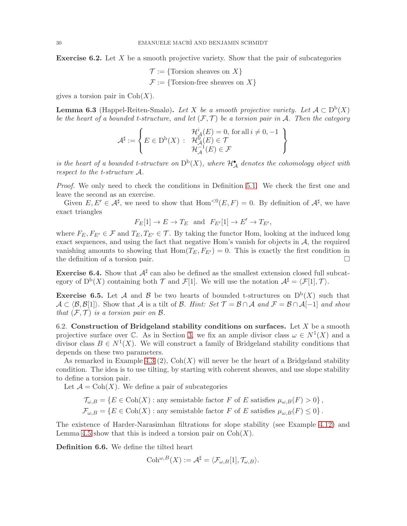**Exercise 6.2.** Let  $X$  be a smooth projective variety. Show that the pair of subcategories

$$
\mathcal{T} := \{ \text{Torsion sheaves on } X \}
$$

$$
\mathcal{F} := \{ \text{Torsion-free sheaves on } X \}
$$

gives a torsion pair in  $Coh(X)$ .

**Lemma 6.3** (Happel-Reiten-Smalø). Let X be a smooth projective variety. Let  $A \subset D^{b}(X)$ be the heart of a bounded t-structure, and let  $(\mathcal{F}, \mathcal{T})$  be a torsion pair in A. Then the category

$$
\mathcal{A}^{\sharp} := \left\{ E \in \mathcal{D}^{\mathbf{b}}(X) : \begin{array}{c} \mathcal{H}_{\mathcal{A}}^{i}(E) = 0 \text{, for all } i \neq 0, -1 \\ \mathcal{H}_{\mathcal{A}}^{0}(E) \in \mathcal{T} \\ \mathcal{H}_{\mathcal{A}}^{-1}(E) \in \mathcal{F} \end{array} \right\}
$$

is the heart of a bounded t-structure on  $D^b(X)$ , where  $\mathcal{H}_\mathcal{A}^{\bullet}$  denotes the cohomology object with respect to the t-structure A.

Proof. We only need to check the conditions in Definition [5.1.](#page-19-1) We check the first one and leave the second as an exercise.

Given  $E, E' \in \mathcal{A}^{\sharp}$ , we need to show that  $\text{Hom}^{<0}(E, F) = 0$ . By definition of  $\mathcal{A}^{\sharp}$ , we have exact triangles

$$
F_E[1] \to E \to T_E
$$
 and  $F_{E'}[1] \to E' \to T_{E'}$ ,

where  $F_E, F_{E'} \in \mathcal{F}$  and  $T_E, T_{E'} \in \mathcal{T}$ . By taking the functor Hom, looking at the induced long exact sequences, and using the fact that negative Hom's vanish for objects in  $A$ , the required vanishing amounts to showing that  $Hom(T_E, F_{E'}) = 0$ . This is exactly the first condition in the definition of a torsion pair.

Exercise 6.4. Show that  $A^{\sharp}$  can also be defined as the smallest extension closed full subcategory of  $D^b(X)$  containing both  $\mathcal T$  and  $\mathcal F[1]$ . We will use the notation  $\mathcal A^\sharp = \langle \mathcal F[1], \mathcal T \rangle$ .

<span id="page-29-1"></span>**Exercise 6.5.** Let A and B be two hearts of bounded t-structures on  $D^b(X)$  such that  $A \subset \langle \mathcal{B}, \mathcal{B}[1]\rangle$ . Show that A is a tilt of B. Hint: Set  $\mathcal{T} = \mathcal{B} \cap \mathcal{A}$  and  $\mathcal{F} = \mathcal{B} \cap \mathcal{A}[-1]$  and show that  $(F, \mathcal{T})$  is a torsion pair on  $\mathcal{B}$ .

<span id="page-29-0"></span>6.2. Construction of Bridgeland stability conditions on surfaces. Let  $X$  be a smooth projective surface over  $\mathbb{C}$ . As in Section [3,](#page-13-0) we fix an ample divisor class  $\omega \in N^1(X)$  and a divisor class  $B \in N^1(X)$ . We will construct a family of Bridgeland stability conditions that depends on these two parameters.

As remarked in Example [4.3](#page-15-1) (2),  $\text{Coh}(X)$  will never be the heart of a Bridgeland stability condition. The idea is to use tilting, by starting with coherent sheaves, and use slope stability to define a torsion pair.

Let  $\mathcal{A} = \text{Coh}(X)$ . We define a pair of subcategories

$$
\mathcal{T}_{\omega,B} = \{ E \in \text{Coh}(X) : \text{any semistable factor } F \text{ of } E \text{ satisfies } \mu_{\omega,B}(F) > 0 \},
$$
  

$$
\mathcal{F}_{\omega,B} = \{ E \in \text{Coh}(X) : \text{any semistable factor } F \text{ of } E \text{ satisfies } \mu_{\omega,B}(F) \le 0 \}.
$$

The existence of Harder-Narasimhan filtrations for slope stability (see Example [4.12\)](#page-18-2) and Lemma [4.5](#page-15-4) show that this is indeed a torsion pair on  $Coh(X)$ .

Definition 6.6. We define the tilted heart

$$
\mathrm{Coh}^{\omega,B}(X) := \mathcal{A}^{\sharp} = \langle \mathcal{F}_{\omega,B}[1], \mathcal{T}_{\omega,B} \rangle.
$$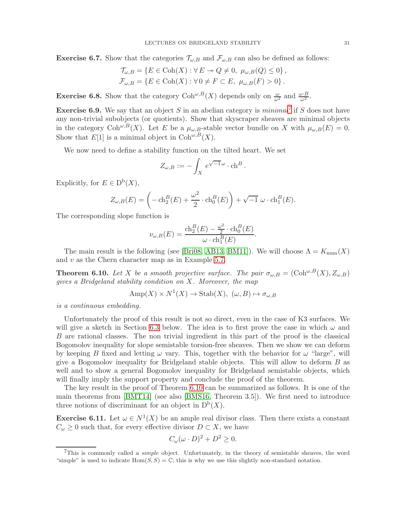**Exercise 6.7.** Show that the categories  $\mathcal{T}_{\omega,B}$  and  $\mathcal{F}_{\omega,B}$  can also be defined as follows:

$$
\mathcal{T}_{\omega,B} = \{ E \in \text{Coh}(X) : \forall E \to Q \neq 0, \ \mu_{\omega,B}(Q) \leq 0 \},
$$
  

$$
\mathcal{F}_{\omega,B} = \{ E \in \text{Coh}(X) : \forall 0 \neq F \subset E, \ \mu_{\omega,B}(F) > 0 \}.
$$

**Exercise 6.8.** Show that the category Coh<sup> $\omega$ </sup>, B<sub>(X)</sub> depends only on  $\frac{\omega}{\omega^2}$  and  $\frac{\omega \cdot B}{\omega^2}$ .

<span id="page-30-3"></span>**Exercise 6.9.** We say that an object S in an abelian category is  $minimal^7$  $minimal^7$  if S does not have any non-trivial subobjects (or quotients). Show that skyscraper sheaves are minimal objects in the category Coh<sup> $\omega$ ,B</sup>(X). Let E be a  $\mu_{\omega,B}$ -stable vector bundle on X with  $\mu_{\omega,B}(E) = 0$ . Show that  $E[1]$  is a minimal object in  $\text{Coh}^{\omega, B}(X)$ .

We now need to define a stability function on the tilted heart. We set

$$
Z_{\omega,B} := -\int_X e^{\sqrt{-1}\,\omega} \cdot \mathrm{ch}^B.
$$

Explicitly, for  $E \in D^b(X)$ ,

$$
Z_{\omega,B}(E) = \left(-\operatorname{ch}_2^B(E) + \frac{\omega^2}{2} \cdot \operatorname{ch}_0^B(E)\right) + \sqrt{-1} \omega \cdot \operatorname{ch}_1^B(E).
$$

The corresponding slope function is

$$
\nu_{\omega,B}(E) = \frac{\text{ch}_2^B(E) - \frac{\omega^2}{2} \cdot \text{ch}_0^B(E)}{\omega \cdot \text{ch}_1^B(E)}.
$$

The main result is the following (see [\[Bri08,](#page-54-1) [AB13,](#page-53-1) [BM11\]](#page-54-2)). We will choose  $\Lambda = K_{\text{num}}(X)$ and v as the Chern character map as in Example [5.7.](#page-21-2)

<span id="page-30-0"></span>**Theorem 6.10.** Let X be a smooth projective surface. The pair  $\sigma_{\omega,B} = (\text{Coh}^{\omega,B}(X), Z_{\omega,B})$ gives a Bridgeland stability condition on X. Moreover, the map

$$
Amp(X) \times N^1(X) \to \text{Stab}(X), \ (\omega, B) \mapsto \sigma_{\omega, B}
$$

is a continuous embedding.

Unfortunately the proof of this result is not so direct, even in the case of K3 surfaces. We will give a sketch in Section [6.3](#page-31-1) below. The idea is to first prove the case in which  $\omega$  and B are rational classes. The non trivial ingredient in this part of the proof is the classical Bogomolov inequality for slope semistable torsion-free sheaves. Then we show we can deform by keeping B fixed and letting  $\omega$  vary. This, together with the behavior for  $\omega$  "large", will give a Bogomolov inequality for Bridgeland stable objects. This will allow to deform  $B$  as well and to show a general Bogomolov inequality for Bridgeland semistable objects, which will finally imply the support property and conclude the proof of the theorem.

The key result in the proof of Theorem [6.10](#page-30-0) can be summarized as follows. It is one of the main theorems from [\[BMT14\]](#page-54-3) (see also [\[BMS16,](#page-54-4) Theorem 3.5]). We first need to introduce three notions of discriminant for an object in  $D^b(X)$ .

<span id="page-30-2"></span>**Exercise 6.11.** Let  $\omega \in N^1(X)$  be an ample real divisor class. Then there exists a constant  $C_{\omega} \geq 0$  such that, for every effective divisor  $D \subset X$ , we have

$$
C_{\omega}(\omega \cdot D)^2 + D^2 \ge 0.
$$

<span id="page-30-1"></span> $7$ This is commonly called a *simple* object. Unfortunately, in the theory of semistable sheaves, the word "simple" is used to indicate  $Hom(S, S) = \mathbb{C}$ ; this is why we use this slightly non-standard notation.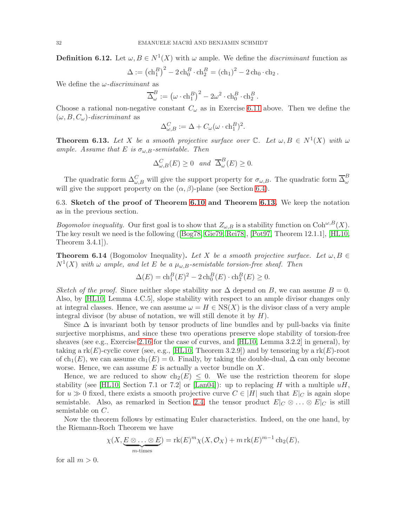**Definition 6.12.** Let  $\omega, B \in N^1(X)$  with  $\omega$  ample. We define the *discriminant* function as

$$
\Delta := (\text{ch}_1^B)^2 - 2 \,\text{ch}_0^B \cdot \text{ch}_2^B = (\text{ch}_1)^2 - 2 \,\text{ch}_0 \cdot \text{ch}_2.
$$

We define the  $\omega$ -discriminant as

$$
\overline{\Delta}^B_{\omega} := (\omega \cdot \mathrm{ch}_1^B)^2 - 2\omega^2 \cdot \mathrm{ch}_0^B \cdot \mathrm{ch}_2^B.
$$

Choose a rational non-negative constant  $C_{\omega}$  as in Exercise [6.11](#page-30-2) above. Then we define the  $(\omega, B, C_{\omega})$ -discriminant as

$$
\Delta_{\omega,B}^C := \Delta + C_{\omega} (\omega \cdot \mathbf{ch}_1^B)^2.
$$

<span id="page-31-0"></span>**Theorem 6.13.** Let X be a smooth projective surface over  $\mathbb{C}$ . Let  $\omega, B \in N^1(X)$  with  $\omega$ ample. Assume that E is  $\sigma_{\omega,B}$ -semistable. Then

$$
\Delta_{\omega,B}^C(E) \ge 0 \quad and \quad \overline{\Delta}_{\omega}^B(E) \ge 0.
$$

The quadratic form  $\Delta_{\omega,B}^C$  will give the support property for  $\sigma_{\omega,B}$ . The quadratic form  $\overline{\Delta}_{\omega}^B$ ω will give the support property on the  $(\alpha, \beta)$ -plane (see Section [6.4\)](#page-36-0).

<span id="page-31-1"></span>6.3. Sketch of the proof of Theorem [6.10](#page-30-0) and Theorem [6.13.](#page-31-0) We keep the notation as in the previous section.

*Bogomolov inequality.* Our first goal is to show that  $Z_{\omega,B}$  is a stability function on  $Coh^{\omega,B}(X)$ . The key result we need is the following([\[Bog78,](#page-54-22) [Gie79,](#page-55-10) [Rei78\]](#page-57-18), [\[Pot97,](#page-56-12) Theorem 12.1.1], [\[HL10,](#page-55-7) Theorem 3.4.1]).

**Theorem 6.14** (Bogomolov Inequality). Let X be a smooth projective surface. Let  $\omega, B \in$  $N^1(X)$  with  $\omega$  ample, and let E be a  $\mu_{\omega,B}$ -semistable torsion-free sheaf. Then

$$
\Delta(E) = \text{ch}_1^B(E)^2 - 2\,\text{ch}_0^B(E) \cdot \text{ch}_2^B(E) \ge 0.
$$

Sketch of the proof. Since neither slope stability nor  $\Delta$  depend on B, we can assume  $B = 0$ . Also, by [\[HL10,](#page-55-7) Lemma 4.C.5], slope stability with respect to an ample divisor changes only at integral classes. Hence, we can assume  $\omega = H \in \text{NS}(X)$  is the divisor class of a very ample integral divisor (by abuse of notation, we will still denote it by  $H$ ).

Since  $\Delta$  is invariant both by tensor products of line bundles and by pull-backs via finite surjective morphisms, and since these two operations preserve slope stability of torsion-free sheaves (see e.g., Exercise [2.16](#page-11-3) for the case of curves, and [\[HL10,](#page-55-7) Lemma 3.2.2] in general), by taking a rk(E)-cyclic cover (see, e.g., [\[HL10,](#page-55-7) Theorem 3.2.9]) and by tensoring by a rk(E)-root of ch<sub>1</sub>(E), we can assume ch<sub>1</sub>(E) = 0. Finally, by taking the double-dual,  $\Delta$  can only become worse. Hence, we can assume  $E$  is actually a vector bundle on  $X$ .

Hence, we are reduced to show  $ch_2(E) \leq 0$ . We use the restriction theorem for slope stability (see [\[HL10,](#page-55-7) Section 7.1 or 7.2] or [\[Lan04\]](#page-56-27)): up to replacing H with a multiple  $uH$ , for  $u \gg 0$  fixed, there exists a smooth projective curve  $C \in |H|$  such that  $E|_C$  is again slope semistable. Also, as remarked in Section [2.4,](#page-9-0) the tensor product  $E|_C \otimes \ldots \otimes E|_C$  is still semistable on C.

Now the theorem follows by estimating Euler characteristics. Indeed, on the one hand, by the Riemann-Roch Theorem we have

$$
\chi(X, \underbrace{E \otimes \ldots \otimes E}_{m\text{-times}}) = \text{rk}(E)^m \chi(X, \mathcal{O}_X) + m \text{rk}(E)^{m-1} \text{ch}_2(E),
$$

for all  $m > 0$ .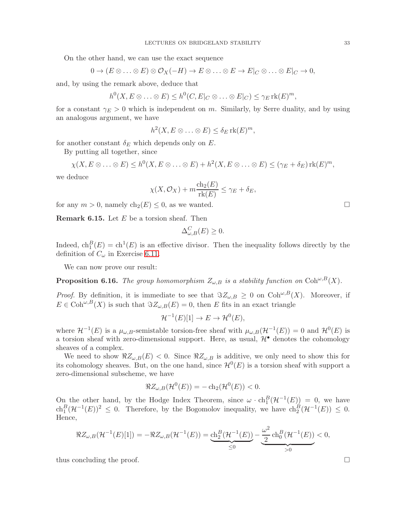On the other hand, we can use the exact sequence

$$
0 \to (E \otimes \ldots \otimes E) \otimes \mathcal{O}_X(-H) \to E \otimes \ldots \otimes E \to E|_{C} \otimes \ldots \otimes E|_{C} \to 0,
$$

and, by using the remark above, deduce that

$$
h^0(X, E \otimes \ldots \otimes E) \leq h^0(C, E|_{C} \otimes \ldots \otimes E|_{C}) \leq \gamma_E \operatorname{rk}(E)^m,
$$

for a constant  $\gamma_E > 0$  which is independent on m. Similarly, by Serre duality, and by using an analogous argument, we have

$$
h^2(X, E \otimes \ldots \otimes E) \leq \delta_E \operatorname{rk}(E)^m,
$$

for another constant  $\delta_E$  which depends only on E.

By putting all together, since

$$
\chi(X, E \otimes \ldots \otimes E) \leq h^0(X, E \otimes \ldots \otimes E) + h^2(X, E \otimes \ldots \otimes E) \leq (\gamma_E + \delta_E) \operatorname{rk}(E)^m,
$$

we deduce

$$
\chi(X, \mathcal{O}_X) + m \frac{\text{ch}_2(E)}{\text{rk}(E)} \le \gamma_E + \delta_E,
$$

for any  $m > 0$ , namely  $ch_2(E) \leq 0$ , as we wanted.

<span id="page-32-1"></span>**Remark 6.15.** Let  $E$  be a torsion sheaf. Then

$$
\Delta_{\omega,B}^C(E) \ge 0.
$$

Indeed,  $\text{ch}^B_1(E) = \text{ch}^1(E)$  is an effective divisor. Then the inequality follows directly by the definition of  $C_{\omega}$  in Exercise [6.11.](#page-30-2)

We can now prove our result:

<span id="page-32-0"></span>**Proposition 6.16.** The group homomorphism  $Z_{\omega,B}$  is a stability function on Coh<sup> $\omega,B$ </sup> $(X)$ .

*Proof.* By definition, it is immediate to see that  $\Im Z_{\omega,B} \geq 0$  on  $Coh^{\omega,B}(X)$ . Moreover, if  $E \in \mathrm{Coh}^{\omega, B}(X)$  is such that  $\Im Z_{\omega, B}(E) = 0$ , then E fits in an exact triangle

$$
\mathcal{H}^{-1}(E)[1] \to E \to \mathcal{H}^0(E),
$$

where  $\mathcal{H}^{-1}(E)$  is a  $\mu_{\omega,B}$ -semistable torsion-free sheaf with  $\mu_{\omega,B}(\mathcal{H}^{-1}(E)) = 0$  and  $\mathcal{H}^{0}(E)$  is a torsion sheaf with zero-dimensional support. Here, as usual,  $\mathcal{H}^{\bullet}$  denotes the cohomology sheaves of a complex.

We need to show  $\Re Z_{\omega,B}(E) < 0$ . Since  $\Re Z_{\omega,B}$  is additive, we only need to show this for its cohomology sheaves. But, on the one hand, since  $\mathcal{H}^0(E)$  is a torsion sheaf with support a zero-dimensional subscheme, we have

$$
\Re Z_{\omega,B}(\mathcal{H}^0(E)) = -\operatorname{ch}_2(\mathcal{H}^0(E)) < 0.
$$

On the other hand, by the Hodge Index Theorem, since  $\omega \cdot \text{ch}^B_1(\mathcal{H}^{-1}(E)) = 0$ , we have  $ch_1^B(\mathcal{H}^{-1}(E))^2 \leq 0$ . Therefore, by the Bogomolov inequality, we have  $ch_2^B(\mathcal{H}^{-1}(E)) \leq 0$ . Hence,

$$
\Re Z_{\omega,B}(\mathcal{H}^{-1}(E)[1]) = -\Re Z_{\omega,B}(\mathcal{H}^{-1}(E)) = \underbrace{\text{ch}_2^B(\mathcal{H}^{-1}(E))}_{\leq 0} - \underbrace{\frac{\omega^2}{2} \text{ch}_0^B(\mathcal{H}^{-1}(E))}_{>0} < 0,
$$

thus concluding the proof.  $\Box$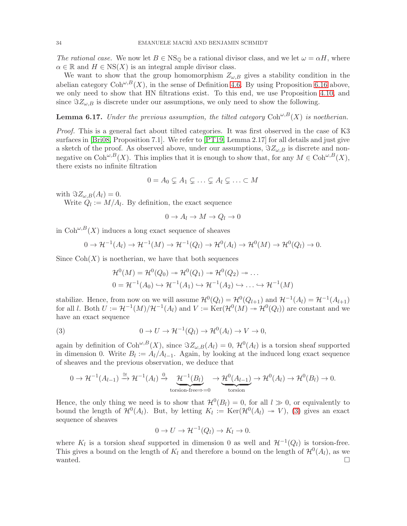The rational case. We now let  $B \in NS<sub>Q</sub>$  be a rational divisor class, and we let  $\omega = \alpha H$ , where  $\alpha \in \mathbb{R}$  and  $H \in \text{NS}(X)$  is an integral ample divisor class.

We want to show that the group homomorphism  $Z_{\omega,B}$  gives a stability condition in the abelian category  $\text{Coh}^{\omega,B}(X)$ , in the sense of Definition [4.6.](#page-15-3) By using Proposition [6.16](#page-32-0) above, we only need to show that HN filtrations exist. To this end, we use Proposition [4.10,](#page-16-0) and since  $\Im Z_{\omega,B}$  is discrete under our assumptions, we only need to show the following.

**Lemma 6.17.** Under the previous assumption, the tilted category  $\text{Coh}^{\omega,B}(X)$  is noetherian.

Proof. This is a general fact about tilted categories. It was first observed in the case of K3 surfaces in [\[Bri08,](#page-54-1) Proposition 7.1]. We refer to [\[PT19,](#page-57-15) Lemma 2.17] for all details and just give a sketch of the proof. As observed above, under our assumptions,  $\Im Z_{\omega,B}$  is discrete and nonnegative on  $\mathrm{Coh}^{\omega,B}(X)$ . This implies that it is enough to show that, for any  $M \in \mathrm{Coh}^{\omega,B}(X)$ , there exists no infinite filtration

$$
0 = A_0 \subsetneq A_1 \subsetneq \ldots \subsetneq A_l \subsetneq \ldots \subset M
$$

with  $\Im Z_{\omega,B}(A_l) = 0$ .

Write  $Q_l := M/A_l$ . By definition, the exact sequence

$$
0 \to A_l \to M \to Q_l \to 0
$$

in  $\mathrm{Coh}^{\omega,B}(X)$  induces a long exact sequence of sheaves

$$
0 \to \mathcal{H}^{-1}(A_l) \to \mathcal{H}^{-1}(M) \to \mathcal{H}^{-1}(Q_l) \to \mathcal{H}^0(A_l) \to \mathcal{H}^0(M) \to \mathcal{H}^0(Q_l) \to 0.
$$

Since  $Coh(X)$  is noetherian, we have that both sequences

<span id="page-33-0"></span>
$$
\mathcal{H}^0(M) = \mathcal{H}^0(Q_0) \twoheadrightarrow \mathcal{H}^0(Q_1) \twoheadrightarrow \mathcal{H}^0(Q_2) \twoheadrightarrow \dots
$$
  

$$
0 = \mathcal{H}^{-1}(A_0) \hookrightarrow \mathcal{H}^{-1}(A_1) \hookrightarrow \mathcal{H}^{-1}(A_2) \hookrightarrow \dots \hookrightarrow \mathcal{H}^{-1}(M)
$$

stabilize. Hence, from now on we will assume  $\mathcal{H}^0(Q_l) = \mathcal{H}^0(Q_{l+1})$  and  $\mathcal{H}^{-1}(A_l) = \mathcal{H}^{-1}(A_{l+1})$ for all l. Both  $U := \mathcal{H}^{-1}(M)/\mathcal{H}^{-1}(A_l)$  and  $V := \text{Ker}(\mathcal{H}^0(M) \to \mathcal{H}^0(Q_l))$  are constant and we have an exact sequence

(3) 
$$
0 \to U \to \mathcal{H}^{-1}(Q_l) \to \mathcal{H}^0(A_l) \to V \to 0,
$$

again by definition of  $Coh^{\omega,B}(X)$ , since  $\Im Z_{\omega,B}(A_l) = 0$ ,  $\mathcal{H}^0(A_l)$  is a torsion sheaf supported in dimension 0. Write  $B_l := A_l/A_{l-1}$ . Again, by looking at the induced long exact sequence of sheaves and the previous observation, we deduce that

$$
0 \to \mathcal{H}^{-1}(A_{l-1}) \xrightarrow{\cong} \mathcal{H}^{-1}(A_l) \xrightarrow{0} \underbrace{\mathcal{H}^{-1}(B_l)}_{\text{torsion-free} \to 0} \to \underbrace{\mathcal{H}^0(A_{l-1})}_{\text{torsion}} \to \mathcal{H}^0(A_l) \to \mathcal{H}^0(B_l) \to 0.
$$

Hence, the only thing we need is to show that  $\mathcal{H}^0(B_l) = 0$ , for all  $l \gg 0$ , or equivalently to bound the length of  $\mathcal{H}^0(A_l)$ . But, by letting  $K_l := \text{Ker}(\mathcal{H}^0(A_l) \to V)$ , [\(3\)](#page-33-0) gives an exact sequence of sheaves

$$
0 \to U \to \mathcal{H}^{-1}(Q_l) \to K_l \to 0.
$$

where  $K_l$  is a torsion sheaf supported in dimension 0 as well and  $\mathcal{H}^{-1}(Q_l)$  is torsion-free. This gives a bound on the length of  $K_l$  and therefore a bound on the length of  $\mathcal{H}^0(A_l)$ , as we wanted.  $\Box$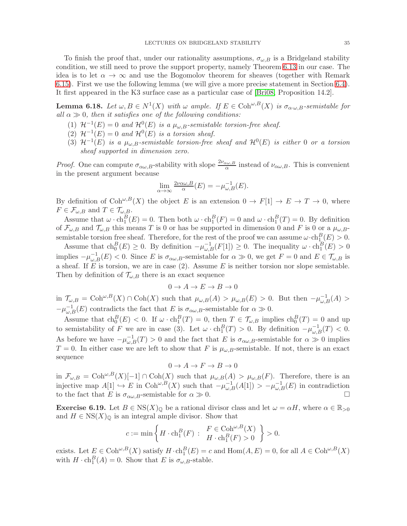To finish the proof that, under our rationality assumptions,  $\sigma_{\omega,B}$  is a Bridgeland stability condition, we still need to prove the support property, namely Theorem [6.13](#page-31-0) in our case. The idea is to let  $\alpha \to \infty$  and use the Bogomolov theorem for sheaves (together with Remark [6.15\)](#page-32-1). First we use the following lemma (we will give a more precise statement in Section [6.4\)](#page-36-0). It first appeared in the K3 surface case as a particular case of [\[Bri08,](#page-54-1) Proposition 14.2].

<span id="page-34-1"></span>**Lemma 6.18.** Let  $\omega, B \in N^1(X)$  with  $\omega$  ample. If  $E \in \mathrm{Coh}^{\omega, B}(X)$  is  $\sigma_{\alpha \cdot \omega, B}$ -semistable for all  $\alpha \gg 0$ , then it satisfies one of the following conditions:

- (1)  $\mathcal{H}^{-1}(E) = 0$  and  $\mathcal{H}^{0}(E)$  is a  $\mu_{\omega,B}$ -semistable torsion-free sheaf.
- (2)  $\mathcal{H}^{-1}(E) = 0$  and  $\mathcal{H}^{0}(E)$  is a torsion sheaf.
- (3)  $\mathcal{H}^{-1}(E)$  is a  $\mu_{\omega,B}$ -semistable torsion-free sheaf and  $\mathcal{H}^{0}(E)$  is either 0 or a torsion sheaf supported in dimension zero.

*Proof.* One can compute  $\sigma_{\alpha\omega,B}$ -stability with slope  $\frac{2\nu_{\alpha\omega,B}}{\alpha}$  instead of  $\nu_{\alpha\omega,B}$ . This is convenient in the present argument because

$$
\lim_{\alpha \to \infty} \frac{2\nu \alpha \omega, B}{\alpha}(E) = -\mu_{\omega, B}^{-1}(E).
$$

By definition of  $\text{Coh}^{\omega,B}(X)$  the object E is an extension  $0 \to F[1] \to E \to T \to 0$ , where  $F \in \mathcal{F}_{\omega,B}$  and  $T \in \mathcal{T}_{\omega,B}$ .

Assume that  $\omega \cdot \text{ch}_1^B(E) = 0$ . Then both  $\omega \cdot \text{ch}_1^B(F) = 0$  and  $\omega \cdot \text{ch}_1^B(T) = 0$ . By definition of  $\mathcal{F}_{\omega,B}$  and  $\mathcal{T}_{\omega,B}$  this means T is 0 or has be supported in dimension 0 and F is 0 or a  $\mu_{\omega,B}$ semistable torsion free sheaf. Therefore, for the rest of the proof we can assume  $\omega \cdot ch_1^B(E) > 0$ .

Assume that  $ch_0^B(E) \geq 0$ . By definition  $-\mu_{\omega,B}^{-1}(F[1]) \geq 0$ . The inequality  $\omega \cdot ch_1^B(E) > 0$ implies  $-\mu_{\omega,B}^{-1}(E) < 0$ . Since E is  $\sigma_{\alpha\omega,B}$ -semistable for  $\alpha \gg 0$ , we get  $F = 0$  and  $E \in \mathcal{T}_{\omega,B}$  is a sheaf. If E is torsion, we are in case  $(2)$ . Assume E is neither torsion nor slope semistable. Then by definition of  $\mathcal{T}_{\omega,B}$  there is an exact sequence

$$
0 \to A \to E \to B \to 0
$$

in  $\mathcal{T}_{\omega,B} = \text{Coh}^{\omega,B}(X) \cap \text{Coh}(X)$  such that  $\mu_{\omega,B}(A) > \mu_{\omega,B}(E) > 0$ . But then  $-\mu_{\omega,B}^{-1}(A) >$  $-\mu_{\omega,B}^{-1}(E)$  contradicts the fact that E is  $\sigma_{\alpha\omega,B}$ -semistable for  $\alpha \gg 0$ .

Assume that  $ch_0^B(E) < 0$ . If  $\omega \cdot ch_1^B(T) = 0$ , then  $T \in \mathcal{T}_{\omega,B}$  implies  $ch_0^B(T) = 0$  and up to semistability of F we are in case (3). Let  $\omega \cdot \text{ch}_1^B(T) > 0$ . By definition  $-\mu_{\omega,B}^{-1}(T) < 0$ . As before we have  $-\mu_{\omega,B}^{-1}(T) > 0$  and the fact that E is  $\sigma_{\alpha\omega,B}$ -semistable for  $\alpha \gg 0$  implies  $T = 0$ . In either case we are left to show that F is  $\mu_{\omega,B}$ -semistable. If not, there is an exact sequence

$$
0 \to A \to F \to B \to 0
$$

in  $\mathcal{F}_{\omega,B} = \text{Coh}^{\omega,B}(X)[-1] \cap \text{Coh}(X)$  such that  $\mu_{\omega,B}(A) > \mu_{\omega,B}(F)$ . Therefore, there is an injective map  $A[1] \hookrightarrow E$  in  $\text{Coh}^{\omega,B}(X)$  such that  $-\mu_{\omega,B}^{-1}(A[1]) > -\mu_{\omega,B}^{-1}(E)$  in contradiction to the fact that E is  $\sigma_{\alpha\omega,B}$ -semistable for  $\alpha \gg 0$ .

<span id="page-34-0"></span>**Exercise 6.19.** Let  $B \in \text{NS}(X)_{\mathbb{Q}}$  be a rational divisor class and let  $\omega = \alpha H$ , where  $\alpha \in \mathbb{R}_{>0}$ and  $H \in \text{NS}(X)_{\mathbb{Q}}$  is an integral ample divisor. Show that

$$
c:=\min\left\{H\cdot\mathrm{ch}_1^B(F)\,:\, \begin{array}{l} F\in\mathrm{Coh}^{\omega,B}(X)\\ H\cdot\mathrm{ch}_1^B(F)>0 \end{array}\right\}>0.
$$

exists. Let  $E \in \text{Coh}^{\omega, B}(X)$  satisfy  $H \cdot \text{ch}_1^B(E) = c$  and  $\text{Hom}(A, E) = 0$ , for all  $A \in \text{Coh}^{\omega, B}(X)$ with  $H \cdot \text{ch}_1^B(A) = 0$ . Show that E is  $\sigma_{\omega,B}$ -stable.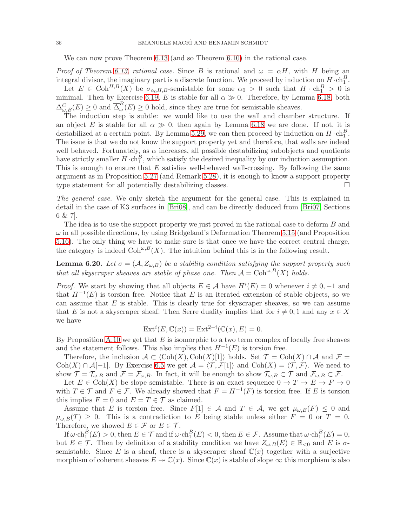We can now prove Theorem [6.13](#page-31-0) (and so Theorem [6.10\)](#page-30-0) in the rational case.

*Proof of Theorem [6.13,](#page-31-0) rational case.* Since B is rational and  $\omega = \alpha H$ , with H being an integral divisor, the imaginary part is a discrete function. We proceed by induction on  $H \cdot \text{ch}_1^B$ .

Let  $E \in \text{Coh}^{H,B}(X)$  be  $\sigma_{\alpha_0 H,B}$ -semistable for some  $\alpha_0 > 0$  such that  $H \cdot \text{ch}^B_1 > 0$  is minimal. Then by Exercise [6.19,](#page-34-0) E is stable for all  $\alpha \gg 0$ . Therefore, by Lemma [6.18,](#page-34-1) both  $\Delta_{\omega,B}^C(E) \geq 0$  and  $\overline{\Delta}_{\omega}^B$  $\omega(\mathbf{E}) \geq 0$  hold, since they are true for semistable sheaves.

The induction step is subtle: we would like to use the wall and chamber structure. If an object E is stable for all  $\alpha \gg 0$ , then again by Lemma [6.18](#page-34-1) we are done. If not, it is destabilized at a certain point. By Lemma [5.29,](#page-27-3) we can then proceed by induction on  $H \cdot \text{ch}_1^B$ . The issue is that we do not know the support property yet and therefore, that walls are indeed well behaved. Fortunately, as  $\alpha$  increases, all possible destabilizing subobjects and quotients have strictly smaller  $H \cdot ch_1^B$ , which satisfy the desired inequality by our induction assumption. This is enough to ensure that  $E$  satisfies well-behaved wall-crossing. By following the same argument as in Proposition [5.27](#page-27-0) (and Remark [5.28\)](#page-27-4), it is enough to know a support property type statement for all potentially destabilizing classes.

The general case. We only sketch the argument for the general case. This is explained in detail in the case of K3 surfaces in [\[Bri08\]](#page-54-1), and can be directly deduced from [\[Bri07,](#page-54-0) Sections 6 & 7].

The idea is to use the support property we just proved in the rational case to deform B and  $\omega$  in all possible directions, by using Bridgeland's Deformation Theorem [5.15](#page-23-0) (and Proposition [5.16\)](#page-24-1). The only thing we have to make sure is that once we have the correct central charge, the category is indeed  $Coh^{\omega,B}(X)$ . The intuition behind this is in the following result.

**Lemma 6.20.** Let  $\sigma = (A, Z_{\omega,B})$  be a stability condition satisfying the support property such that all skyscraper sheaves are stable of phase one. Then  $A = \text{Coh}^{\omega, B}(X)$  holds.

*Proof.* We start by showing that all objects  $E \in \mathcal{A}$  have  $H^{i}(E) = 0$  whenever  $i \neq 0, -1$  and that  $H^{-1}(E)$  is torsion free. Notice that E is an iterated extension of stable objects, so we can assume that  $E$  is stable. This is clearly true for skyscraper sheaves, so we can assume that E is not a skyscraper sheaf. Then Serre duality implies that for  $i \neq 0, 1$  and any  $x \in X$ we have

$$
Exti(E, \mathbb{C}(x)) = Ext2-i(\mathbb{C}(x), E) = 0.
$$

By Proposition [A.10](#page-53-13) we get that  $E$  is isomorphic to a two term complex of locally free sheaves and the statement follows. This also implies that  $H^{-1}(E)$  is torsion free.

Therefore, the inclusion  $\mathcal{A} \subset \langle \text{Coh}(X), \text{Coh}(X)[1]\rangle$  holds. Set  $\mathcal{T} = \text{Coh}(X) \cap \mathcal{A}$  and  $\mathcal{F} =$ Coh(X) ∩ A[-1]. By Exercise [6.5](#page-29-1) we get  $\mathcal{A} = \langle \mathcal{T}, \mathcal{F}[1]\rangle$  and Coh(X) =  $\langle \mathcal{T}, \mathcal{F}\rangle$ . We need to show  $\mathcal{T} = \mathcal{T}_{\omega,B}$  and  $\mathcal{F} = \mathcal{F}_{\omega,B}$ . In fact, it will be enough to show  $\mathcal{T}_{\omega,B} \subset \mathcal{T}$  and  $\mathcal{F}_{\omega,B} \subset \mathcal{F}$ .

Let  $E \in \text{Coh}(X)$  be slope semistable. There is an exact sequence  $0 \to T \to E \to F \to 0$ with  $T \in \mathcal{T}$  and  $F \in \mathcal{F}$ . We already showed that  $F = H^{-1}(F)$  is torsion free. If E is torsion this implies  $F = 0$  and  $E = T \in \mathcal{T}$  as claimed.

Assume that E is torsion free. Since  $F[1] \in \mathcal{A}$  and  $T \in \mathcal{A}$ , we get  $\mu_{\omega,B}(F) \leq 0$  and  $\mu_{\omega,B}(T) \geq 0$ . This is a contradiction to E being stable unless either  $F = 0$  or  $T = 0$ . Therefore, we showed  $E \in \mathcal{F}$  or  $E \in \mathcal{T}$ .

If  $\omega \cdot ch_1^B(E) > 0$ , then  $E \in \mathcal{T}$  and if  $\omega \cdot ch_1^B(E) < 0$ , then  $E \in \mathcal{F}$ . Assume that  $\omega \cdot ch_1^B(E) = 0$ , but  $E \in \mathcal{T}$ . Then by definition of a stability condition we have  $Z_{\omega,B}(E) \in \mathbb{R}_{\leq 0}$  and E is  $\sigma$ semistable. Since E is a sheaf, there is a skyscraper sheaf  $\mathbb{C}(x)$  together with a surjective morphism of coherent sheaves  $E \to \mathbb{C}(x)$ . Since  $\mathbb{C}(x)$  is stable of slope  $\infty$  this morphism is also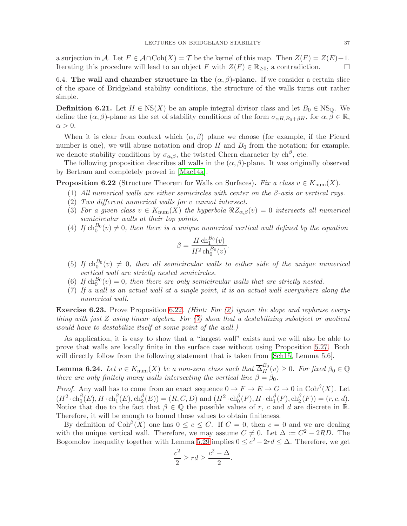a surjection in A. Let  $F \in \mathcal{A} \cap \mathrm{Coh}(X) = \mathcal{T}$  be the kernel of this map. Then  $Z(F) = Z(E) + 1$ .<br>Iterating this procedure will lead to an object  $F$  with  $Z(F) \in \mathbb{R}_{\geq 0}$ , a contradiction. Iterating this procedure will lead to an object F with  $Z(F) \in \mathbb{R}_{\geq 0}$ , a contradiction.

<span id="page-36-0"></span>6.4. The wall and chamber structure in the  $(\alpha, \beta)$ -plane. If we consider a certain slice of the space of Bridgeland stability conditions, the structure of the walls turns out rather simple.

**Definition 6.21.** Let  $H \in \text{NS}(X)$  be an ample integral divisor class and let  $B_0 \in \text{NS}_{\mathbb{Q}}$ . We define the  $(\alpha, \beta)$ -plane as the set of stability conditions of the form  $\sigma_{\alpha H, B_0+\beta H}$ , for  $\alpha, \beta \in \mathbb{R}$ ,  $\alpha > 0$ .

When it is clear from context which  $(\alpha, \beta)$  plane we choose (for example, if the Picard number is one), we will abuse notation and drop  $H$  and  $B_0$  from the notation; for example, we denote stability conditions by  $\sigma_{\alpha,\beta}$ , the twisted Chern character by ch<sup> $\beta$ </sup>, etc.

The following proposition describes all walls in the  $(\alpha, \beta)$ -plane. It was originally observed by Bertram and completely proved in [\[Mac14a\]](#page-56-28).

<span id="page-36-1"></span>**Proposition 6.22** (Structure Theorem for Walls on Surfaces). Fix a class  $v \in K_{\text{num}}(X)$ .

- <span id="page-36-2"></span>(1) All numerical walls are either semicircles with center on the  $\beta$ -axis or vertical rays.
- (2) Two different numerical walls for v cannot intersect.
- (3) For a given class  $v \in K_{\text{num}}(X)$  the hyperbola  $\Re Z_{\alpha,\beta}(v) = 0$  intersects all numerical semicircular walls at their top points.
- (4) If  $\text{ch}_0^{B_0}(v) \neq 0$ , then there is a unique numerical vertical wall defined by the equation

$$
\beta = \frac{H \ch_1^{B_0}(v)}{H^2 \ch_0^{B_0}(v)}.
$$

- (5) If  $\text{ch}^{B_0}_0(v) \neq 0$ , then all semicircular walls to either side of the unique numerical vertical wall are strictly nested semicircles.
- <span id="page-36-3"></span>(6) If  $\text{ch}_0^{B_0}(v) = 0$ , then there are only semicircular walls that are strictly nested.
- (7) If a wall is an actual wall at a single point, it is an actual wall everywhere along the numerical wall.

Exercise 6.23. Prove Proposition [6.22.](#page-36-1) (Hint: For [\(2\)](#page-36-2) ignore the slope and rephrase everything with just  $Z$  using linear algebra. For  $(7)$  show that a destabilizing subobject or quotient would have to destabilize itself at some point of the wall.)

As application, it is easy to show that a "largest wall" exists and we will also be able to prove that walls are locally finite in the surface case without using Proposition [5.27.](#page-27-0) Both will directly follow from the following statement that is taken from [\[Sch15,](#page-57-5) Lemma 5.6].

**Lemma 6.24.** Let  $v \in K_{\text{num}}(X)$  be a non-zero class such that  $\overline{\Delta}_{H}^{B_0}(v) \geq 0$ . For fixed  $\beta_0 \in \mathbb{Q}$ there are only finitely many walls intersecting the vertical line  $\beta = \beta_0$ .

*Proof.* Any wall has to come from an exact sequence  $0 \to F \to E \to G \to 0$  in  $\text{Coh}^{\beta}(X)$ . Let  $(H^2 \cdot ch_0^{\beta}(E), H \cdot ch_1^{\beta}(E), ch_2^{\beta}(E)) = (R, C, D)$  and  $(H^2 \cdot ch_0^{\beta}(F), H \cdot ch_1^{\beta}(F), ch_2^{\beta}(F)) = (r, c, d)$ . Notice that due to the fact that  $\beta \in \mathbb{Q}$  the possible values of r, c and d are discrete in R. Therefore, it will be enough to bound those values to obtain finiteness.

By definition of  $\text{Coh}^{\beta}(X)$  one has  $0 \leq c \leq C$ . If  $C = 0$ , then  $c = 0$  and we are dealing with the unique vertical wall. Therefore, we may assume  $C \neq 0$ . Let  $\Delta := C^2 - 2RD$ . The Bogomolov inequality together with Lemma [5.29](#page-27-3) implies  $0 \leq c^2 - 2rd \leq \Delta$ . Therefore, we get

$$
\frac{c^2}{2} \ge rd \ge \frac{c^2 - \Delta}{2}.
$$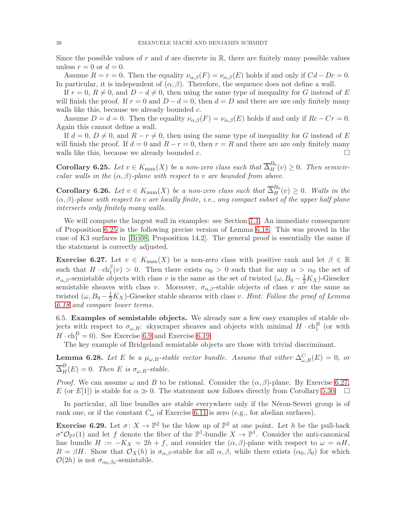Since the possible values of r and d are discrete in  $\mathbb{R}$ , there are finitely many possible values unless  $r = 0$  or  $d = 0$ .

Assume  $R = r = 0$ . Then the equality  $\nu_{\alpha,\beta}(F) = \nu_{\alpha,\beta}(E)$  holds if and only if  $Cd - Dc = 0$ . In particular, it is independent of  $(\alpha, \beta)$ . Therefore, the sequence does not define a wall.

If  $r = 0$ ,  $R \neq 0$ , and  $D - d \neq 0$ , then using the same type of inequality for G instead of E will finish the proof. If  $r = 0$  and  $D - d = 0$ , then  $d = D$  and there are are only finitely many walls like this, because we already bounded  $c$ .

Assume  $D = d = 0$ . Then the equality  $\nu_{\alpha,\beta}(F) = \nu_{\alpha,\beta}(E)$  holds if and only if  $Rc - Cr = 0$ . Again this cannot define a wall.

If  $d = 0, D \neq 0$ , and  $R - r \neq 0$ , then using the same type of inequality for G instead of E will finish the proof. If  $d = 0$  and  $R - r = 0$ , then  $r = R$  and there are only finitely many walls like this, because we already bounded c. walls like this, because we already bounded  $c$ .

<span id="page-37-1"></span>**Corollary 6.25.** Let  $v \in K_{\text{num}}(X)$  be a non-zero class such that  $\overline{\Delta}_{H}^{B_0}(v) \geq 0$ . Then semicircular walls in the  $(\alpha, \beta)$ -plane with respect to v are bounded from above.

**Corollary 6.26.** Let  $v \in K_{\text{num}}(X)$  be a non-zero class such that  $\overline{\Delta}_{H}^{B_0}(v) \geq 0$ . Walls in the  $(\alpha, \beta)$ -plane with respect to v are locally finite, i.e., any compact subset of the upper half plane intersects only finitely many walls.

We will compute the largest wall in examples: see Section [7.1.](#page-39-1) An immediate consequence of Proposition [6.25](#page-37-1) is the following precise version of Lemma [6.18.](#page-34-1) This was proved in the case of K3 surfaces in [\[Bri08,](#page-54-1) Proposition 14.2]. The general proof is essentially the same if the statement is correctly adjusted.

<span id="page-37-2"></span>**Exercise 6.27.** Let  $v \in K_{\text{num}}(X)$  be a non-zero class with positive rank and let  $\beta \in \mathbb{R}$ such that  $H \cdot \text{ch}^{\beta}_1(v) > 0$ . Then there exists  $\alpha_0 > 0$  such that for any  $\alpha > \alpha_0$  the set of  $\sigma_{\alpha,\beta}$ -semistable objects with class v is the same as the set of twisted  $(\omega, B_0 - \frac{1}{2}K_X)$ -Gieseker semistable sheaves with class v. Moreover,  $\sigma_{\alpha,\beta}$ -stable objects of class v are the same as twisted  $(\omega, B_0 - \frac{1}{2}K_X)$ -Gieseker stable sheaves with class v. *Hint: Follow the proof of Lemma* [6.18](#page-34-1) and compare lower terms.

<span id="page-37-0"></span>6.5. Examples of semistable objects. We already saw a few easy examples of stable objects with respect to  $\sigma_{\omega,B}$ : skyscraper sheaves and objects with minimal  $H \cdot \text{ch}^B_1$  (or with  $H \cdot \text{ch}_{1}^{B} = 0$ ). See Exercise [6.9](#page-30-3) and Exercise [6.19.](#page-34-0)

The key example of Bridgeland semistable objects are those with trivial discriminant.

<span id="page-37-3"></span>**Lemma 6.28.** Let E be a  $\mu_{\omega,B}$ -stable vector bundle. Assume that either  $\Delta_{\omega,B}^C(E) = 0$ , or  $\overline{\Delta}_{H}^{B}(E) = 0$ . Then E is  $\sigma_{\omega,B}$ -stable.

*Proof.* We can assume  $\omega$  and B to be rational. Consider the  $(\alpha, \beta)$ -plane. By Exercise [6.27,](#page-37-2) E (or E[1]) is stable for  $\alpha \gg 0$ . The statement now follows directly from Corollary [5.30.](#page-28-2)  $\Box$ 

In particular, all line bundles are stable everywhere only if the Néron-Severi group is of rank one, or if the constant  $C_{\omega}$  of Exercise [6.11](#page-30-2) is zero (e.g., for abelian surfaces).

**Exercise 6.29.** Let  $\sigma: X \to \mathbb{P}^2$  be the blow up of  $\mathbb{P}^2$  at one point. Let h be the pull-back  $\sigma^* \mathcal{O}_{\mathbb{P}^2}(1)$  and let f denote the fiber of the  $\mathbb{P}^1$ -bundle  $X \to \mathbb{P}^1$ . Consider the anti-canonical line bundle  $H := -K_X = 2h + f$ , and consider the  $(\alpha, \beta)$ -plane with respect to  $\omega = \alpha H$ ,  $B = \beta H$ . Show that  $\mathcal{O}_X(h)$  is  $\sigma_{\alpha,\beta}$ -stable for all  $\alpha,\beta$ , while there exists  $(\alpha_0,\beta_0)$  for which  $\mathcal{O}(2h)$  is not  $\sigma_{\alpha_0,\beta_0}$ -semistable.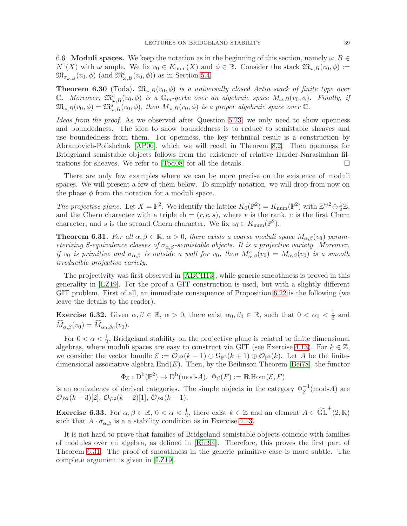<span id="page-38-0"></span>6.6. **Moduli spaces.** We keep the notation as in the beginning of this section, namely  $\omega, B \in$  $N^1(X)$  with  $\omega$  ample. We fix  $v_0 \in K_{\text{num}}(X)$  and  $\phi \in \mathbb{R}$ . Consider the stack  $\mathfrak{M}_{\omega,B}(v_0,\phi) :=$  $\mathfrak{M}_{\sigma_{\omega,B}}(v_0,\phi)$  (and  $\mathfrak{M}_{\omega,B}^s(v_0,\phi)$ ) as in Section [5.4.](#page-25-0)

**Theorem 6.30** (Toda).  $\mathfrak{M}_{\omega,B}(v_0,\phi)$  is a universally closed Artin stack of finite type over C. Moreover,  $\mathfrak{M}^s_{\omega,B}(v_0,\phi)$  is a  $\mathbb{G}_m$ -gerbe over an algebraic space  $M_{\omega,B}(v_0,\phi)$ . Finally, if  $\mathfrak{M}_{\omega,B}(v_0,\phi)=\mathfrak{M}_{\omega,B}^s(v_0,\phi)$ , then  $M_{\omega,B}(v_0,\phi)$  is a proper algebraic space over  $\mathbb{C}$ .

Ideas from the proof. As we observed after Question [5.23,](#page-26-1) we only need to show openness and boundedness. The idea to show boundedness is to reduce to semistable sheaves and use boundedness from them. For openness, the key technical result is a construction by Abramovich-Polishchuk [\[AP06\]](#page-53-12), which we will recall in Theorem [8.2.](#page-43-0) Then openness for Bridgeland semistable objects follows from the existence of relative Harder-Narasimhan filtrations for sheaves. We refer to  $[**T**od08]$  for all the details.

There are only few examples where we can be more precise on the existence of moduli spaces. We will present a few of them below. To simplify notation, we will drop from now on the phase  $\phi$  from the notation for a moduli space.

The projective plane. Let  $X = \mathbb{P}^2$ . We identify the lattice  $K_0(\mathbb{P}^2) = K_{\text{num}}(\mathbb{P}^2)$  with  $\mathbb{Z}^{\oplus 2} \oplus \frac{1}{2}\mathbb{Z}$ , and the Chern character with a triple ch =  $(r, c, s)$ , where r is the rank, c is the first Chern character, and s is the second Chern character. We fix  $v_0 \in K_{\text{num}}(\mathbb{P}^2)$ .

<span id="page-38-1"></span>**Theorem 6.31.** For all  $\alpha, \beta \in \mathbb{R}$ ,  $\alpha > 0$ , there exists a coarse moduli space  $M_{\alpha,\beta}(v_0)$  parameterizing S-equivalence classes of  $\sigma_{\alpha,\beta}$ -semistable objects. It is a projective variety. Moreover, if  $v_0$  is primitive and  $\sigma_{\alpha,\beta}$  is outside a wall for  $v_0$ , then  $M^s_{\alpha,\beta}(v_0) = M_{\alpha,\beta}(v_0)$  is a smooth irreducible projective variety.

The projectivity was first observed in [\[ABCH13\]](#page-53-2), while generic smoothness is proved in this generality in [\[LZ19\]](#page-56-1). For the proof a GIT construction is used, but with a slightly different GIT problem. First of all, an immediate consequence of Proposition [6.22](#page-36-1) is the following (we leave the details to the reader).

**Exercise 6.32.** Given  $\alpha, \beta \in \mathbb{R}$ ,  $\alpha > 0$ , there exist  $\alpha_0, \beta_0 \in \mathbb{R}$ , such that  $0 < \alpha_0 < \frac{1}{2}$  $\frac{1}{2}$  and  $M_{\alpha,\beta}(v_0) = M_{\alpha_0,\beta_0}(v_0).$ 

For  $0 < \alpha < \frac{1}{2}$ , Bridgeland stability on the projective plane is related to finite dimensional algebras, where moduli spaces are easy to construct via GIT (see Exercise [4.13\)](#page-18-1). For  $k \in \mathbb{Z}$ , we consider the vector bundle  $\mathcal{E} := \mathcal{O}_{\mathbb{P}^2}(k-1) \oplus \Omega_{\mathbb{P}^2}(k+1) \oplus \mathcal{O}_{\mathbb{P}^2}(k)$ . Let A be the finitedimensional associative algebra  $\text{End}(E)$ . Then, by the Beilinson Theorem [\[Bei78\]](#page-54-23), the functor

$$
\Phi_{\mathcal{E}} : D^b(\mathbb{P}^2) \to D^b(\text{mod-}A), \ \Phi_{\mathcal{E}}(F) := \mathbf{R} \operatorname{Hom}(\mathcal{E}, F)
$$

is an equivalence of derived categories. The simple objects in the category  $\Phi_{\mathcal{E}}^{-1}(\text{mod-}A)$  are  $\mathcal{O}_{\mathcal{P}^2}(k-3)[2], \mathcal{O}_{\mathcal{P}^2}(k-2)[1], \mathcal{O}_{\mathcal{P}^2}(k-1).$ 

**Exercise 6.33.** For  $\alpha, \beta \in \mathbb{R}$ ,  $0 < \alpha < \frac{1}{2}$ , there exist  $k \in \mathbb{Z}$  and an element  $A \in \widetilde{GL}^+(2, \mathbb{R})$ such that  $A \cdot \sigma_{\alpha,\beta}$  is a a stability condition as in Exercise [4.13.](#page-18-1)

It is not hard to prove that families of Bridgeland semistable objects coincide with families of modules over an algebra, as defined in [\[Kin94\]](#page-55-20). Therefore, this proves the first part of Theorem [6.31.](#page-38-1) The proof of smoothness in the generic primitive case is more subtle. The complete argument is given in [\[LZ19\]](#page-56-1).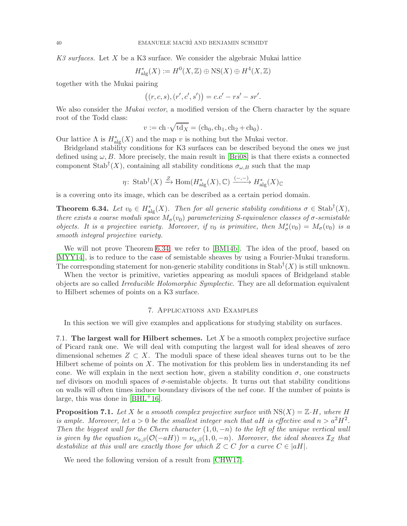$K3$  surfaces. Let X be a K3 surface. We consider the algebraic Mukai lattice

$$
H^*_{\text{alg}}(X) := H^0(X, \mathbb{Z}) \oplus \text{NS}(X) \oplus H^4(X, \mathbb{Z})
$$

together with the Mukai pairing

$$
((r, c, s), (r', c', s')) = c.c' - rs' - sr'.
$$

We also consider the *Mukai vector*, a modified version of the Chern character by the square root of the Todd class:

$$
v := \mathrm{ch} \cdot \sqrt{\mathrm{td}_X} = (\mathrm{ch}_0, \mathrm{ch}_1, \mathrm{ch}_2 + \mathrm{ch}_0).
$$

Our lattice  $\Lambda$  is  $H^*_{\text{alg}}(X)$  and the map v is nothing but the Mukai vector.

Bridgeland stability conditions for K3 surfaces can be described beyond the ones we just defined using  $\omega$ , B. More precisely, the main result in [\[Bri08\]](#page-54-1) is that there exists a connected component Stab<sup>†</sup> $(X)$ , containing all stability conditions  $\sigma_{\omega,B}$  such that the map

$$
\eta\colon \operatorname{Stab}^{\dagger}(X) \xrightarrow{\mathcal{Z}} \operatorname{Hom}(H_{\operatorname{alg}}^{*}(X), \mathbb{C}) \xrightarrow{(-,-)} H_{\operatorname{alg}}^{*}(X)_{\mathbb{C}}
$$

is a covering onto its image, which can be described as a certain period domain.

<span id="page-39-2"></span>**Theorem 6.34.** Let  $v_0 \in H^*_{\text{alg}}(X)$ . Then for all generic stability conditions  $\sigma \in \text{Stab}^{\dagger}(X)$ , there exists a coarse moduli space  $M_{\sigma}(v_0)$  parameterizing S-equivalence classes of  $\sigma$ -semistable objects. It is a projective variety. Moreover, if  $v_0$  is primitive, then  $M^s_{\sigma}(v_0) = M_{\sigma}(v_0)$  is a smooth integral projective variety.

We will not prove Theorem [6.34;](#page-39-2) we refer to [\[BM14b\]](#page-54-6). The idea of the proof, based on [\[MYY14\]](#page-56-3), is to reduce to the case of semistable sheaves by using a Fourier-Mukai transform. The corresponding statement for non-generic stability conditions in  $\text{Stab}^{\dagger}(X)$  is still unknown.

When the vector is primitive, varieties appearing as moduli spaces of Bridgeland stable objects are so called Irreducible Holomorphic Symplectic. They are all deformation equivalent to Hilbert schemes of points on a K3 surface.

#### 7. Applications and Examples

<span id="page-39-0"></span>In this section we will give examples and applications for studying stability on surfaces.

<span id="page-39-1"></span>7.1. The largest wall for Hilbert schemes. Let  $X$  be a smooth complex projective surface of Picard rank one. We will deal with computing the largest wall for ideal sheaves of zero dimensional schemes  $Z \subset X$ . The moduli space of these ideal sheaves turns out to be the Hilbert scheme of points on  $X$ . The motivation for this problem lies in understanding its nef cone. We will explain in the next section how, given a stability condition  $\sigma$ , one constructs nef divisors on moduli spaces of  $\sigma$ -semistable objects. It turns out that stability conditions on walls will often times induce boundary divisors of the nef cone. If the number of points is large, this was done in  $[BHL^+16]$ .

<span id="page-39-3"></span>**Proposition 7.1.** Let X be a smooth complex projective surface with  $NS(X) = \mathbb{Z} \cdot H$ , where H is ample. Moreover, let  $a > 0$  be the smallest integer such that aH is effective and  $n > a^2H^2$ . Then the biggest wall for the Chern character  $(1, 0, -n)$  to the left of the unique vertical wall is given by the equation  $\nu_{\alpha,\beta}(\mathcal{O}(-aH)) = \nu_{\alpha,\beta}(1,0,-n)$ . Moreover, the ideal sheaves  $\mathcal{I}_Z$  that destabilize at this wall are exactly those for which  $Z \subset C$  for a curve  $C \in |aH|$ .

We need the following version of a result from [\[CHW17\]](#page-54-5).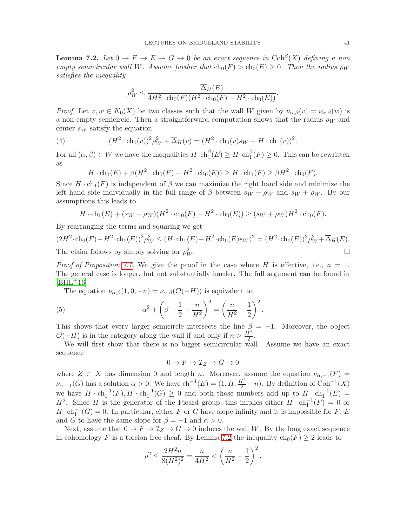<span id="page-40-0"></span>**Lemma 7.2.** Let  $0 \to F \to E \to G \to 0$  be an exact sequence in  $\text{Coh}^{\beta}(X)$  defining a non empty semicircular wall W. Assume further that  $ch_0(F) > ch_0(E) \geq 0$ . Then the radius  $\rho_W$ satisfies the inequality

$$
\rho_W^2 \le \frac{\overline{\Delta}_H(E)}{4H^2 \cdot \text{ch}_0(F)(H^2 \cdot \text{ch}_0(F) - H^2 \cdot \text{ch}_0(E))}.
$$

*Proof.* Let  $v, w \in K_0(X)$  be two classes such that the wall W given by  $\nu_{\alpha,\beta}(v) = \nu_{\alpha,\beta}(w)$  is a non empty semicircle. Then a straightforward computation shows that the radius  $\rho_W$  and center  $s_W$  satisfy the equation

(4) 
$$
(H^2 \cdot \text{ch}_0(v))^2 \rho_W^2 + \overline{\Delta}_H(v) = (H^2 \cdot \text{ch}_0(v) s_W - H \cdot \text{ch}_1(v))^2.
$$

For all  $(\alpha, \beta) \in W$  we have the inequalities  $H \cdot ch_1^{\beta}(E) \ge H \cdot ch_1^{\beta}(F) \ge 0$ . This can be rewritten as

$$
H \cdot \mathrm{ch}_1(E) + \beta (H^2 \cdot \mathrm{ch}_0(F) - H^2 \cdot \mathrm{ch}_0(E)) \ge H \cdot \mathrm{ch}_1(F) \ge \beta H^2 \cdot \mathrm{ch}_0(F).
$$

Since  $H \cdot \text{ch}_1(F)$  is independent of  $\beta$  we can maximize the right hand side and minimize the left hand side individually in the full range of  $\beta$  between  $s_W - \rho_W$  and  $s_W + \rho_W$ . By our assumptions this leads to

$$
H \cdot \mathrm{ch}_1(E) + (s_W - \rho_W)(H^2 \cdot \mathrm{ch}_0(F) - H^2 \cdot \mathrm{ch}_0(E)) \ge (s_W + \rho_W)H^2 \cdot \mathrm{ch}_0(F).
$$

By rearranging the terms and squaring we get

$$
(2H^2 \cdot \text{ch}_0(F) - H^2 \cdot \text{ch}_0(E))^2 \rho_W^2 \le (H \cdot \text{ch}_1(E) - H^2 \cdot \text{ch}_0(E) s_W)^2 = (H^2 \cdot \text{ch}_0(E))^2 \rho_W^2 + \overline{\Delta}_H(E).
$$
  
The claim follows by simply solving for  $\rho_W^2$ .

*Proof of Proposition [7.1.](#page-39-3)* We give the proof in the case where H is effective, i.e.,  $a = 1$ . The general case is longer, but not substantially harder. The full argument can be found in  $[BHL^+16]$  $[BHL^+16]$ .

The equation  $\nu_{\alpha,\beta}(1,0,-n) = \nu_{\alpha,\beta}(\mathcal{O}(-H))$  is equivalent to

(5) 
$$
\alpha^2 + \left(\beta + \frac{1}{2} + \frac{n}{H^2}\right)^2 = \left(\frac{n}{H^2} - \frac{1}{2}\right)^2.
$$

This shows that every larger semicircle intersects the line  $\beta = -1$ . Moreover, the object  $\mathcal{O}(-H)$  is in the category along the wall if and only if  $n > \frac{H^2}{2}$ .

We will first show that there is no bigger semicircular wall. Assume we have an exact sequence

$$
0 \to F \to \mathcal{I}_Z \to G \to 0
$$

where  $Z \subset X$  has dimension 0 and length n. Moreover, assume the equation  $\nu_{\alpha,-1}(F) =$  $\nu_{\alpha,-1}(G)$  has a solution  $\alpha > 0$ . We have  $\text{ch}^{-1}(E) = (1, H, \frac{H^2}{2} - n)$ . By definition of  $\text{Coh}^{-1}(X)$ we have  $H \cdot \text{ch}_1^{-1}(F), H \cdot \text{ch}_1^{-1}(G) \geq 0$  and both those numbers add up to  $H \cdot \text{ch}_1^{-1}(E) =$  $H^2$ . Since H is the generator of the Picard group, this implies either  $H \cdot \text{ch}_1^{-1}(F) = 0$  or  $H \cdot \text{ch}_{1}^{-1}(G) = 0$ . In particular, either F or G have slope infinity and it is impossible for F, E and G to have the same slope for  $\beta = -1$  and  $\alpha > 0$ .

Next, assume that  $0 \to F \to \mathcal{I}_Z \to G \to 0$  induces the wall W. By the long exact sequence in cohomology F is a torsion free sheaf. By Lemma [7.2](#page-40-0) the inequality  $ch_0(F) \geq 2$  leads to

$$
\rho^2 \le \frac{2H^2n}{8(H^2)^2} = \frac{n}{4H^2} < \left(\frac{n}{H^2} - \frac{1}{2}\right)^2.
$$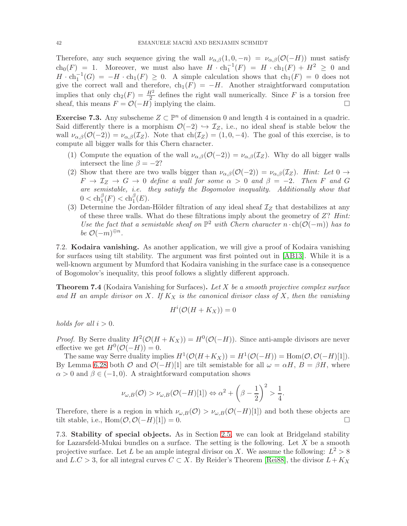Therefore, any such sequence giving the wall  $\nu_{\alpha,\beta}(1,0,-n) = \nu_{\alpha,\beta}(\mathcal{O}(-H))$  must satisfy  $ch_0(F) = 1$ . Moreover, we must also have  $H \cdot ch_1^{-1}(F) = H \cdot ch_1(F) + H^2 \geq 0$  and  $H \cdot \text{ch}_1^{-1}(G) = -H \cdot \text{ch}_1(F) \geq 0$ . A simple calculation shows that  $\text{ch}_1(F) = 0$  does not give the correct wall and therefore,  $\ch_1(F) = -H$ . Another straightforward computation implies that only  $ch_2(F) = \frac{H^2}{2}$  defines the right wall numerically. Since F is a torsion free sheaf, this means  $F = \mathcal{O}(-H)$  implying the claim.

Exercise 7.3. Any subscheme  $Z \subset \mathbb{P}^n$  of dimension 0 and length 4 is contained in a quadric. Said differently there is a morphism  $\mathcal{O}(-2) \hookrightarrow \mathcal{I}_Z$ , i.e., no ideal sheaf is stable below the wall  $\nu_{\alpha,\beta}(\mathcal{O}(-2)) = \nu_{\alpha,\beta}(\mathcal{I}_Z)$ . Note that  $ch(\mathcal{I}_Z) = (1,0,-4)$ . The goal of this exercise, is to compute all bigger walls for this Chern character.

- (1) Compute the equation of the wall  $\nu_{\alpha,\beta}(\mathcal{O}(-2)) = \nu_{\alpha,\beta}(\mathcal{I}_Z)$ . Why do all bigger walls intersect the line  $\beta = -2$ ?
- (2) Show that there are two walls bigger than  $\nu_{\alpha,\beta}(\mathcal{O}(-2)) = \nu_{\alpha,\beta}(\mathcal{I}_Z)$ . Hint: Let  $0 \to$  $F \to \mathcal{I}_Z \to G \to 0$  define a wall for some  $\alpha > 0$  and  $\beta = -2$ . Then F and G are semistable, i.e. they satisfy the Bogomolov inequality. Additionally show that  $0 < \mathrm{ch}_{1}^{\beta}(F) < \mathrm{ch}_{1}^{\beta}(E).$
- (3) Determine the Jordan-Hölder filtration of any ideal sheaf  $\mathcal{I}_Z$  that destabilizes at any of these three walls. What do these filtrations imply about the geometry of  $Z$ ? Hint: Use the fact that a semistable sheaf on  $\mathbb{P}^2$  with Chern character  $n \cdot ch(\mathcal{O}(-m))$  has to be  $\mathcal{O}(-m)^{\oplus n}$ .

<span id="page-41-0"></span>7.2. Kodaira vanishing. As another application, we will give a proof of Kodaira vanishing for surfaces using tilt stability. The argument was first pointed out in [\[AB13\]](#page-53-1). While it is a well-known argument by Mumford that Kodaira vanishing in the surface case is a consequence of Bogomolov's inequality, this proof follows a slightly different approach.

**Theorem 7.4** (Kodaira Vanishing for Surfaces). Let X be a smooth projective complex surface and H an ample divisor on X. If  $K_X$  is the canonical divisor class of X, then the vanishing

$$
H^i(\mathcal{O}(H + K_X)) = 0
$$

holds for all  $i > 0$ .

*Proof.* By Serre duality  $H^2(\mathcal{O}(H + K_X)) = H^0(\mathcal{O}(-H))$ . Since anti-ample divisors are never effective we get  $H^0(\mathcal{O}(-H)) = 0$ .

The same way Serre duality implies  $H^1(\mathcal{O}(H + K_X)) = H^1(\mathcal{O}(-H)) = \text{Hom}(\mathcal{O}, \mathcal{O}(-H)[1]).$ By Lemma [6.28](#page-37-3) both  $\mathcal{O}$  and  $\mathcal{O}(-H)[1]$  are tilt semistable for all  $\omega = \alpha H$ ,  $B = \beta H$ , where  $\alpha > 0$  and  $\beta \in (-1, 0)$ . A straightforward computation shows

$$
\nu_{\omega,B}(\mathcal{O}) > \nu_{\omega,B}(\mathcal{O}(-H)[1]) \Leftrightarrow \alpha^2 + \left(\beta - \frac{1}{2}\right)^2 > \frac{1}{4}.
$$

Therefore, there is a region in which  $\nu_{\omega,B}(\mathcal{O}) > \nu_{\omega,B}(\mathcal{O}(-H)[1])$  and both these objects are tilt stable, i.e.,  $\text{Hom}(\mathcal{O}, \mathcal{O}(-H)[1]) = 0$ . tilt stable, i.e., Hom $(\mathcal{O}, \mathcal{O}(-H)[1]) = 0$ .

<span id="page-41-1"></span>7.3. Stability of special objects. As in Section [2.5,](#page-11-0) we can look at Bridgeland stability for Lazarsfeld-Mukai bundles on a surface. The setting is the following. Let  $X$  be a smooth projective surface. Let L be an ample integral divisor on X. We assume the following:  $L^2 > 8$ and  $L.C > 3$ , for all integral curves  $C \subset X$ . By Reider's Theorem [\[Rei88\]](#page-57-19), the divisor  $L+K_X$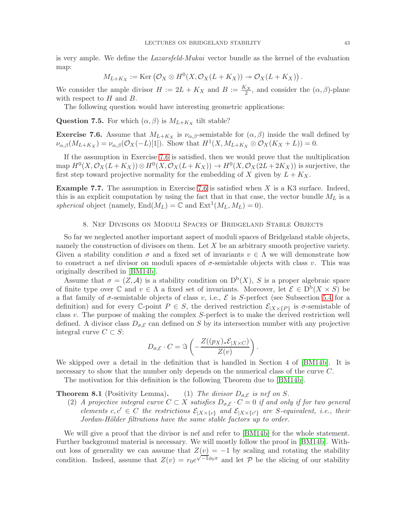is very ample. We define the Lazarsfeld-Mukai vector bundle as the kernel of the evaluation map:

$$
M_{L+K_X} := \text{Ker} \left( \mathcal{O}_X \otimes H^0(X, \mathcal{O}_X(L+K_X)) \twoheadrightarrow \mathcal{O}_X(L+K_X) \right).
$$

We consider the ample divisor  $H := 2L + K_X$  and  $B := \frac{K_X}{2}$ , and consider the  $(\alpha, \beta)$ -plane with respect to  $H$  and  $B$ .

The following question would have interesting geometric applications:

**Question 7.5.** For which  $(\alpha, \beta)$  is  $M_{L+K_X}$  tilt stable?

<span id="page-42-1"></span>**Exercise 7.6.** Assume that  $M_{L+K_X}$  is  $\nu_{\alpha,\beta}$ -semistable for  $(\alpha,\beta)$  inside the wall defined by  $\nu_{\alpha,\beta}(M_{L+K_X}) = \nu_{\alpha,\beta}(\mathcal{O}_X(-L)[1]).$  Show that  $H^1(X, M_{L+K_X} \otimes \mathcal{O}_X(K_X + L)) = 0.$ 

If the assumption in Exercise [7.6](#page-42-1) is satisfied, then we would prove that the multiplication map  $H^0(X, \mathcal{O}_X(L+K_X)) \otimes H^0(X, \mathcal{O}_X(L+K_X)) \to H^0(X, \mathcal{O}_X(2L+2K_X))$  is surjective, the first step toward projective normality for the embedding of X given by  $L + K_X$ .

Example 7.7. The assumption in Exercise [7.6](#page-42-1) is satisfied when X is a K3 surface. Indeed, this is an explicit computation by using the fact that in that case, the vector bundle  $M_L$  is a spherical object (namely,  $\text{End}(M_L) = \mathbb{C}$  and  $\text{Ext}^1(M_L, M_L) = 0$ ).

### 8. Nef Divisors on Moduli Spaces of Bridgeland Stable Objects

<span id="page-42-0"></span>So far we neglected another important aspect of moduli spaces of Bridgeland stable objects, namely the construction of divisors on them. Let X be an arbitrary smooth projective variety. Given a stability condition  $\sigma$  and a fixed set of invariants  $v \in \Lambda$  we will demonstrate how to construct a nef divisor on moduli spaces of  $\sigma$ -semistable objects with class v. This was originally described in [\[BM14b\]](#page-54-6).

Assume that  $\sigma = (Z, \mathcal{A})$  is a stability condition on  $D^b(X)$ , S is a proper algebraic space of finite type over  $\mathbb C$  and  $v \in \Lambda$  a fixed set of invariants. Moreover, let  $\mathcal E \in D^b(X \times S)$  be a flat family of  $\sigma$ -semistable objects of class v, i.e.,  $\mathcal E$  is S-perfect (see Subsection [5.4](#page-25-0) for a definition) and for every  $\mathbb{C}$ -point  $P \in S$ , the derived restriction  $\mathcal{E}_{|X \times \{P\}}$  is  $\sigma$ -semistable of class v. The purpose of making the complex S-perfect is to make the derived restriction well defined. A divisor class  $D_{\sigma,\mathcal{E}}$  can defined on S by its intersection number with any projective integral curve  $C \subset S$ :

$$
D_{\sigma,\mathcal{E}} \cdot C = \Im \left( -\frac{Z((p_X)_*\mathcal{E}_{|X \times C})}{Z(v)} \right).
$$

We skipped over a detail in the definition that is handled in Section 4 of [\[BM14b\]](#page-54-6). It is necessary to show that the number only depends on the numerical class of the curve C.

The motivation for this definition is the following Theorem due to [\[BM14b\]](#page-54-6).

**Theorem 8.1** (Positivity Lemma). (1) The divisor  $D_{\sigma, \mathcal{E}}$  is nef on S.

(2) A projective integral curve  $C \subset X$  satisfies  $D_{\sigma, \mathcal{E}} \cdot C = 0$  if and only if for two general elements  $c, c' \in C$  the restrictions  $\mathcal{E}_{|X \times \{c\}}$  and  $\mathcal{E}_{|X \times \{c'\}}$  are S-equivalent, i.e., their Jordan-Hölder filtrations have the same stable factors up to order.

We will give a proof that the divisor is nef and refer to [\[BM14b\]](#page-54-6) for the whole statement. Further background material is necessary. We will mostly follow the proof in [\[BM14b\]](#page-54-6). Without loss of generality we can assume that  $Z(v) = -1$  by scaling and rotating the stability condition. Indeed, assume that  $Z(v) = r_0 e^{\sqrt{-1}\phi_0 \pi}$  and let P be the slicing of our stability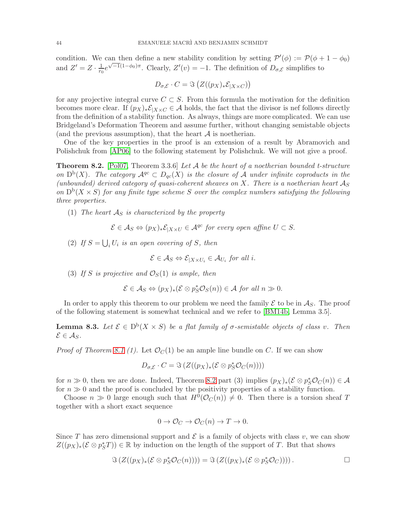condition. We can then define a new stability condition by setting  $\mathcal{P}'(\phi) := \mathcal{P}(\phi + 1 - \phi_0)$ and  $Z' = Z \cdot \frac{1}{r_0}$  $\frac{1}{r_0}e^{\sqrt{-1}(1-\phi_0)\pi}$ . Clearly,  $Z'(v) = -1$ . The definition of  $D_{\sigma,\mathcal{E}}$  simplifies to

$$
D_{\sigma,\mathcal{E}} \cdot C = \Im \left( Z((p_X)_* \mathcal{E}_{|X \times C}) \right)
$$

for any projective integral curve  $C \subset S$ . From this formula the motivation for the definition becomes more clear. If  $(p_X)_* \mathcal{E}_{X \times C} \in \mathcal{A}$  holds, the fact that the divisor is nef follows directly from the definition of a stability function. As always, things are more complicated. We can use Bridgeland's Deformation Theorem and assume further, without changing semistable objects (and the previous assumption), that the heart  $A$  is noetherian.

One of the key properties in the proof is an extension of a result by Abramovich and Polishchuk from [\[AP06\]](#page-53-12) to the following statement by Polishchuk. We will not give a proof.

<span id="page-43-0"></span>**Theorem 8.2.** [\[Pol07,](#page-56-29) Theorem 3.3.6] Let A be the heart of a noetherian bounded t-structure on  $D^b(X)$ . The category  $\mathcal{A}^{qc} \subset D_{qc}(X)$  is the closure of A under infinite coproducts in the (unbounded) derived category of quasi-coherent sheaves on X. There is a noetherian heart  $A_S$ on  $D^b(X \times S)$  for any finite type scheme S over the complex numbers satisfying the following three properties.

(1) The heart  $A<sub>S</sub>$  is characterized by the property

 $\mathcal{E} \in \mathcal{A}_S \Leftrightarrow (p_X)_* \mathcal{E}_{|X \times I} \in \mathcal{A}^{qc}$  for every open affine  $U \subset S$ .

(2) If  $S = \bigcup_i U_i$  is an open covering of S, then

$$
\mathcal{E} \in \mathcal{A}_S \Leftrightarrow \mathcal{E}_{|X \times U_i} \in \mathcal{A}_{U_i} \text{ for all } i.
$$

(3) If S is projective and  $\mathcal{O}_S(1)$  is ample, then

$$
\mathcal{E} \in \mathcal{A}_S \Leftrightarrow (p_X)_*(\mathcal{E} \otimes p_S^*\mathcal{O}_S(n)) \in \mathcal{A} \text{ for all } n \gg 0.
$$

In order to apply this theorem to our problem we need the family  $\mathcal E$  to be in  $\mathcal A_S$ . The proof of the following statement is somewhat technical and we refer to [\[BM14b,](#page-54-6) Lemma 3.5].

**Lemma 8.3.** Let  $\mathcal{E} \in D^b(X \times S)$  be a flat family of  $\sigma$ -semistable objects of class v. Then  $\mathcal{E} \in \mathcal{A}_S$ .

*Proof of Theorem 8.1 (1).* Let  $\mathcal{O}_C(1)$  be an ample line bundle on C. If we can show

$$
D_{\sigma,\mathcal{E}} \cdot C = \Im \left( Z((p_X)_* (\mathcal{E} \otimes p_S^* \mathcal{O}_C(n))) \right)
$$

for  $n \gg 0$ , then we are done. Indeed, Theorem [8.2](#page-43-0) part (3) implies  $(p_X)_*(\mathcal{E} \otimes p_{\mathcal{S}}^* \mathcal{O}_C(n)) \in \mathcal{A}$ for  $n \gg 0$  and the proof is concluded by the positivity properties of a stability function.

Choose  $n \gg 0$  large enough such that  $H^0(\mathcal{O}_C(n)) \neq 0$ . Then there is a torsion sheaf T together with a short exact sequence

$$
0 \to \mathcal{O}_C \to \mathcal{O}_C(n) \to T \to 0.
$$

Since T has zero dimensional support and  $\mathcal E$  is a family of objects with class v, we can show  $Z((p_X)_*(\mathcal{E} \otimes p_{\mathcal{S}}^*T)) \in \mathbb{R}$  by induction on the length of the support of T. But that shows

$$
\Im\left(Z((p_X)_*(\mathcal{E}\otimes p_S^*\mathcal{O}_C(n)))\right)=\Im\left(Z((p_X)_*(\mathcal{E}\otimes p_S^*\mathcal{O}_C)))\right).
$$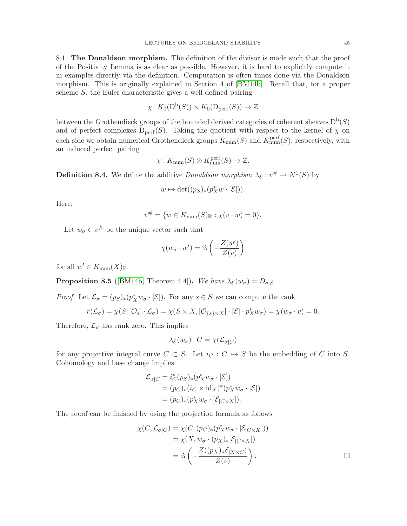<span id="page-44-0"></span>8.1. The Donaldson morphism. The definition of the divisor is made such that the proof of the Positivity Lemma is as clear as possible. However, it is hard to explicitly compute it in examples directly via the definition. Computation is often times done via the Donaldson morphism. This is originally explained in Section 4 of [\[BM14b\]](#page-54-6). Recall that, for a proper scheme S, the Euler characteristic gives a well-defined pairing

$$
\chi\colon K_0(\mathbf{D}^{\mathrm{b}}(S))\times K_0(\mathbf{D}_{\mathrm{perf}}(S))\to \mathbb{Z}
$$

between the Grothendieck groups of the bounded derived categories of coherent sheaves  $D<sup>b</sup>(S)$ and of perfect complexes  $D_{\text{perf}}(S)$ . Taking the quotient with respect to the kernel of  $\chi$  on each side we obtain numerical Grothendieck groups  $K_{\text{num}}(S)$  and  $K_{\text{num}}^{\text{perf}}(S)$ , respectively, with an induced perfect pairing

$$
\chi: K_{\text{num}}(S) \otimes K_{\text{num}}^{\text{perf}}(S) \to \mathbb{Z}.
$$

**Definition 8.4.** We define the additive *Donaldson morphism*  $\lambda_{\mathcal{E}} : v^{\#} \to N^1(S)$  by

$$
w \mapsto \det((p_S)_*(p_X^* w \cdot [\mathcal{E}])).
$$

Here,

$$
v^{\#} = \{ w \in K_{\text{num}}(S)_{\mathbb{R}} : \chi(v \cdot w) = 0 \}.
$$

Let  $w_{\sigma} \in v^{\#}$  be the unique vector such that

$$
\chi(w_{\sigma} \cdot w') = \Im\left(-\frac{Z(w')}{Z(v)}\right)
$$

for all  $w' \in K_{\text{num}}(X)_{\mathbb{R}}$ .

<span id="page-44-1"></span>**Proposition 8.5** ([\[BM14b,](#page-54-6) Theorem 4.4]). We have  $\lambda_{\mathcal{E}}(w_{\sigma}) = D_{\sigma,\mathcal{E}}$ .

*Proof.* Let  $\mathcal{L}_{\sigma} = (p_S)_*(p_X^* w_{\sigma} \cdot [\mathcal{E}])$ . For any  $s \in S$  we can compute the rank

$$
r(\mathcal{L}_{\sigma}) = \chi(S, [\mathcal{O}_s] \cdot \mathcal{L}_{\sigma}) = \chi(S \times X, [\mathcal{O}_{\{s\} \times X}] \cdot [\mathcal{E}] \cdot p_X^* w_{\sigma}) = \chi(w_{\sigma} \cdot v) = 0.
$$

Therefore,  $\mathcal{L}_{\sigma}$  has rank zero. This implies

$$
\lambda_{\mathcal{E}}(w_{\sigma}) \cdot C = \chi(\mathcal{L}_{\sigma|C})
$$

for any projective integral curve  $C \subset S$ . Let  $i_C : C \hookrightarrow S$  be the embedding of C into S. Cohomology and base change implies

$$
\mathcal{L}_{\sigma|C} = i_C^*(p_S)_*(p_X^* w_\sigma \cdot [\mathcal{E}])
$$
  
=  $(p_C)_*(i_C \times id_X)^*(p_X^* w_\sigma \cdot [\mathcal{E}])$   
=  $(p_C)_*(p_X^* w_\sigma \cdot [\mathcal{E}_{|C \times X}]).$ 

The proof can be finished by using the projection formula as follows

$$
\chi(C, \mathcal{L}_{\sigma|C}) = \chi(C, (p_C)_*(p_X^* w_{\sigma} \cdot [\mathcal{E}_{|C \times X}]))
$$
  
=  $\chi(X, w_{\sigma} \cdot (p_X)_* [\mathcal{E}_{|C \times X}])$   
=  $\Im \left( -\frac{Z((p_X)_* \mathcal{E}_{|X \times C})}{Z(v)} \right).$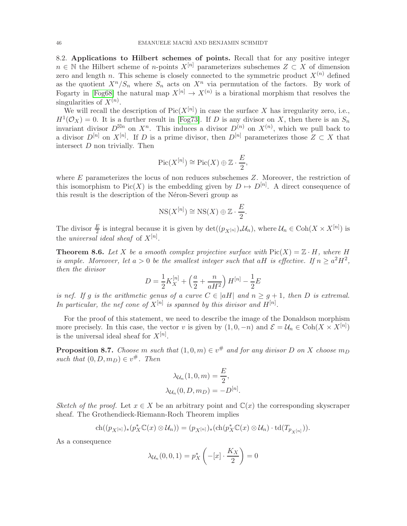<span id="page-45-0"></span>8.2. Applications to Hilbert schemes of points. Recall that for any positive integer  $n \in \mathbb{N}$  the Hilbert scheme of n-points  $X^{[n]}$  parameterizes subschemes  $Z \subset X$  of dimension zero and length n. This scheme is closely connected to the symmetric product  $X^{(n)}$  defined as the quotient  $X^n/S_n$  where  $S_n$  acts on  $X^n$  via permutation of the factors. By work of Fogarty in [\[Fog68\]](#page-55-23) the natural map  $X^{[n]} \to X^{(n)}$  is a birational morphism that resolves the singularities of  $X^{(n)}$ .

We will recall the description of  $Pic(X^{[n]})$  in case the surface X has irregularity zero, i.e.,  $H^1(\mathcal{O}_X) = 0$ . It is a further result in [\[Fog73\]](#page-55-24). If D is any divisor on X, then there is an  $S_n$ invariant divisor  $D^{\boxtimes n}$  on  $X^n$ . This induces a divisor  $D^{(n)}$  on  $X^{(n)}$ , which we pull back to a divisor  $D^{[n]}$  on  $X^{[n]}$ . If D is a prime divisor, then  $D^{[n]}$  parameterizes those  $Z \subset X$  that intersect  $D$  non trivially. Then

$$
Pic(X^{[n]}) \cong Pic(X) \oplus \mathbb{Z} \cdot \frac{E}{2},
$$

where  $E$  parameterizes the locus of non reduces subschemes  $Z$ . Moreover, the restriction of this isomorphism to Pic(X) is the embedding given by  $D \mapsto D^{[n]}$ . A direct consequence of this result is the description of the Néron-Severi group as

$$
NS(X^{[n]}) \cong NS(X) \oplus \mathbb{Z} \cdot \frac{E}{2}.
$$

The divisor  $\frac{E}{2}$  is integral because it is given by  $\det((p_{X^{[n]}})_*\mathcal{U}_n)$ , where  $\mathcal{U}_n \in \text{Coh}(X \times X^{[n]})$  is the universal ideal sheaf of  $X^{[n]}$ .

<span id="page-45-2"></span>**Theorem 8.6.** Let X be a smooth complex projective surface with  $Pic(X) = \mathbb{Z} \cdot H$ , where H is ample. Moreover, let  $a > 0$  be the smallest integer such that aH is effective. If  $n \ge a^2 H^2$ , then the divisor

$$
D = \frac{1}{2}K_X^{[n]} + \left(\frac{a}{2} + \frac{n}{aH^2}\right)H^{[n]} - \frac{1}{2}E
$$

is nef. If g is the arithmetic genus of a curve  $C \in |aH|$  and  $n \geq g+1$ , then D is extremal. In particular, the nef cone of  $X^{[n]}$  is spanned by this divisor and  $H^{[n]}$ .

For the proof of this statement, we need to describe the image of the Donaldson morphism more precisely. In this case, the vector v is given by  $(1,0,-n)$  and  $\mathcal{E} = \mathcal{U}_n \in \text{Coh}(X \times X^{[n]})$ is the universal ideal sheaf for  $X^{[n]}$ .

<span id="page-45-1"></span>**Proposition 8.7.** Choose m such that  $(1,0,m) \in v^{\#}$  and for any divisor D on X choose  $m_D$ such that  $(0, D, m_D) \in v^{\#}$ . Then

$$
\lambda_{\mathcal{U}_n}(1,0,m) = \frac{E}{2},
$$
  

$$
\lambda_{\mathcal{U}_n}(0,D,m_D) = -D^{[n]}.
$$

Sketch of the proof. Let  $x \in X$  be an arbitrary point and  $\mathbb{C}(x)$  the corresponding skyscraper sheaf. The Grothendieck-Riemann-Roch Theorem implies

$$
ch((p_{X^{[n]}})_*(p_X^*\mathbb{C}(x)\otimes\mathcal{U}_n))=(p_{X^{[n]}})_*(ch(p_X^*\mathbb{C}(x)\otimes\mathcal{U}_n)\cdot td(T_{p_{X^{[n]}}})).
$$

As a consequence

$$
\lambda_{\mathcal{U}_n}(0,0,1) = p_X^* \left(-[x] \cdot \frac{K_X}{2}\right) = 0
$$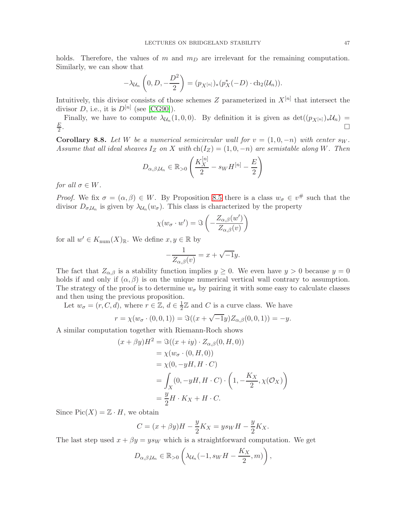holds. Therefore, the values of  $m$  and  $m<sub>D</sub>$  are irrelevant for the remaining computation. Similarly, we can show that

$$
-\lambda_{\mathcal{U}_n}\left(0,D,-\frac{D^2}{2}\right)=(p_{X^{[n]}})_*(p_X^*(-D)\cdot \mathrm{ch}_2(\mathcal{U}_n)).
$$

Intuitively, this divisor consists of those schemes Z parameterized in  $X^{[n]}$  that intersect the divisor D, i.e., it is  $D^{[n]}$  (see [\[CG90\]](#page-54-24)).

Finally, we have to compute  $\lambda_{\mathcal{U}_n}(1,0,0)$ . By definition it is given as  $\det((p_{X^{[n]}})_*\mathcal{U}_n) =$ E 2 . In the second control of the second control of the second control of the second control of the second control of<br>International control of the second control of the second control of the second control of the second cont

<span id="page-46-0"></span>Corollary 8.8. Let W be a numerical semicircular wall for  $v = (1, 0, -n)$  with center sw. Assume that all ideal sheaves  $I_Z$  on X with  $ch(I_Z) = (1, 0, -n)$  are semistable along W. Then

$$
D_{\alpha,\beta,\mathcal{U}_n} \in \mathbb{R}_{>0} \left( \frac{K_X^{[n]}}{2} - s_W H^{[n]} - \frac{E}{2} \right)
$$

for all  $\sigma \in W$ .

*Proof.* We fix  $\sigma = (\alpha, \beta) \in W$ . By Proposition [8.5](#page-44-1) there is a class  $w_{\sigma} \in v^{\#}$  such that the divisor  $D_{\sigma,\mathcal{U}_n}$  is given by  $\lambda_{\mathcal{U}_n}(w_{\sigma})$ . This class is characterized by the property

$$
\chi(w_{\sigma} \cdot w') = \Im \left( -\frac{Z_{\alpha,\beta}(w')}{Z_{\alpha,\beta}(v)} \right)
$$

for all  $w' \in K_{\text{num}}(X)_{\mathbb{R}}$ . We define  $x, y \in \mathbb{R}$  by

$$
-\frac{1}{Z_{\alpha,\beta}(v)} = x + \sqrt{-1}y.
$$

The fact that  $Z_{\alpha,\beta}$  is a stability function implies  $y \ge 0$ . We even have  $y > 0$  because  $y = 0$ holds if and only if  $(\alpha, \beta)$  is on the unique numerical vertical wall contrary to assumption. The strategy of the proof is to determine  $w_{\sigma}$  by pairing it with some easy to calculate classes and then using the previous proposition.

Let  $w_{\sigma} = (r, C, d)$ , where  $r \in \mathbb{Z}, d \in \frac{1}{2}$  $\frac{1}{2}\mathbb{Z}$  and C is a curve class. We have

$$
r = \chi(w_{\sigma} \cdot (0, 0, 1)) = \Im((x + \sqrt{-1}y)Z_{\alpha, \beta}(0, 0, 1)) = -y.
$$

A similar computation together with Riemann-Roch shows

$$
(x + \beta y)H^2 = \Im((x + iy) \cdot Z_{\alpha,\beta}(0, H, 0))
$$
  
=  $\chi(w_{\sigma} \cdot (0, H, 0))$   
=  $\chi(0, -yH, H \cdot C)$   
=  $\int_X (0, -yH, H \cdot C) \cdot \left(1, -\frac{K_X}{2}, \chi(\mathcal{O}_X)\right)$   
=  $\frac{y}{2}H \cdot K_X + H \cdot C$ .

 $\setminus$ 

Since  $Pic(X) = \mathbb{Z} \cdot H$ , we obtain

$$
C = (x + \beta y)H - \frac{y}{2}K_X = yswH - \frac{y}{2}K_X.
$$

The last step used  $x + \beta y = y s_W$  which is a straightforward computation. We get

$$
D_{\alpha,\beta,\mathcal{U}_n} \in \mathbb{R}_{>0} \left( \lambda_{\mathcal{U}_n}(-1, s_W H - \frac{K_X}{2}, m) \right),
$$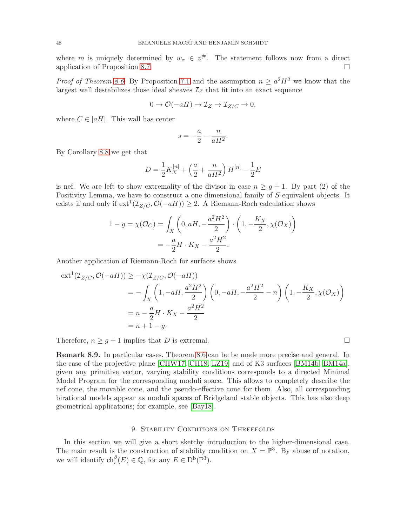where m is uniquely determined by  $w_{\sigma} \in v^{\#}$ . The statement follows now from a direct application of Proposition [8.7.](#page-45-1)

*Proof of Theorem [8.6.](#page-45-2)* By Proposition [7.1](#page-39-3) and the assumption  $n \ge a^2 H^2$  we know that the largest wall destabilizes those ideal sheaves  $\mathcal{I}_Z$  that fit into an exact sequence

$$
0 \to \mathcal{O}(-aH) \to \mathcal{I}_Z \to \mathcal{I}_{Z/C} \to 0,
$$

where  $C \in |aH|$ . This wall has center

$$
s = -\frac{a}{2} - \frac{n}{aH^2}.
$$

By Corollary [8.8](#page-46-0) we get that

$$
D = \frac{1}{2}K_X^{[n]} + \left(\frac{a}{2} + \frac{n}{aH^2}\right)H^{[n]} - \frac{1}{2}E
$$

is nef. We are left to show extremality of the divisor in case  $n \geq g+1$ . By part (2) of the Positivity Lemma, we have to construct a one dimensional family of S-equivalent objects. It exists if and only if  $ext^1(\mathcal{I}_{Z/C}, \mathcal{O}(-aH)) \geq 2$ . A Riemann-Roch calculation shows

$$
1 - g = \chi(\mathcal{O}_C) = \int_X \left(0, aH, -\frac{a^2 H^2}{2}\right) \cdot \left(1, -\frac{K_X}{2}, \chi(\mathcal{O}_X)\right)
$$

$$
= -\frac{a}{2}H \cdot K_X - \frac{a^2 H^2}{2}.
$$

Another application of Riemann-Roch for surfaces shows

$$
\operatorname{ext}^{1}(\mathcal{I}_{Z/C}, \mathcal{O}(-aH)) \ge -\chi(\mathcal{I}_{Z/C}, \mathcal{O}(-aH))
$$
  
=  $-\int_{X} \left(1, -aH, \frac{a^{2}H^{2}}{2}\right) \left(0, -aH, -\frac{a^{2}H^{2}}{2} - n\right) \left(1, -\frac{K_{X}}{2}, \chi(\mathcal{O}_{X})\right)$   
=  $n - \frac{a}{2}H \cdot K_{X} - \frac{a^{2}H^{2}}{2}$   
=  $n + 1 - g$ .

Therefore,  $n \geq g+1$  implies that D is extremal.

Remark 8.9. In particular cases, Theorem [8.6](#page-45-2) can be be made more precise and general. In the case of the projective plane [\[CHW17,](#page-54-5) [CH18,](#page-54-9) [LZ19\]](#page-56-1) and of K3 surfaces [\[BM14b,](#page-54-6) [BM14a\]](#page-54-7), given any primitive vector, varying stability conditions corresponds to a directed Minimal Model Program for the corresponding moduli space. This allows to completely describe the nef cone, the movable cone, and the pseudo-effective cone for them. Also, all corresponding birational models appear as moduli spaces of Bridgeland stable objects. This has also deep geometrical applications; for example, see [\[Bay18\]](#page-54-15).

### 9. Stability Conditions on Threefolds

<span id="page-47-0"></span>In this section we will give a short sketchy introduction to the higher-dimensional case. The main result is the construction of stability condition on  $X = \mathbb{P}^3$ . By abuse of notation, we will identify  $\mathrm{ch}_i^{\beta}(E) \in \mathbb{Q}$ , for any  $E \in \mathrm{D}^{\mathrm{b}}(\mathbb{P}^3)$ .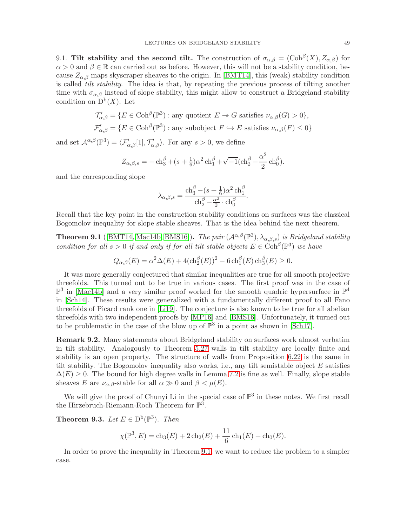<span id="page-48-0"></span>9.1. Tilt stability and the second tilt. The construction of  $\sigma_{\alpha,\beta} = (\mathrm{Coh}^{\beta}(X), Z_{\alpha,\beta})$  for  $\alpha > 0$  and  $\beta \in \mathbb{R}$  can carried out as before. However, this will not be a stability condition, because  $Z_{\alpha,\beta}$  maps skyscraper sheaves to the origin. In [\[BMT14\]](#page-54-3), this (weak) stability condition is called tilt stability. The idea is that, by repeating the previous process of tilting another time with  $\sigma_{\alpha,\beta}$  instead of slope stability, this might allow to construct a Bridgeland stability condition on  $D^b(X)$ . Let

$$
\mathcal{T}'_{\alpha,\beta} = \{ E \in \mathrm{Coh}^{\beta}(\mathbb{P}^{3}) : \text{any quotient } E \to G \text{ satisfies } \nu_{\alpha,\beta}(G) > 0 \},\
$$
  

$$
\mathcal{F}'_{\alpha,\beta} = \{ E \in \mathrm{Coh}^{\beta}(\mathbb{P}^{3}) : \text{any subobject } F \hookrightarrow E \text{ satisfies } \nu_{\alpha,\beta}(F) \le 0 \}
$$

and set  $\mathcal{A}^{\alpha,\beta}(\mathbb{P}^3) = \langle \mathcal{F}'_{\alpha,\beta}[1], \mathcal{T}'_{\alpha,\beta} \rangle$ . For any  $s > 0$ , we define

$$
Z_{\alpha,\beta,s} = -\cosh^{\beta}_{3} + (s + \frac{1}{6})\alpha^{2}\cosh^{2}_{1} + \sqrt{-1}(\cosh^{2}_{2} - \frac{\alpha^{2}}{2}\cosh^{2}_{0}).
$$

and the corresponding slope

$$
\lambda_{\alpha,\beta,s} = \frac{\mathop{\mathrm{ch}}\nolimits_3^{\beta} - (s + \frac{1}{6})\alpha^2 \mathop{\mathrm{ch}}\nolimits_1^{\beta}}{\mathop{\mathrm{ch}}\nolimits_2^{\beta} - \frac{\alpha^2}{2} \cdot \mathop{\mathrm{ch}}\nolimits_0^{\beta}}.
$$

Recall that the key point in the construction stability conditions on surfaces was the classical Bogomolov inequality for slope stable sheaves. That is the idea behind the next theorem.

<span id="page-48-1"></span>**Theorem 9.1** ([\[BMT14,](#page-54-3) [Mac14b,](#page-56-5) [BMS16\]](#page-54-4)). The pair  $(A^{\alpha,\beta}(\mathbb{P}^3), \lambda_{\alpha,\beta,s})$  is Bridgeland stability condition for all  $s > 0$  if and only if for all tilt stable objects  $E \in \text{Coh}^{\beta}(\mathbb{P}^3)$  we have

$$
Q_{\alpha,\beta}(E) = \alpha^2 \Delta(E) + 4(\mathrm{ch}_2^{\beta}(E))^2 - 6\,\mathrm{ch}_1^{\beta}(E)\,\mathrm{ch}_3^{\beta}(E) \ge 0.
$$

It was more generally conjectured that similar inequalities are true for all smooth projective threefolds. This turned out to be true in various cases. The first proof was in the case of  $\mathbb{P}^3$  in [\[Mac14b\]](#page-56-5) and a very similar proof worked for the smooth quadric hypersurface in  $\mathbb{P}^4$ in [\[Sch14\]](#page-57-4). These results were generalized with a fundamentally different proof to all Fano threefolds of Picard rank one in [\[Li19\]](#page-56-8). The conjecture is also known to be true for all abelian threefolds with two independent proofs by [\[MP16\]](#page-56-7) and [\[BMS16\]](#page-54-4). Unfortunately, it turned out to be problematic in the case of the blow up of  $\mathbb{P}^3$  in a point as shown in [\[Sch17\]](#page-57-3).

<span id="page-48-2"></span>Remark 9.2. Many statements about Bridgeland stability on surfaces work almost verbatim in tilt stability. Analogously to Theorem [5.27](#page-27-0) walls in tilt stability are locally finite and stability is an open property. The structure of walls from Proposition [6.22](#page-36-1) is the same in tilt stability. The Bogomolov inequality also works, i.e., any tilt semistable object  $E$  satisfies  $\Delta(E) \geq 0$ . The bound for high degree walls in Lemma [7.2](#page-40-0) is fine as well. Finally, slope stable sheaves E are  $\nu_{\alpha,\beta}$ -stable for all  $\alpha \gg 0$  and  $\beta < \mu(E)$ .

We will give the proof of Chunyi Li in the special case of  $\mathbb{P}^3$  in these notes. We first recall the Hirzebruch-Riemann-Roch Theorem for  $\mathbb{P}^3$ .

**Theorem 9.3.** Let  $E \in D^b(\mathbb{P}^3)$ . Then

$$
\chi(\mathbb{P}^3, E) = ch_3(E) + 2ch_2(E) + \frac{11}{6}ch_1(E) + ch_0(E).
$$

In order to prove the inequality in Theorem [9.1,](#page-48-1) we want to reduce the problem to a simpler case.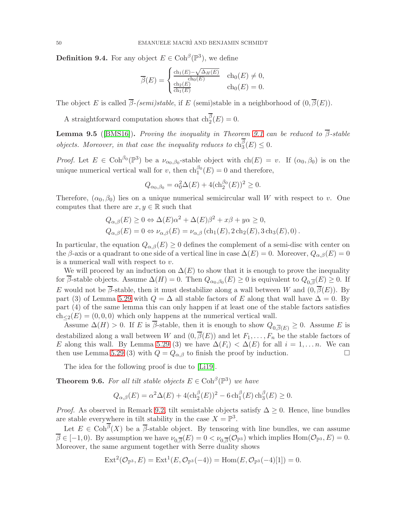**Definition 9.4.** For any object  $E \in \mathrm{Coh}^{\beta}(\mathbb{P}^{3})$ , we define

$$
\overline{\beta}(E) = \begin{cases} \frac{\text{ch}_1(E) - \sqrt{\Delta_H(E)}}{\text{ch}_0(E)} & \text{ch}_0(E) \neq 0, \\ \frac{\text{ch}_2(E)}{\text{ch}_1(E)} & \text{ch}_0(E) = 0. \end{cases}
$$

The object E is called  $\overline{\beta}$ -(semi)stable, if E (semi)stable in a neighborhood of  $(0, \overline{\beta}(E))$ .

A straightforward computation shows that  $\text{ch}^{\beta}_{2}(E) = 0$ .

**Lemma 9.5** ([\[BMS16\]](#page-54-4)). Proving the inequality in Theorem [9.1](#page-48-1) can be reduced to  $\overline{\beta}$ -stable *objects.* Moreover, in that case the inequality reduces to  $\text{ch}_{3}^{\beta}(E) \leq 0$ .

*Proof.* Let  $E \in \mathrm{Coh}^{\beta_0}(\mathbb{P}^3)$  be a  $\nu_{\alpha_0,\beta_0}$ -stable object with  $\mathrm{ch}(E) = v$ . If  $(\alpha_0,\beta_0)$  is on the unique numerical vertical wall for v, then  $\mathrm{ch}^{\beta_0}_1(E) = 0$  and therefore,

$$
Q_{\alpha_0,\beta_0} = \alpha_0^2 \Delta(E) + 4(\mathrm{ch}_2^{\beta_0}(E))^2 \ge 0.
$$

Therefore,  $(\alpha_0, \beta_0)$  lies on a unique numerical semicircular wall W with respect to v. One computes that there are  $x, y \in \mathbb{R}$  such that

$$
Q_{\alpha,\beta}(E) \ge 0 \Leftrightarrow \Delta(E)\alpha^2 + \Delta(E)\beta^2 + x\beta + y\alpha \ge 0,
$$
  
\n
$$
Q_{\alpha,\beta}(E) = 0 \Leftrightarrow \nu_{\alpha,\beta}(E) = \nu_{\alpha,\beta}(\text{ch}_1(E), 2\text{ ch}_2(E), 3\text{ ch}_3(E), 0).
$$

In particular, the equation  $Q_{\alpha,\beta}(E) \geq 0$  defines the complement of a semi-disc with center on the β-axis or a quadrant to one side of a vertical line in case  $\Delta(E) = 0$ . Moreover,  $Q_{\alpha,\beta}(E) = 0$ is a numerical wall with respect to  $v$ .

We will proceed by an induction on  $\Delta(E)$  to show that it is enough to prove the inequality for  $\beta$ -stable objects. Assume  $\Delta(H) = 0$ . Then  $Q_{\alpha_0,\beta_0}(E) \ge 0$  is equivalent to  $Q_{0,\overline{\beta}}(E) \ge 0$ . If E would not be  $\overline{\beta}$ -stable, then it must destabilize along a wall between W and  $(0, \overline{\beta}(E))$ . By part (3) of Lemma [5.29](#page-27-3) with  $Q = \Delta$  all stable factors of E along that wall have  $\Delta = 0$ . By part (4) of the same lemma this can only happen if at least one of the stable factors satisfies  $ch_{\leq 2}(E) = (0, 0, 0)$  which only happens at the numerical vertical wall.

Assume  $\Delta(H) > 0$ . If E is  $\overline{\beta}$ -stable, then it is enough to show  $Q_{0,\overline{\beta}(E)} \geq 0$ . Assume E is destabilized along a wall between W and  $(0, \overline{\beta}(E))$  and let  $F_1, \ldots, F_n$  be the stable factors of E along this wall. By Lemma [5.29](#page-27-3) (3) we have  $\Delta(F_i) < \Delta(E)$  for all  $i = 1, \ldots n$ . We can then use Lemma [5.29](#page-27-3) (3) with  $Q = Q_{\alpha,\beta}$  to finish the proof by induction.

The idea for the following proof is due to [\[Li19\]](#page-56-8).

<span id="page-49-0"></span>**Theorem 9.6.** For all tilt stable objects  $E \in \text{Coh}^{\beta}(\mathbb{P}^3)$  we have

$$
Q_{\alpha,\beta}(E) = \alpha^2 \Delta(E) + 4(\text{ch}_2^{\beta}(E))^2 - 6\,\text{ch}_1^{\beta}(E)\,\text{ch}_3^{\beta}(E) \ge 0.
$$

*Proof.* As observed in Remark [9.2,](#page-48-2) tilt semistable objects satisfy  $\Delta \geq 0$ . Hence, line bundles are stable everywhere in tilt stability in the case  $X = \mathbb{P}^3$ .

Let  $E \in \mathrm{Coh}^{\beta}(X)$  be a  $\overline{\beta}$ -stable object. By tensoring with line bundles, we can assume  $\beta \in [-1,0)$ . By assumption we have  $\nu_{0,\overline{\beta}}(E) = 0 < \nu_{0,\overline{\beta}}(\mathcal{O}_{\mathbb{P}^3})$  which implies  $\text{Hom}(\mathcal{O}_{\mathbb{P}^3}, E) = 0$ . Moreover, the same argument together with Serre duality shows

$$
\operatorname{Ext}^2(\mathcal{O}_{\mathbb{P}^3}, E) = \operatorname{Ext}^1(E, \mathcal{O}_{\mathbb{P}^3}(-4)) = \operatorname{Hom}(E, \mathcal{O}_{\mathbb{P}^3}(-4)[1]) = 0.
$$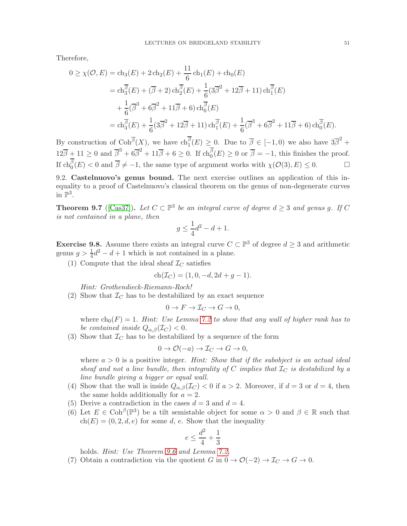Therefore,

$$
0 \ge \chi(\mathcal{O}, E) = ch_3(E) + 2 ch_2(E) + \frac{11}{6} ch_1(E) + ch_0(E)
$$
  
=  $ch_3^{\overline{\beta}}(E) + (\overline{\beta} + 2) ch_2^{\overline{\beta}}(E) + \frac{1}{6} (3\overline{\beta}^2 + 12\overline{\beta} + 11) ch_1^{\overline{\beta}}(E)$   
+  $\frac{1}{6} (\overline{\beta}^3 + 6\overline{\beta}^2 + 11\overline{\beta} + 6) ch_0^{\overline{\beta}}(E)$   
=  $ch_3^{\overline{\beta}}(E) + \frac{1}{6} (3\overline{\beta}^2 + 12\overline{\beta} + 11) ch_1^{\overline{\beta}}(E) + \frac{1}{6} (\overline{\beta}^3 + 6\overline{\beta}^2 + 11\overline{\beta} + 6) ch_0^{\overline{\beta}}(E).$ 

By construction of  $\text{Coh}^{\overline{\beta}}(X)$ , we have  $\text{ch}_1^{\overline{\beta}}(E) \geq 0$ . Due to  $\overline{\beta} \in [-1,0)$  we also have  $3\overline{\beta}^2$  +  $12\overline{\beta} + 11 \geq 0$  and  $\overline{\beta}^3 + 6\overline{\beta}^2 + 11\overline{\beta} + 6 \geq 0$ . If  $ch_0^{\overline{\beta}}(E) \geq 0$  or  $\overline{\beta} = -1$ , this finishes the proof. If  $ch_0^{\beta}(E) < 0$  and  $\overline{\beta} \neq -1$ , the same type of argument works with  $\chi(\mathcal{O}(3), E) \leq 0$ .

<span id="page-50-0"></span>9.2. Castelnuovo's genus bound. The next exercise outlines an application of this inequality to a proof of Castelnuovo's classical theorem on the genus of non-degenerate curves in  $\mathbb{P}^3$ .

**Theorem 9.7** ([\[Cas37\]](#page-54-25)). Let  $C \subset \mathbb{P}^3$  be an integral curve of degree  $d \geq 3$  and genus g. If C is not contained in a plane, then

$$
g \le \frac{1}{4}d^2 - d + 1.
$$

**Exercise 9.8.** Assume there exists an integral curve  $C \subset \mathbb{P}^3$  of degree  $d \geq 3$  and arithmetic genus  $g > \frac{1}{4}d^2 - d + 1$  which is not contained in a plane.

(1) Compute that the ideal sheaf  $\mathcal{I}_C$  satisfies

$$
ch(\mathcal{I}_C) = (1, 0, -d, 2d + g - 1).
$$

Hint: Grothendieck-Riemann-Roch!

(2) Show that  $\mathcal{I}_C$  has to be destabilized by an exact sequence

$$
0 \to F \to \mathcal{I}_C \to G \to 0,
$$

where  $ch_0(F) = 1$ . Hint: Use Lemma [7.2](#page-40-0) to show that any wall of higher rank has to be contained inside  $Q_{\alpha,\beta}(\mathcal{I}_C) < 0$ .

(3) Show that  $\mathcal{I}_C$  has to be destabilized by a sequence of the form

$$
0 \to \mathcal{O}(-a) \to \mathcal{I}_C \to G \to 0,
$$

where  $a > 0$  is a positive integer. Hint: Show that if the subobject is an actual ideal sheaf and not a line bundle, then integrality of C implies that  $\mathcal{I}_C$  is destabilized by a line bundle giving a bigger or equal wall.

- (4) Show that the wall is inside  $Q_{\alpha,\beta}(\mathcal{I}_C) < 0$  if  $a > 2$ . Moreover, if  $d = 3$  or  $d = 4$ , then the same holds additionally for  $a = 2$ .
- (5) Derive a contradiction in the cases  $d = 3$  and  $d = 4$ .
- (6) Let  $E \in \text{Coh}^{\beta}(\mathbb{P}^3)$  be a tilt semistable object for some  $\alpha > 0$  and  $\beta \in \mathbb{R}$  such that  $ch(E) = (0, 2, d, e)$  for some d, e. Show that the inequality

$$
e\leq \frac{d^2}{4}+\frac{1}{3}
$$

holds. *Hint:* Use Theorem [9.6](#page-49-0) and Lemma [7.2.](#page-40-0)

(7) Obtain a contradiction via the quotient G in  $0 \to \mathcal{O}(-2) \to \mathcal{I}_C \to G \to 0$ .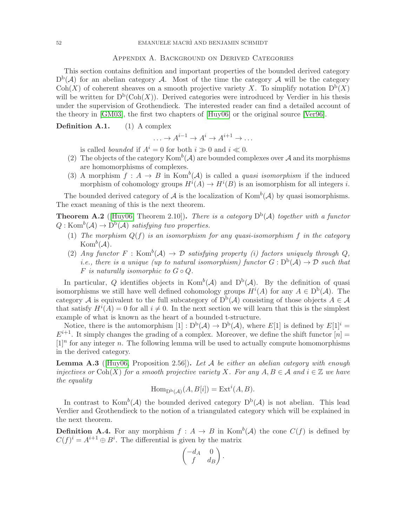### Appendix A. Background on Derived Categories

<span id="page-51-0"></span>This section contains definition and important properties of the bounded derived category  $D^{b}(\mathcal{A})$  for an abelian category  $\mathcal{A}$ . Most of the time the category  $\mathcal{A}$  will be the category  $\text{Coh}(X)$  of coherent sheaves on a smooth projective variety X. To simplify notation  $D^{b}(X)$ will be written for  $D^b(Coh(X))$ . Derived categories were introduced by Verdier in his thesis under the supervision of Grothendieck. The interested reader can find a detailed account of the theory in [\[GM03\]](#page-55-25), the first two chapters of [\[Huy06\]](#page-55-26) or the original source [\[Ver96\]](#page-57-20).

**Definition A.1.** (1) A complex

$$
\ldots \to A^{i-1} \to A^i \to A^{i+1} \to \ldots
$$

is called *bounded* if  $A^i = 0$  for both  $i \gg 0$  and  $i \ll 0$ .

- (2) The objects of the category  $Kom^b(\mathcal{A})$  are bounded complexes over  $\mathcal{A}$  and its morphisms are homomorphisms of complexes.
- (3) A morphism  $f: A \to B$  in  $\text{Kom}^b(A)$  is called a *quasi isomorphism* if the induced morphism of cohomology groups  $H^i(A) \to H^i(B)$  is an isomorphism for all integers *i*.

The bounded derived category of  $A$  is the localization of  $\text{Kom}^b(A)$  by quasi isomorphisms. The exact meaning of this is the next theorem.

**Theorem A.2** ([\[Huy06,](#page-55-26) Theorem 2.10]). There is a category  $D^b(\mathcal{A})$  together with a functor  $Q: \text{Kom}^b(\mathcal{A}) \to \text{D}^b(\mathcal{A})$  satisfying two properties.

- (1) The morphism  $Q(f)$  is an isomorphism for any quasi-isomorphism f in the category  $\mathrm{Kom}^b(\mathcal{A}).$
- (2) Any functor  $F : \text{Kom}^b(\mathcal{A}) \to \mathcal{D}$  satisfying property (i) factors uniquely through  $Q$ , *i.e.*, there is a unique (up to natural isomorphism) functor  $G: D^b(\mathcal{A}) \to \mathcal{D}$  such that F is naturally isomorphic to  $G \circ Q$ .

In particular, Q identifies objects in  $\text{Kom}^b(\mathcal{A})$  and  $D^b(\mathcal{A})$ . By the definition of quasi isomorphisms we still have well defined cohomology groups  $H^{i}(A)$  for any  $A \in D^{b}(A)$ . The category A is equivalent to the full subcategory of  $D^b(\mathcal{A})$  consisting of those objects  $A \in \mathcal{A}$ that satisfy  $H^{i}(A) = 0$  for all  $i \neq 0$ . In the next section we will learn that this is the simplest example of what is known as the heart of a bounded t-structure.

Notice, there is the automorphism  $[1]: D^b(\mathcal{A}) \to D^b(\mathcal{A})$ , where  $E[1]$  is defined by  $E[1]^i$  $E^{i+1}$ . It simply changes the grading of a complex. Moreover, we define the shift functor  $[n]$  $[1]<sup>n</sup>$  for any integer n. The following lemma will be used to actually compute homomorphisms in the derived category.

**Lemma A.3** (Huy06, Proposition 2.56)). Let A be either an abelian category with enough injectives or Coh(X) for a smooth projective variety X. For any  $A, B \in \mathcal{A}$  and  $i \in \mathbb{Z}$  we have the equality

$$
\operatorname{Hom}_{\operatorname{D^b}\nolimits(\mathcal{A})}(A,B[i]) = \operatorname{Ext}^i(A,B).
$$

In contrast to  $\text{Kom}^b(\mathcal{A})$  the bounded derived category  $D^b(\mathcal{A})$  is not abelian. This lead Verdier and Grothendieck to the notion of a triangulated category which will be explained in the next theorem.

**Definition A.4.** For any morphism  $f : A \to B$  in  $\text{Kom}^b(\mathcal{A})$  the cone  $C(f)$  is defined by  $C(f)^i = A^{i+1} \oplus B^i$ . The differential is given by the matrix

$$
\begin{pmatrix} -d_A & 0 \\ f & d_B \end{pmatrix}.
$$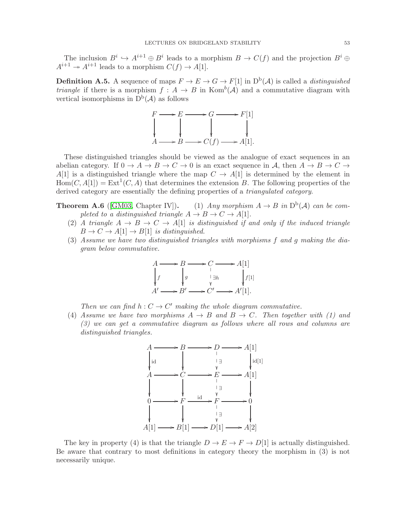The inclusion  $B^i \hookrightarrow A^{i+1} \oplus B^i$  leads to a morphism  $B \to C(f)$  and the projection  $B^i \oplus$  $A^{i+1} \rightarrow A^{i+1}$  leads to a morphism  $C(f) \rightarrow A[1]$ .

**Definition A.5.** A sequence of maps  $F \to E \to G \to F[1]$  in  $D^b(\mathcal{A})$  is called a *distinguished triangle* if there is a morphism  $f : A \to B$  in Kom<sup>b</sup>(A) and a commutative diagram with vertical isomorphisms in  $D^b(\mathcal{A})$  as follows



These distinguished triangles should be viewed as the analogue of exact sequences in an abelian category. If  $0 \to A \to B \to C \to 0$  is an exact sequence in A, then  $A \to B \to C \to$ A[1] is a distinguished triangle where the map  $C \rightarrow A[1]$  is determined by the element in  $Hom(C, A[1]) = Ext<sup>1</sup>(C, A)$  that determines the extension B. The following properties of the derived category are essentially the defining properties of a triangulated category.

- **Theorem A.6** ([\[GM03,](#page-55-25) Chapter IV]). (1) Any morphism  $A \to B$  in  $D^b(\mathcal{A})$  can be completed to a distinguished triangle  $A \to B \to C \to A[1]$ .
	- (2) A triangle  $A \rightarrow B \rightarrow C \rightarrow A[1]$  is distinguished if and only if the induced triangle  $B \to C \to A[1] \to B[1]$  is distinguished.
	- (3) Assume we have two distinguished triangles with morphisms f and g making the diagram below commutative.



Then we can find  $h: C \to C'$  making the whole diagram commutative.

(4) Assume we have two morphisms  $A \rightarrow B$  and  $B \rightarrow C$ . Then together with (1) and (3) we can get a commutative diagram as follows where all rows and columns are distinguished triangles.



The key in property (4) is that the triangle  $D \to E \to F \to D[1]$  is actually distinguished. Be aware that contrary to most definitions in category theory the morphism in (3) is not necessarily unique.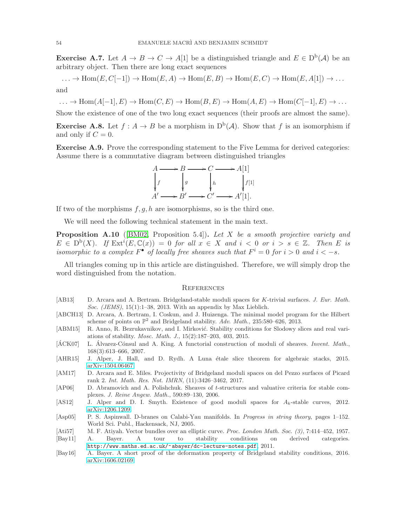**Exercise A.7.** Let  $A \to B \to C \to A[1]$  be a distinguished triangle and  $E \in D^b(\mathcal{A})$  be an arbitrary object. Then there are long exact sequences

 $\ldots \to \text{Hom}(E, C[-1]) \to \text{Hom}(E, A) \to \text{Hom}(E, B) \to \text{Hom}(E, C) \to \text{Hom}(E, A[1]) \to \ldots$ and

 $\ldots \to \text{Hom}(A[-1], E) \to \text{Hom}(C, E) \to \text{Hom}(B, E) \to \text{Hom}(A, E) \to \text{Hom}(C[-1], E) \to \ldots$ 

Show the existence of one of the two long exact sequences (their proofs are almost the same).

**Exercise A.8.** Let  $f: A \to B$  be a morphism in  $D^b(\mathcal{A})$ . Show that f is an isomorphism if and only if  $C = 0$ .

Exercise A.9. Prove the corresponding statement to the Five Lemma for derived categories: Assume there is a commutative diagram between distinguished triangles



If two of the morphisms  $f, g, h$  are isomorphisms, so is the third one.

We will need the following technical statement in the main text.

<span id="page-53-13"></span>**Proposition A.10** ([\[BM02,](#page-54-26) Proposition 5.4]). Let X be a smooth projective variety and  $E \in D^b(X)$ . If  $Ext^i(E, \mathbb{C}(x)) = 0$  for all  $x \in X$  and  $i < 0$  or  $i > s \in \mathbb{Z}$ . Then E is isomorphic to a complex  $F^{\bullet}$  of locally free sheaves such that  $F^i = 0$  for  $i > 0$  and  $i < -s$ .

All triangles coming up in this article are distinguished. Therefore, we will simply drop the word distinguished from the notation.

### <span id="page-53-0"></span>**REFERENCES**

- <span id="page-53-1"></span>[AB13] D. Arcara and A. Bertram. Bridgeland-stable moduli spaces for K-trivial surfaces. J. Eur. Math. Soc. (JEMS), 15(1):1–38, 2013. With an appendix by Max Lieblich.
- <span id="page-53-2"></span>[ABCH13] D. Arcara, A. Bertram, I. Coskun, and J. Huizenga. The minimal model program for the Hilbert scheme of points on  $\mathbb{P}^2$  and Bridgeland stability. Adv. Math., 235:580-626, 2013.
- <span id="page-53-4"></span>[ABM15] R. Anno, R. Bezrukavnikov, and I. Mirković. Stability conditions for Slodowy slices and real variations of stability. Mosc. Math. J., 15(2):187–203, 403, 2015.
- <span id="page-53-8"></span> $[\hat{A}CK07]$  L.  $\hat{A}$ lvarez-Cónsul and A. King. A functorial construction of moduli of sheaves. Invent. Math., 168(3):613–666, 2007.
- <span id="page-53-11"></span>[AHR15] J. Alper, J. Hall, and D. Rydh. A Luna étale slice theorem for algebraic stacks, 2015. [arXiv:1504.06467.](http://arxiv.org/abs/1504.06467)
- <span id="page-53-9"></span>[AM17] D. Arcara and E. Miles. Projectivity of Bridgeland moduli spaces on del Pezzo surfaces of Picard rank 2. Int. Math. Res. Not. IMRN, (11):3426–3462, 2017.
- <span id="page-53-12"></span>[AP06] D. Abramovich and A. Polishchuk. Sheaves of t-structures and valuative criteria for stable complexes. J. Reine Angew. Math., 590:89–130, 2006.
- <span id="page-53-10"></span>[AS12] J. Alper and D. I. Smyth. Existence of good moduli spaces for  $A_k$ -stable curves, 2012. [arXiv:1206.1209.](http://arxiv.org/abs/1206.1209)
- <span id="page-53-3"></span>[Asp05] P. S. Aspinwall. D-branes on Calabi-Yau manifolds. In Progress in string theory, pages 1–152. World Sci. Publ., Hackensack, NJ, 2005.
- <span id="page-53-7"></span>[Ati57] M. F. Atiyah. Vector bundles over an elliptic curve. Proc. London Math. Soc. (3), 7:414–452, 1957.
- <span id="page-53-5"></span>[Bay11] A. Bayer. A tour to stability conditions on derived categories. <http://www.maths.ed.ac.uk/~abayer/dc-lecture-notes.pdf>, 2011.
- <span id="page-53-6"></span>[Bay16] A. Bayer. A short proof of the deformation property of Bridgeland stability conditions, 2016. [arXiv:1606.02169.](http://arxiv.org/abs/1606.02169)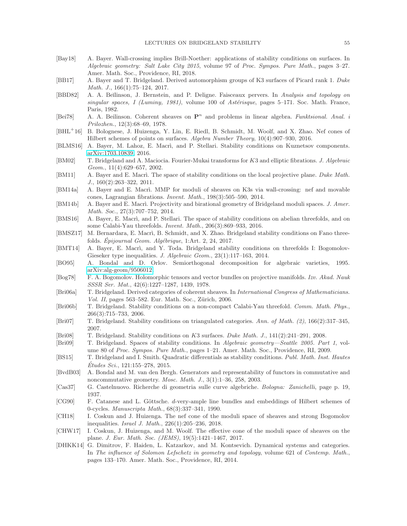- <span id="page-54-15"></span>[Bay18] A. Bayer. Wall-crossing implies Brill-Noether: applications of stability conditions on surfaces. In Algebraic geometry: Salt Lake City 2015, volume 97 of Proc. Sympos. Pure Math., pages 3–27. Amer. Math. Soc., Providence, RI, 2018.
- <span id="page-54-19"></span>[BB17] A. Bayer and T. Bridgeland. Derived automorphism groups of K3 surfaces of Picard rank 1. Duke Math. J., 166(1):75–124, 2017.
- <span id="page-54-18"></span>[BBD82] A. A. Beïlinson, J. Bernstein, and P. Deligne. Faisceaux pervers. In Analysis and topology on singular spaces, I (Luminy, 1981), volume 100 of Astérisque, pages  $5-171$ . Soc. Math. France, Paris, 1982.
- <span id="page-54-23"></span>[Bei78] A. A. Beilinson. Coherent sheaves on  $\mathbf{P}^n$  and problems in linear algebra. Funktsional. Anal. i Prilozhen., 12(3):68–69, 1978.
- <span id="page-54-8"></span>[BHL<sup>+</sup>16] B. Bolognese, J. Huizenga, Y. Lin, E. Riedl, B. Schmidt, M. Woolf, and X. Zhao. Nef cones of Hilbert schemes of points on surfaces. Algebra Number Theory, 10(4):907–930, 2016.
- <span id="page-54-17"></span>[BLMS16] A. Bayer, M. Lahoz, E. Macrì, and P. Stellari. Stability conditions on Kuznetsov components. [arXiv:1703.10839,](http://arxiv.org/abs/1703.10839) 2016.
- <span id="page-54-26"></span>[BM02] T. Bridgeland and A. Maciocia. Fourier-Mukai transforms for K3 and elliptic fibrations. J. Algebraic Geom., 11(4):629–657, 2002.
- <span id="page-54-2"></span>[BM11] A. Bayer and E. Macri. The space of stability conditions on the local projective plane. Duke Math. J., 160(2):263–322, 2011.
- <span id="page-54-7"></span>[BM14a] A. Bayer and E. Macri. MMP for moduli of sheaves on K3s via wall-crossing: nef and movable cones, Lagrangian fibrations. Invent. Math., 198(3):505–590, 2014.
- <span id="page-54-6"></span>[BM14b] A. Bayer and E. Macrì. Projectivity and birational geometry of Bridgeland moduli spaces. J. Amer. Math. Soc., 27(3):707–752, 2014.
- <span id="page-54-4"></span>[BMS16] A. Bayer, E. Macrì, and P. Stellari. The space of stability conditions on abelian threefolds, and on some Calabi-Yau threefolds. Invent. Math., 206(3):869–933, 2016.
- <span id="page-54-10"></span>[BMSZ17] M. Bernardara, E. Macrì, B. Schmidt, and X. Zhao. Bridgeland stability conditions on Fano threefolds.  $Épijournal Geom. Algébrique, 1:Art. 2, 24, 2017.$
- <span id="page-54-3"></span>[BMT14] A. Bayer, E. Macri, and Y. Toda. Bridgeland stability conditions on threefolds I: Bogomolov-Gieseker type inequalities. J. Algebraic Geom., 23(1):117–163, 2014.
- <span id="page-54-16"></span>[BO95] A. Bondal and D. Orlov. Semiorthogonal decomposition for algebraic varieties, 1995. [arXiv:alg-geom/9506012.](http://arxiv.org/abs/alg-geom/9506012)
- <span id="page-54-22"></span>[Bog78] F. A. Bogomolov. Holomorphic tensors and vector bundles on projective manifolds. Izv. Akad. Nauk SSSR Ser. Mat., 42(6):1227–1287, 1439, 1978.
- <span id="page-54-14"></span>[Bri06a] T. Bridgeland. Derived categories of coherent sheaves. In International Congress of Mathematicians. Vol. II, pages 563–582. Eur. Math. Soc., Zürich, 2006.
- <span id="page-54-11"></span>[Bri06b] T. Bridgeland. Stability conditions on a non-compact Calabi-Yau threefold. Comm. Math. Phys., 266(3):715–733, 2006.
- <span id="page-54-0"></span>[Bri07] T. Bridgeland. Stability conditions on triangulated categories. Ann. of Math. (2), 166(2):317–345, 2007.
- <span id="page-54-1"></span>[Bri08] T. Bridgeland. Stability conditions on K3 surfaces. Duke Math. J., 141(2):241–291, 2008.
- <span id="page-54-20"></span>[Bri09] T. Bridgeland. Spaces of stability conditions. In Algebraic geometry—Seattle 2005. Part 1, volume 80 of Proc. Sympos. Pure Math., pages 1–21. Amer. Math. Soc., Providence, RI, 2009.
- <span id="page-54-12"></span>[BS15] T. Bridgeland and I. Smith. Quadratic differentials as stability conditions. Publ. Math. Inst. Hautes  $Études\ Sci., 121:155-278, 2015.$
- <span id="page-54-21"></span>[BvdB03] A. Bondal and M. van den Bergh. Generators and representability of functors in commutative and noncommutative geometry. Mosc. Math. J., 3(1):1-36, 258, 2003.
- <span id="page-54-25"></span>[Cas37] G. Castelnuovo. Richerche di geometria sulle curve algebriche. Bologna: Zanichelli, page p. 19, 1937.
- <span id="page-54-24"></span>[CG90] F. Catanese and L. Göttsche. d-very-ample line bundles and embeddings of Hilbert schemes of 0-cycles. Manuscripta Math., 68(3):337–341, 1990.
- <span id="page-54-9"></span>[CH18] I. Coskun and J. Huizenga. The nef cone of the moduli space of sheaves and strong Bogomolov inequalities. Israel J. Math., 226(1):205–236, 2018.
- <span id="page-54-5"></span>[CHW17] I. Coskun, J. Huizenga, and M. Woolf. The effective cone of the moduli space of sheaves on the plane. J. Eur. Math. Soc. (JEMS), 19(5):1421–1467, 2017.
- <span id="page-54-13"></span>[DHKK14] G. Dimitrov, F. Haiden, L. Katzarkov, and M. Kontsevich. Dynamical systems and categories. In The influence of Solomon Lefschetz in geometry and topology, volume 621 of Contemp. Math., pages 133–170. Amer. Math. Soc., Providence, RI, 2014.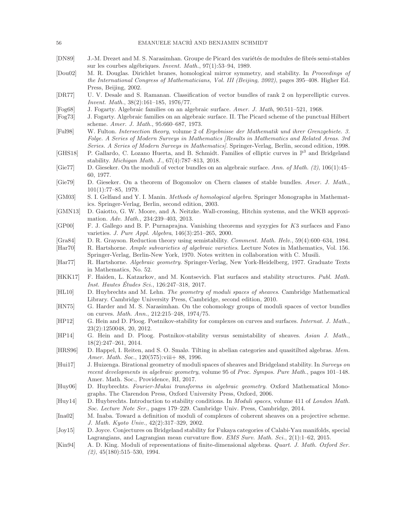<span id="page-55-26"></span><span id="page-55-25"></span><span id="page-55-24"></span><span id="page-55-23"></span><span id="page-55-22"></span><span id="page-55-21"></span><span id="page-55-20"></span><span id="page-55-19"></span><span id="page-55-18"></span><span id="page-55-17"></span><span id="page-55-16"></span><span id="page-55-15"></span><span id="page-55-14"></span><span id="page-55-13"></span><span id="page-55-12"></span><span id="page-55-11"></span><span id="page-55-10"></span><span id="page-55-9"></span><span id="page-55-8"></span><span id="page-55-7"></span><span id="page-55-6"></span><span id="page-55-5"></span><span id="page-55-4"></span><span id="page-55-3"></span><span id="page-55-2"></span><span id="page-55-1"></span><span id="page-55-0"></span>

| [DN89]                | J.-M. Drezet and M. S. Narasimhan. Groupe de Picard des variétés de modules de fibrés semi-stables<br>sur les courbes algébriques. Invent. Math., 97(1):53-94, 1989.                                                                                                                                     |
|-----------------------|----------------------------------------------------------------------------------------------------------------------------------------------------------------------------------------------------------------------------------------------------------------------------------------------------------|
| [ $Dou02$ ]           | M. R. Douglas. Dirichlet branes, homological mirror symmetry, and stability. In Proceedings of<br>the International Congress of Mathematicians, Vol. III (Beijing, 2002), pages 395-408. Higher Ed.                                                                                                      |
|                       | Press, Beijing, 2002.                                                                                                                                                                                                                                                                                    |
| [DR77]                | U. V. Desale and S. Ramanan. Classification of vector bundles of rank 2 on hyperelliptic curves.<br><i>Invent. Math.</i> , $38(2):161-185$ , $1976/77$ .                                                                                                                                                 |
| [Fog68]               | J. Fogarty. Algebraic families on an algebraic surface. Amer. J. Math, 90:511-521, 1968.                                                                                                                                                                                                                 |
| [Fog73]               | J. Fogarty. Algebraic families on an algebraic surface. II. The Picard scheme of the punctual Hilbert<br>scheme. Amer. J. Math., 95:660-687, 1973.                                                                                                                                                       |
| [Full98]              | W. Fulton. Intersection theory, volume 2 of Ergebnisse der Mathematik und ihrer Grenzgebiete. 3.<br>Folge. A Series of Modern Surveys in Mathematics [Results in Mathematics and Related Areas. 3rd<br>Series. A Series of Modern Surveys in Mathematics. Springer-Verlag, Berlin, second edition, 1998. |
| [ <b>GHS18</b> ]      | P. Gallardo, C. Lozano Huerta, and B. Schmidt. Families of elliptic curves in $\mathbb{P}^3$ and Bridgeland<br>stability. <i>Michigan Math. J.</i> , $67(4)$ :787-813, 2018.                                                                                                                             |
| [Gie77]               | D. Gieseker. On the moduli of vector bundles on an algebraic surface. Ann. of Math. $(2)$ , 106(1):45–<br>60, 1977.                                                                                                                                                                                      |
| [Gie79]               | D. Gieseker. On a theorem of Bogomolov on Chern classes of stable bundles. Amer. J. Math.,<br>$101(1):77-85, 1979.$                                                                                                                                                                                      |
| [GM03]                | S. I. Gelfand and Y. I. Manin. <i>Methods of homological algebra</i> . Springer Monographs in Mathemat-<br>ics. Springer-Verlag, Berlin, second edition, 2003.                                                                                                                                           |
| [GMN13]               | D. Gaiotto, G. W. Moore, and A. Neitzke. Wall-crossing, Hitchin systems, and the WKB approxi-<br>mation. Adv. Math., 234:239-403, 2013.                                                                                                                                                                  |
| [GP00]                | F. J. Gallego and B. P. Purnaprajna. Vanishing theorems and syzygies for K3 surfaces and Fano<br>varieties. J. Pure Appl. Algebra, 146(3):251-265, 2000.                                                                                                                                                 |
| [Gra $84$ ]           | D. R. Grayson. Reduction theory using semistability. Comment. Math. Helv., 59(4):600–634, 1984.                                                                                                                                                                                                          |
| $[\text{Har}70]$      | R. Hartshorne. Ample subvarieties of algebraic varieties. Lecture Notes in Mathematics, Vol. 156.<br>Springer-Verlag, Berlin-New York, 1970. Notes written in collaboration with C. Musili.                                                                                                              |
| [Har77]               | R. Hartshorne. Algebraic geometry. Springer-Verlag, New York-Heidelberg, 1977. Graduate Texts<br>in Mathematics, No. 52.                                                                                                                                                                                 |
| HKK17                 | F. Haiden, L. Katzarkov, and M. Kontsevich. Flat surfaces and stability structures. Publ. Math.<br><i>Inst. Hautes Etudes Sci.</i> , 126:247-318, 2017.                                                                                                                                                  |
| [HL10]                | D. Huybrechts and M. Lehn. The geometry of moduli spaces of sheaves. Cambridge Mathematical<br>Library. Cambridge University Press, Cambridge, second edition, 2010.                                                                                                                                     |
| [HN75]                | G. Harder and M. S. Narasimhan. On the cohomology groups of moduli spaces of vector bundles<br>on curves. <i>Math. Ann.</i> , 212:215-248, 1974/75.                                                                                                                                                      |
| [HP12]                | G. Hein and D. Ploog. Postnikov-stability for complexes on curves and surfaces. Internat. J. Math.,<br>23(2):1250048, 20, 2012.                                                                                                                                                                          |
| [HP14]                | G. Hein and D. Ploog. Postnikov-stability versus semistability of sheaves. Asian J. Math.,<br>$18(2):247-261, 2014.$                                                                                                                                                                                     |
| [HRS96]               | D. Happel, I. Reiten, and S. O. Smalø. Tilting in abelian categories and quasitilitied algebras. Mem.<br>Amer. Math. Soc., 120(575):viii+ 88, 1996.                                                                                                                                                      |
| [Hui17]               | J. Huizenga. Birational geometry of moduli spaces of sheaves and Bridgeland stability. In Surveys on<br>recent developments in algebraic geometry, volume 95 of Proc. Sympos. Pure Math., pages 101-148.<br>Amer. Math. Soc., Providence, RI, 2017.                                                      |
| $[\mathrm{Huy06}]$    | D. Huybrechts. Fourier-Mukai transforms in algebraic geometry. Oxford Mathematical Mono-<br>graphs. The Clarendon Press, Oxford University Press, Oxford, 2006.                                                                                                                                          |
| $[{\rm Huy14}]$       | D. Huybrechts. Introduction to stability conditions. In <i>Moduli spaces</i> , volume 411 of <i>London Math.</i><br>Soc. Lecture Note Ser., pages 179–229. Cambridge Univ. Press, Cambridge, 2014.                                                                                                       |
| $\vert$ Ina02 $\vert$ | M. Inaba. Toward a definition of moduli of complexes of coherent sheaves on a projective scheme.<br>J. Math. Kyoto Univ., 42(2):317-329, 2002.                                                                                                                                                           |
| $[$ Joy $15]$         | D. Joyce. Conjectures on Bridgeland stability for Fukaya categories of Calabi-Yau manifolds, special<br>Lagrangians, and Lagrangian mean curvature flow. EMS Surv. Math. Sci., $2(1):1-62$ , $2015$ .                                                                                                    |
| [Kin94]               | A. D. King. Moduli of representations of finite-dimensional algebras. Quart. J. Math. Oxford Ser.<br>$(2), 45(180):515-530, 1994.$                                                                                                                                                                       |

56 EMANUELE MACRÌ AND BENJAMIN SCHMIDT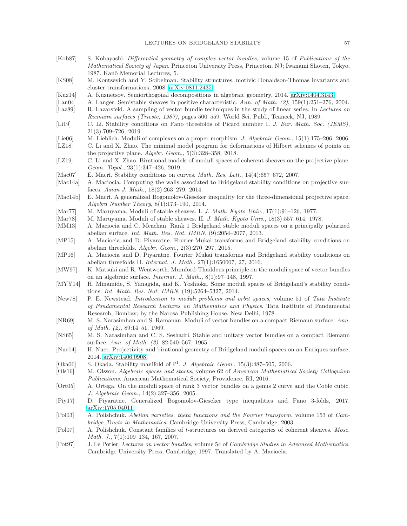- <span id="page-56-19"></span>[Kob87] S. Kobayashi. Differential geometry of complex vector bundles, volume 15 of Publications of the Mathematical Society of Japan. Princeton University Press, Princeton, NJ; Iwanami Shoten, Tokyo, 1987. Kanô Memorial Lectures, 5.
- <span id="page-56-10"></span>[KS08] M. Kontsevich and Y. Soibelman. Stability structures, motivic Donaldson-Thomas invariants and cluster transformations, 2008. [arXiv:0811.2435.](http://arxiv.org/abs/0811.2435)
- <span id="page-56-16"></span>[Kuz14] A. Kuznetsov. Semiorthogonal decompositions in algebraic geometry, 2014. [arXiv:1404.3143.](http://arxiv.org/abs/1404.3143)
- <span id="page-56-27"></span>[Lan04] A. Langer. Semistable sheaves in positive characteristic. Ann. of Math. (2), 159(1):251–276, 2004.
- <span id="page-56-18"></span>[Laz89] R. Lazarsfeld. A sampling of vector bundle techniques in the study of linear series. In Lectures on Riemann surfaces (Trieste, 1987), pages 500–559. World Sci. Publ., Teaneck, NJ, 1989.
- <span id="page-56-8"></span>[Li19] C. Li. Stability conditions on Fano threefolds of Picard number 1. J. Eur. Math. Soc. (JEMS), 21(3):709–726, 2019.
- <span id="page-56-25"></span>[Lie06] M. Lieblich. Moduli of complexes on a proper morphism. J. Algebraic Geom., 15(1):175–206, 2006.
- <span id="page-56-0"></span>[LZ18] C. Li and X. Zhao. The minimal model program for deformations of Hilbert schemes of points on the projective plane. Algebr. Geom., 5(3):328–358, 2018.
- <span id="page-56-1"></span>[LZ19] C. Li and X. Zhao. Birational models of moduli spaces of coherent sheaves on the projective plane. Geom. Topol., 23(1):347–426, 2019.
- <span id="page-56-24"></span>[Mac07] E. Macrì. Stability conditions on curves. *Math. Res. Lett.*, 14(4):657–672, 2007.
- <span id="page-56-28"></span>[Mac14a] A. Maciocia. Computing the walls associated to Bridgeland stability conditions on projective surfaces. Asian J. Math., 18(2):263–279, 2014.
- <span id="page-56-5"></span>[Mac14b] E. Macrì. A generalized Bogomolov-Gieseker inequality for the three-dimensional projective space. Algebra Number Theory, 8(1):173–190, 2014.
- <span id="page-56-20"></span>[Mar77] M. Maruyama. Moduli of stable sheaves. I. J. Math. Kyoto Univ., 17(1):91–126, 1977.
- <span id="page-56-21"></span>[Mar78] M. Maruyama. Moduli of stable sheaves. II. J. Math. Kyoto Univ., 18(3):557–614, 1978.
- <span id="page-56-2"></span>[MM13] A. Maciocia and C. Meachan. Rank 1 Bridgeland stable moduli spaces on a principally polarized abelian surface. Int. Math. Res. Not. IMRN, (9):2054–2077, 2013.
- <span id="page-56-6"></span>[MP15] A. Maciocia and D. Piyaratne. Fourier-Mukai transforms and Bridgeland stability conditions on abelian threefolds. Algebr. Geom., 2(3):270–297, 2015.
- <span id="page-56-7"></span>[MP16] A. Maciocia and D. Piyaratne. Fourier–Mukai transforms and Bridgeland stability conditions on abelian threefolds II. Internat. J. Math., 27(1):1650007, 27, 2016.
- <span id="page-56-22"></span>[MW97] K. Matsuki and R. Wentworth. Mumford-Thaddeus principle on the moduli space of vector bundles on an algebraic surface. Internat. J. Math., 8(1):97–148, 1997.
- <span id="page-56-3"></span>[MYY14] H. Minamide, S. Yanagida, and K. Yoshioka. Some moduli spaces of Bridgeland's stability conditions. Int. Math. Res. Not. IMRN, (19):5264–5327, 2014.
- <span id="page-56-11"></span>[New78] P. E. Newstead. Introduction to moduli problems and orbit spaces, volume 51 of Tata Institute of Fundamental Research Lectures on Mathematics and Physics. Tata Institute of Fundamental Research, Bombay; by the Narosa Publishing House, New Delhi, 1978.
- <span id="page-56-15"></span>[NR69] M. S. Narasimhan and S. Ramanan. Moduli of vector bundles on a compact Riemann surface. Ann. of Math. (2), 89:14–51, 1969.
- <span id="page-56-14"></span>[NS65] M. S. Narasimhan and C. S. Seshadri. Stable and unitary vector bundles on a compact Riemann surface. Ann. of Math. (2), 82:540–567, 1965.
- <span id="page-56-4"></span>[Nue14] H. Nuer. Projectivity and birational geometry of Bridgeland moduli spaces on an Enriques surface, 2014. [arXiv:1406.0908.](http://arxiv.org/abs/1406.0908)
- <span id="page-56-23"></span>[Oka06] S. Okada. Stability manifold of  $\mathbb{P}^1$ . J. Algebraic Geom., 15(3):487-505, 2006.
- <span id="page-56-26"></span>[Ols16] M. Olsson. Algebraic spaces and stacks, volume 62 of American Mathematical Society Colloquium Publications. American Mathematical Society, Providence, RI, 2016.
- <span id="page-56-17"></span>[Ort05] A. Ortega. On the moduli space of rank 3 vector bundles on a genus 2 curve and the Coble cubic. J. Algebraic Geom., 14(2):327–356, 2005.
- <span id="page-56-9"></span>[Piy17] D. Piyaratne. Generalized Bogomolov-Gieseker type inequalities and Fano 3-folds, 2017. [arXiv:1705.04011.](http://arxiv.org/abs/1705.04011)
- <span id="page-56-13"></span>[Pol03] A. Polishchuk. Abelian varieties, theta functions and the Fourier transform, volume 153 of Cambridge Tracts in Mathematics. Cambridge University Press, Cambridge, 2003.
- <span id="page-56-29"></span>[Pol07] A. Polishchuk. Constant families of t-structures on derived categories of coherent sheaves. Mosc. Math. J., 7(1):109–134, 167, 2007.
- <span id="page-56-12"></span>[Pot97] J. Le Potier. Lectures on vector bundles, volume 54 of Cambridge Studies in Advanced Mathematics. Cambridge University Press, Cambridge, 1997. Translated by A. Maciocia.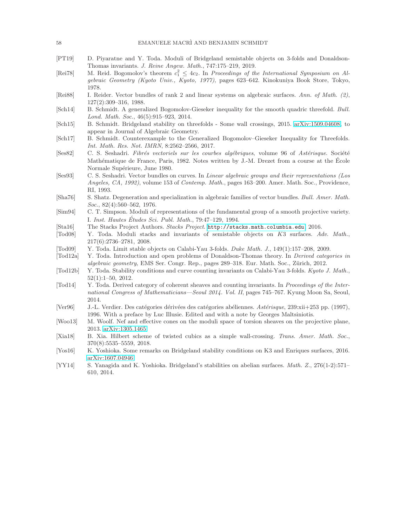<span id="page-57-20"></span><span id="page-57-19"></span><span id="page-57-18"></span><span id="page-57-17"></span><span id="page-57-16"></span><span id="page-57-15"></span><span id="page-57-14"></span><span id="page-57-13"></span><span id="page-57-12"></span><span id="page-57-11"></span><span id="page-57-10"></span><span id="page-57-9"></span><span id="page-57-8"></span><span id="page-57-7"></span><span id="page-57-6"></span><span id="page-57-5"></span><span id="page-57-4"></span><span id="page-57-3"></span><span id="page-57-2"></span><span id="page-57-1"></span><span id="page-57-0"></span>

| [PT19]                                       | D. Piyaratne and Y. Toda. Moduli of Bridgeland semistable objects on 3-folds and Donaldson-<br>Thomas invariants. J. Reine Angew. Math., 747:175-219, 2019.                                                                                                                                          |
|----------------------------------------------|------------------------------------------------------------------------------------------------------------------------------------------------------------------------------------------------------------------------------------------------------------------------------------------------------|
| [Rei78]                                      | M. Reid. Bogomolov's theorem $c_1^2 \leq 4c_2$ . In Proceedings of the International Symposium on Al-<br>gebraic Geometry (Kyoto Univ., Kyoto, 1977), pages 623-642. Kinokuniya Book Store, Tokyo,<br>1978.                                                                                          |
| [Rei88]                                      | I. Reider. Vector bundles of rank 2 and linear systems on algebraic surfaces. Ann. of Math. $(2)$ ,<br>$127(2):309-316, 1988.$                                                                                                                                                                       |
| $\lbrack \text{Sch} 14 \rbrack$              | B. Schmidt. A generalized Bogomolov-Gieseker inequality for the smooth quadric threefold. Bull.<br>Lond. Math. Soc., 46(5):915-923, 2014.                                                                                                                                                            |
| [Sch15]                                      | B. Schmidt. Bridgeland stability on threefolds - Some wall crossings, 2015. arXiv:1509.04608, to<br>appear in Journal of Algebraic Geometry.                                                                                                                                                         |
| [Sch17]                                      | B. Schmidt. Counterexample to the Generalized Bogomolov–Gieseker Inequality for Threefolds.<br>Int. Math. Res. Not. IMRN, 8:2562-2566, 2017.                                                                                                                                                         |
| [Sess82]                                     | C. S. Seshadri. Fibrés vectoriels sur les courbes algébriques, volume 96 of Astérisque. Société<br>Mathématique de France, Paris, 1982. Notes written by J.-M. Drezet from a course at the École<br>Normale Supérieure, June 1980.                                                                   |
| [Ses93]                                      | C. S. Seshadri. Vector bundles on curves. In <i>Linear algebraic groups and their representations (Los</i><br>Angeles, CA, 1992), volume 153 of Contemp. Math., pages 163-200. Amer. Math. Soc., Providence,<br>RI, 1993.                                                                            |
| [Sha76]                                      | S. Shatz. Degeneration and specialization in algebraic families of vector bundles. Bull. Amer. Math.<br><i>Soc.</i> , $82(4):560-562$ , 1976.                                                                                                                                                        |
| $\lceil \text{Sim94} \rceil$                 | C. T. Simpson. Moduli of representations of the fundamental group of a smooth projective variety.<br>I. Inst. Hautes Études Sci. Publ. Math., 79:47-129, 1994.                                                                                                                                       |
| [Sta16]                                      | The Stacks Project Authors. Stacks Project. http://stacks.math.columbia.edu, 2016.                                                                                                                                                                                                                   |
| $[\text{Total08}]$                           | Y. Toda. Moduli stacks and invariants of semistable objects on K3 surfaces. Adv. Math.,<br>$217(6):2736-2781, 2008.$                                                                                                                                                                                 |
| $[\text{Today}]$                             | Y. Toda. Limit stable objects on Calabi-Yau 3-folds. Duke Math. J., 149(1):157–208, 2009.                                                                                                                                                                                                            |
| $\lbrack \text{Total2a} \rbrack$<br>[Todd2b] | Y. Toda. Introduction and open problems of Donaldson-Thomas theory. In <i>Derived categories in</i><br>algebraic geometry, EMS Ser. Congr. Rep., pages 289-318. Eur. Math. Soc., Zürich, 2012.<br>Y. Toda. Stability conditions and curve counting invariants on Calabi-Yau 3-folds. Kyoto J. Math., |
|                                              | $52(1):1-50$ , 2012.                                                                                                                                                                                                                                                                                 |
| $\lceil \text{Total} \cdot 4 \rceil$         | Y. Toda. Derived category of coherent sheaves and counting invariants. In Proceedings of the Inter-<br>national Congress of Mathematicians—Seoul 2014. Vol. II, pages 745-767. Kyung Moon Sa, Seoul,<br>2014.                                                                                        |
| [Ver96]                                      | J.-L. Verdier. Des catégories dérivées des catégories abéliennes. Astérisque, 239:xii+253 pp. (1997),<br>1996. With a preface by Luc Illusie. Edited and with a note by Georges Maltsiniotis.                                                                                                        |
| [Wood3]                                      | M. Woolf. Nef and effective cones on the moduli space of torsion sheaves on the projective plane,<br>2013. arXiv:1305.1465.                                                                                                                                                                          |
| [Xia18]                                      | B. Xia. Hilbert scheme of twisted cubics as a simple wall-crossing. Trans. Amer. Math. Soc.,<br>$370(8):5535-5559, 2018.$                                                                                                                                                                            |
| [Yos16]                                      | K. Yoshioka. Some remarks on Bridgeland stability conditions on K3 and Enriques surfaces, 2016.<br>arXiv:1607.04946.                                                                                                                                                                                 |
| [YY14]                                       | S. Yanagida and K. Yoshioka. Bridgeland's stabilities on abelian surfaces. Math. Z., 276(1-2):571-<br>610, 2014.                                                                                                                                                                                     |
|                                              |                                                                                                                                                                                                                                                                                                      |
|                                              |                                                                                                                                                                                                                                                                                                      |
|                                              |                                                                                                                                                                                                                                                                                                      |
|                                              |                                                                                                                                                                                                                                                                                                      |

58 EMANUELE MACRÌ AND BENJAMIN SCHMIDT